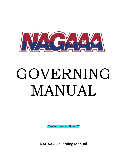

# GOVERNING MANUAL

*Revised June 19, 2022*

NAGAAA Governing Manual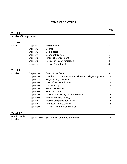# TABLE OF CONTENTS

| <b>VOLUME 1</b>           |            |                                                            | PAUL           |
|---------------------------|------------|------------------------------------------------------------|----------------|
| Articles of Incorporation |            |                                                            | $\mathbf 1$    |
| <b>VOLUME 2</b>           |            |                                                            |                |
| <b>Bylaws</b>             | Chapter 1  | Membership                                                 | $\overline{2}$ |
|                           | Chapter 2  | Council                                                    | 4              |
|                           | Chapter 3  | Committees                                                 | 5              |
|                           | Chapter 4  | <b>Board of Directors</b>                                  | 6              |
|                           | Chapter 5  | <b>Financial Management</b>                                | 8              |
|                           | Chapter 6  | Policies of this Organization                              | 8              |
|                           | Chapter 7  | <b>Bylaws Amendments</b>                                   | 8              |
| <b>VOLUME 3</b>           |            |                                                            |                |
| Policies                  | Chapter 10 | Rules of the Game                                          | 9              |
|                           | Chapter 20 | Member Association Responsibilities and Player Eligibility | 11             |
|                           | Chapter 25 | <b>Player Rating Guidelines</b>                            | 16             |
|                           | Chapter 30 | Gay Softball World Series                                  | 21             |
|                           | Chapter 40 | <b>NAGAAA Cup</b>                                          | 25             |
|                           | Chapter 50 | <b>Protest Procedure</b>                                   | 26             |
|                           | Chapter 60 | <b>Ethics Procedure</b>                                    | 30             |
|                           | Chapter 70 | Master Dues, Fines, and Fee Schedule                       | 32             |
|                           | Chapter 80 | <b>Budget and Fiscal Policy</b>                            | 37             |
|                           | Chapter 81 | <b>Master Compensation Policy</b>                          | 37             |
|                           | Chapter 85 | <b>Conflict of Interest Policy</b>                         | 38             |
|                           | Chapter 90 | Drafting and Revision Manual                               | 40             |
|                           |            |                                                            |                |

#### VOLUME 4

| Administrative<br>Policies |  | Chapters 100+ See Table of Contents at Volume 4 |  |
|----------------------------|--|-------------------------------------------------|--|
|----------------------------|--|-------------------------------------------------|--|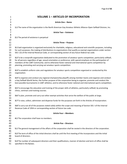| 1                          | <b>VOLUME 1 - ARTICLES OF INCORPORATION</b>                                                                                                                                                                                                                                                                                                                                                                              |
|----------------------------|--------------------------------------------------------------------------------------------------------------------------------------------------------------------------------------------------------------------------------------------------------------------------------------------------------------------------------------------------------------------------------------------------------------------------|
| $\overline{2}$             |                                                                                                                                                                                                                                                                                                                                                                                                                          |
| 3                          | <b>Article One - Name</b>                                                                                                                                                                                                                                                                                                                                                                                                |
| 4<br>5                     | 1.1 The name of the organization is the North American Gay Amateur Athletic Alliance-Open Softball Division, Inc.                                                                                                                                                                                                                                                                                                        |
| 6<br>$\overline{7}$<br>8   | Article Two - Existence                                                                                                                                                                                                                                                                                                                                                                                                  |
| 9                          | 2.1 The period of existence is perpetual                                                                                                                                                                                                                                                                                                                                                                                 |
| 10<br>11<br>12             | <b>Article Three - Purpose</b>                                                                                                                                                                                                                                                                                                                                                                                           |
| 13<br>14<br>15<br>16       | 3.1 Said organization is organized exclusively for charitable, religious, educational and scientific purposes, including<br>for such purposes, the making of distributions to organizations that qualify as exempt organizations under section<br>501 I (3) of the Internal Revenue Code, or corresponding section of any future federal tax code.                                                                       |
| 17<br>18<br>19<br>20<br>21 | 3.2 To be a nonprofit organization dedicated to the promotion of amateur sports competition, particularly softball,<br>for all persons regardless of age, sexual orientation or preference, with special emphasis on the participation of<br>members of the LGBT Community: and to otherwise foster national and international sports competition by<br>planning, promoting and carrying out amateur sports competition. |
| 22<br>23<br>24             | 3.3 To establish uniform rules and regulations for amateur sports competition organized or conducted by this<br>organization.                                                                                                                                                                                                                                                                                            |
| 25<br>26<br>27<br>28       | 3.4 To organize and conduct any regional championship playoffs among member teams and organize and conduct<br>a Gay Softball World Series; the further purpose of the corporation being to organize, promote and conduct the<br>best possible tournaments in LGBT athletics; and to otherwise foster national and international sports competition.                                                                      |
| 29<br>30<br>31             | 3.5 To encourage the education and training of the proper skills of athletics, particularly softball, by promoting<br>clinics, seminars and training courses.                                                                                                                                                                                                                                                            |
| 32<br>33                   | 3.6 To plan, promote and carry out other exempt activities that serve the welfare of the public at large.                                                                                                                                                                                                                                                                                                                |
| 34<br>35                   | 3.7 To raise, collect, administer and dispense funds for the purposes set forth in the Articles of Incorporation.                                                                                                                                                                                                                                                                                                        |
| 36<br>37<br>38             | 3.8 To carry out all of the purposes stated solely within the scope and meaning of Section 501 I of the Internal<br>Revenue Code of 1954 or corresponding section of future tax code.                                                                                                                                                                                                                                    |
| 39<br>40                   | <b>Article Four - Members</b>                                                                                                                                                                                                                                                                                                                                                                                            |
| 41<br>42                   | 4.1 The corporation shall have no members.                                                                                                                                                                                                                                                                                                                                                                               |
| 43<br>44                   | <b>Article Five - Directors</b>                                                                                                                                                                                                                                                                                                                                                                                          |
| 45<br>46                   | 5.1 The general management of the affairs of the corporation shall be vested in the directors of the corporation.                                                                                                                                                                                                                                                                                                        |
| 47<br>48<br>49             | 5.2 The term of office of the initial directors shall be until the first meeting of the incorporators and the initial<br>board of directors.                                                                                                                                                                                                                                                                             |
| 50<br>51                   | 5.3 The number of subsequent directors and their qualifications, manner of election and term of office shall be<br>specified in the Bylaws.                                                                                                                                                                                                                                                                              |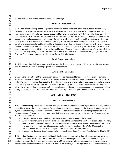| 52                   |                                                                                                                                                                                                                                                                                                                                                                                                                                                                   |  |  |  |  |  |  |
|----------------------|-------------------------------------------------------------------------------------------------------------------------------------------------------------------------------------------------------------------------------------------------------------------------------------------------------------------------------------------------------------------------------------------------------------------------------------------------------------------|--|--|--|--|--|--|
| 53                   | 5.4 The number of directors shall not be less than three (3).                                                                                                                                                                                                                                                                                                                                                                                                     |  |  |  |  |  |  |
| 54                   |                                                                                                                                                                                                                                                                                                                                                                                                                                                                   |  |  |  |  |  |  |
| 55                   | <b>Article Six - Disbursements</b>                                                                                                                                                                                                                                                                                                                                                                                                                                |  |  |  |  |  |  |
| 56                   |                                                                                                                                                                                                                                                                                                                                                                                                                                                                   |  |  |  |  |  |  |
| 57<br>58<br>59<br>60 | 6.1 No part of net earnings of the corporation shall inure to the benefit of, or be distributed to its members,<br>trustees, or other private persons, except that the organization shall be authorized and empowered to pay<br>reasonable compensation for services rendered and to make payments and distributions in furtherance of the<br>purposes set forth in the purpose clause hereof. No substantial part of the activities of the organization shall be |  |  |  |  |  |  |
| 61                   |                                                                                                                                                                                                                                                                                                                                                                                                                                                                   |  |  |  |  |  |  |
| 62                   | the carrying on of propaganda, or otherwise attempting to influence legislation; and the organization shall not<br>participate in or intervene in (including the publishing or distribution of statements) any political campaign on                                                                                                                                                                                                                              |  |  |  |  |  |  |
| 63                   | behalf of any candidate for public office. Notwithstanding any other provisions of this document the organization                                                                                                                                                                                                                                                                                                                                                 |  |  |  |  |  |  |
| 64                   | shall not carry on any other activities not permitted to be carried on (a) by an organization exempt from federal                                                                                                                                                                                                                                                                                                                                                 |  |  |  |  |  |  |
| 65                   | income tax under section 501 (c) (3) of the Internal Revenue Code, or corresponding section of any future federal                                                                                                                                                                                                                                                                                                                                                 |  |  |  |  |  |  |
| 66                   | tax code; or (b) by an organization, contributions to which are deductible under section 170(c) (2) of the Internal                                                                                                                                                                                                                                                                                                                                               |  |  |  |  |  |  |
| 67                   | Revenue Code, or corresponding section of any future federal tax code.                                                                                                                                                                                                                                                                                                                                                                                            |  |  |  |  |  |  |
| 68                   |                                                                                                                                                                                                                                                                                                                                                                                                                                                                   |  |  |  |  |  |  |
| 69                   | <b>Article Seven - Operations</b>                                                                                                                                                                                                                                                                                                                                                                                                                                 |  |  |  |  |  |  |
| 70                   |                                                                                                                                                                                                                                                                                                                                                                                                                                                                   |  |  |  |  |  |  |
| 71                   | 7.1 This corporation shall not, except to an insubstantial degree, engage in any activities or exercise any powers                                                                                                                                                                                                                                                                                                                                                |  |  |  |  |  |  |
| 72                   | that are not in furtherance of the purposes of this corporation.                                                                                                                                                                                                                                                                                                                                                                                                  |  |  |  |  |  |  |
| 73                   |                                                                                                                                                                                                                                                                                                                                                                                                                                                                   |  |  |  |  |  |  |
| 74                   | Article Eight - Dissolution                                                                                                                                                                                                                                                                                                                                                                                                                                       |  |  |  |  |  |  |
| 75                   |                                                                                                                                                                                                                                                                                                                                                                                                                                                                   |  |  |  |  |  |  |
| 76                   | 8.1 Upon the dissolution of the organization, assets shall be distributed for one (1) or more exempt purposes                                                                                                                                                                                                                                                                                                                                                     |  |  |  |  |  |  |
| 77                   | within the meaning of the section 5011 (3) of the Internal Revenue Code, or corresponding section of any future                                                                                                                                                                                                                                                                                                                                                   |  |  |  |  |  |  |
| 78                   | federal tax code, or shall be distributed to the federal government, or to a state or local government, for a public                                                                                                                                                                                                                                                                                                                                              |  |  |  |  |  |  |
| 79                   | purpose. Any such assets not disposed of shall be disposed of by the Court of Common Pleas of the county in                                                                                                                                                                                                                                                                                                                                                       |  |  |  |  |  |  |
| 80                   | which the principal office of the organization is then located, exclusively for the purposes or to such organization                                                                                                                                                                                                                                                                                                                                              |  |  |  |  |  |  |
| 81                   | or organizations, as said Court shall determine, which are organized and operated exclusively for such purposes.                                                                                                                                                                                                                                                                                                                                                  |  |  |  |  |  |  |
| 82                   |                                                                                                                                                                                                                                                                                                                                                                                                                                                                   |  |  |  |  |  |  |
| 83                   | <b>VOLUME 2 - BYLAWS</b>                                                                                                                                                                                                                                                                                                                                                                                                                                          |  |  |  |  |  |  |
| 84                   |                                                                                                                                                                                                                                                                                                                                                                                                                                                                   |  |  |  |  |  |  |
| 85                   | <b>CHAPTER 1 - MEMBERSHIP</b>                                                                                                                                                                                                                                                                                                                                                                                                                                     |  |  |  |  |  |  |
| 86                   |                                                                                                                                                                                                                                                                                                                                                                                                                                                                   |  |  |  |  |  |  |
| 87                   | Membership: Upon proper petition and qualification, membership in this organization shall be granted or<br>1.01                                                                                                                                                                                                                                                                                                                                                   |  |  |  |  |  |  |
| 88                   | denied by action of the Council. Petitions for membership are to be completed in the form and manner provided                                                                                                                                                                                                                                                                                                                                                     |  |  |  |  |  |  |
| 89                   | by the committee assigned membership duties and to the committee's satisfaction before presentation to a                                                                                                                                                                                                                                                                                                                                                          |  |  |  |  |  |  |
| 90                   | regular meeting of the Council. That committee shall offer a recommendation on the petition of the prospective                                                                                                                                                                                                                                                                                                                                                    |  |  |  |  |  |  |
| 91                   | member to the Council.                                                                                                                                                                                                                                                                                                                                                                                                                                            |  |  |  |  |  |  |
| 92                   | Voting for new members shall occur during the New Business section of the meeting.<br>a.                                                                                                                                                                                                                                                                                                                                                                          |  |  |  |  |  |  |
| 93                   | Approval for membership requires a majority vote of the Council in the meeting it is requested. If, by any<br>b.                                                                                                                                                                                                                                                                                                                                                  |  |  |  |  |  |  |
| 94                   | reason, a petitioning association is denied membership, the association will not be allowed to petition for                                                                                                                                                                                                                                                                                                                                                       |  |  |  |  |  |  |
| 95                   | membership again until two (2) successive meetings (e.g., if rejected at the Winter Meeting, the                                                                                                                                                                                                                                                                                                                                                                  |  |  |  |  |  |  |
| 96                   | association will not be able to apply again until the next year's Winter Meeting).                                                                                                                                                                                                                                                                                                                                                                                |  |  |  |  |  |  |
| 97                   | Membership dues and deadlines are outlined in the Master Dues, Fines, and Fees Schedule (Chapter 70).<br>c.                                                                                                                                                                                                                                                                                                                                                       |  |  |  |  |  |  |
| 98                   |                                                                                                                                                                                                                                                                                                                                                                                                                                                                   |  |  |  |  |  |  |
| 99                   | 1.02<br>Qualifications: For any membership petition to be considered by the Council, the committee assigned                                                                                                                                                                                                                                                                                                                                                       |  |  |  |  |  |  |
| 100                  | membership duties must affirm to the Council that all of the following qualifications have been met: (a) The                                                                                                                                                                                                                                                                                                                                                      |  |  |  |  |  |  |
| 101                  | petitioning association has operated a league for two (2) consecutive calendar years preceding the meeting of                                                                                                                                                                                                                                                                                                                                                     |  |  |  |  |  |  |
| 102                  | consideration of the membership petition with a minimum of four (4) teams registered in each of those years; (b)                                                                                                                                                                                                                                                                                                                                                  |  |  |  |  |  |  |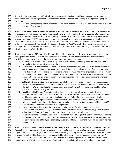- The petitioning association identifies itself as a sports organization in the LGBT community of its metropolitan
- area; and (c) The petitioning association's representative attended the immediately two (2) preceding regular Meetings.

 a. The two-year operating minimum criteria can be waived at the request of the committee and a two-thirds majority of the Council.

 **1.03 Interdependence of Members and NAGAAA**: Members of NAGAAA and the organization of NAGAAA are interdependent bodies, each mutually benefitting from one another and each with expectations to one another. Other than fulfilling the expectation of membership provided for in these bylaws or authorized by these bylaws, it is understood that NAGAAA has no power to compel or direct the governance or operations of Member Associations. The Board of Directors may interact with Member Associations to help mediate conflicts or resolve differences as requested. Additionally, the Board of Directors of NAGAAA shall, when receiving or engaging in communication with individual members of Member Associations, communicate through and direct issues to the Member Association's leadership. 

 **1.04 Expectations of Membership**: Membership in this organization is critical to the operations and goals of this organization. Member associations, their individual members, and volunteers or staff members of the NAGAAA organization are expected to adhere to the common set of expectations.

- a. Conduct: Each Member Association is expected to perform in and to the spirit of the NAGAAA Open Softball Division, Inc. policies and procedures.
- b. Association Participation: Each Member Association must comply with and report the information of its activities and leadership as determined by the Board of Directors and pay all dues, fines, and fees by the date due. Member Associations are required to attend the meetings of this organization. Failure to report 126 all required information, attend as required, and/or pay all monies due may result in suspension of voting 127 rights and/or suspension or termination of membership, including possible other sanctions, until such 128 time as compliance is achieved.
- c. Athletic Participation: Each Member Association shall register the minimum number of regular season 130 teams in a qualifying season in a calendar year and shall register the minimum number of teams for the Gay Softball World Series (GSWS). Requirements and exceptions to this requirement shall be stated in policy documents of this organization.
- d. Legal Issues: No Member Association or individual may enter into a legal agreement using the incorporated name of this organization without the written consent of the Board of Directors. Members of this organization will adhere to the Conflict of Interest Policy of this organization. All Members Associations, voting representatives, committee chairs and members, board directors, staff, and volunteers shall return all organizational property and materials to the Commissioner within ninety (90) days after the end of term of service to the organization.
- e. Privacy: Use of the directories of this association is limited to official NAGAAA business only. Reproduction, sale, rental, lease, or use of the directories or any of its contents by any person or group other than the Board of Directors or member associations is strictly prohibited.
- f. Local Tournaments: Member Association Tournament Directors/League Officers utilizing NAGAAA ratings 143 in a local tournament must verify those ratings are current and accurate. Team rosters must include the person's name, date of birth, and each rating question. All local tournaments must have a clearly defined protest process.
- **1.05 Suspension/Termination of Membership**: Member Associations and/or individual members of Member Associations may be suspended, for a time certain or indefinitely, and/or terminated from membership in this organization by a two-thirds (2/3) vote of the Council following a hearing before the Council, in a form and manner provided for by the Ethics Committee, unless provided for differently by express language in these bylaws. A 151 period of suspension may be ordered by the Council which may include specific restorative and accountability requirements and/or other sanctions, which if not met, may result in termination of membership. Automatic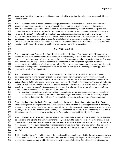suspensions for failure to pay membership dues by the deadline established may be issued and repealed by the Commissioner.

 **1.06 Reinstatement of Membership Following Suspension or Termination:** The Council may reinstate a suspended Member Association following a review by the committee assigned membership duties of the complaint leading to suspension and any corrective actions taken regarding the nature of the complaint. The Council may reinstate a suspended and/or terminated individual member of a member association following a review by the Ethics Committee of the complaint leading to suspension and/or termination and any corrective actions taken regarding the nature of the complaint. Member Associations or Individuals suspended for a time certain are automatically reinstated to good standing following the expiration of the time of suspension provided that qualifications for membership continue to be met. Terminated Member Associations shall only be eligible for reinstatement through the process of petitioning for membership in the organization. 

#### **CHAPTER 2 – COUNCIL**

 **2.01 Authority and Purpose**: The Council shall be the legislative body of this organization. All committees, boards, officers, staff, and volunteers are subordinate to the authority of the Council. The Council is limited in its power only by the provisions of these bylaws, the Articles of Incorporation, and the Laws of the State of Wisconsin. The Council is created to give policy direction to the operations of NAGAAA; act on legislative proposals appropriate for the fulfillment of policy functions; elect officers of the organizations; create committees that assist the officers in the operations of the organization; act on matters relating to membership; and to support and promote the work of this organization.

 **2.02 Composition**: The Council shall be composed of one (1) voting representative from each member association and the voting members of the Board of Directors. The voting representative from each member association shall furnish credentials in the form and manner provided by the committee assigned membership duties attesting that he/she and any listed alternates represent the Member Association on the Council. Failure to provide such attestation shall be cause for immediate revocation of voting and voice rights on the Council until 181 such time as remedy is made. Voting representatives, properly credentialed, remain as voting representatives, until such time as new credentials are furnished by a member.

- a. A voting representative or alternate voting representative from a member association shall be or have been in the twelve months prior to the Council meeting: a board member of that association, a player declaring that association their qualifying association, and/or an active member of that association.
- **2.03 Parliamentary Authority**: The rules contained in the latest edition of *Robert's Rules of Order Newly Revised* shall govern the organization and all its bodies in all cases to which they are applicable and in which they are not inconsistent with these bylaws and any special rules of order the organization may adopt. Attendance by a majority of those Council members granted the right to vote constitutes a quorum for any meeting of the Council. All main motions shall be delivered in writing, in the form and manner provided for by the Secretary.

 **2.04 Right of Vote**: Each voting representative of the council and the members of the Board of Directors shall be entitled to one (1) vote. The Commissioner shall only be allowed to cast a vote in elections for officers of this organization or, on other matters, to cast a vote to affect the outcome. No member association shall be entitled to more than one (1) vote by its designated voting representative or alternates on any question pending before the Council or any of the subordinate functions (e.g., committees) of this organization, not including the Board of Directors.

 **2.05 Right of Voice**: The right of voice at the meetings of the council is extended to the voting representatives 201 of each member, the board of directors, committee chairs not serving as voting representatives, staff, volunteers, 202 and any other person as approved by the council or by the board of directors. Committee chairs not serving as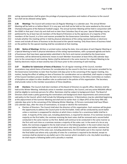voting representatives shall be given the privilege of proposing questions and matters of business to the council 204 but shall not be allowed voting rights.

 **2.06 Meetings**: The Council will conduct two (2) Regular Meetings in a calendar year. The annual Winter Meeting will be held on or before March 31 in any year and shall not be held on the same weekend as the annual Championship game of the National Football League. The annual Summer Meeting will be held in conjunction with the GSWS in that year's host city and shall end no later than Columbus Day of any year. Special Meetings may be petitioned for by at least two (2) members of the Board of Directors or by the signatures of a majority of the members of the Council, in a form and manner provided for the Governance Committee. Said petition must include whether the meeting will be in held by physical attendance of the voting representatives or electronic means and include all items of business to be discussed at the special meeting. Only those items of business listed 214 on the petition for the special meeting shall be considered at that meeting. 

 **2.061 Notice of Meetings**: Written or printed notice stating the date, time and place of each Regular Meeting or a Special Meeting to held in physical attendance of the voting representatives, with a proposed agenda and items 218 of businesses that have been appropriately submitted in the form and manner provided by the Governance Committee, will be delivered by electronic means to each Member Association at least thirty (30) calendar days 220 prior to the convening of said meeting. Notice shall be delivered in the same manner for a Special Meeting to be held by electronic means at least seventy-two (72) hours prior to the convening of said meeting. 

 **2.07 Deadline for Submission of Items of Business:** For all regular meetings of the Council, member associations may submit items of business for consideration by the council in the form and manner provided for by the Governance Committee no later than fourteen (14) days prior to the convening of the regular meeting. Any motion, having the effect of adding an item of business for consideration not so submitted, shall require a majority 227 of the Council members present to allow the item to be considered. Petitions to the Ethics Committee on matters 228 of discipline are subject to other deadline rules as authorized in the policies of this organization. The Secretary 229 shall provide notice to the member associations of these deadlines.

 **2.08 Elections**: The Council shall elect members of the Board of Directors to specific office. Elections shall be held at the Winter Meeting. Individuals active in member associations, the Council, and any active NAGAAA official shall be eligible to nominate persons for office. Nominees shall be subject to background check. The Board of Directors shall create a policy governing the nominations and background check requirements and communicate 235 said policy to the Council, which shall include the following provisions: 1) Nominations may be submitted beginning at the adjournment of the Summer Meeting and shall end no earlier than 11:59pm (PST) of the forty-fifth (45) 237 calendar days prior to the convening of the following Winter Meeting.; 2) Persons nominated shall have fifteen (15) calendar days, after the close of nominations, to accept or decline the nomination.

 a. Election of Directors: The Council shall elect the directors of this organization. Each nominee will be given 240 the opportunity to address the Council prior to the first ballot. Votes will be conducted by secret ballot unless a nominee is unopposed for election at which time a motion for a unanimous ballot shall be in 242 order. A majority of the votes cast, including abstentions, is required for election. If no nominee receives a majority on the first ballot, the nominee receiving the least votes shall be removed and a second ballot conducted in the same manner as the first. Ballots will continue to be conducted in the same manner as 245 the first until such time as a nominee receives a majority of the votes cast. In the event of a tie on any ballot, the nominees engaged in the tie shall remain on the following ballot. In the event where two (2) successive ballots have been cast on which there were only two (2) nominees and neither nominee has received a majority of the votes cast, including abstentions, the third ballot cast in this manner shall be 249 the final ballot cast where only a plurality of votes for a nominee is required to be elected, except no nominee shall be elected on any ballot cast in this manner which resulted in a tie. Any ballot recording a 251 tie shall require a following ballot until a plurality is reached.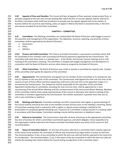**2.09 Appeals of Fines and Penalties**: The Council will hear all appeals of fines assessed, except protest fines, or penalties assigned at the next semi-annual meeting after which the fine is incurred. Appeals shall be referred to the Ethics Committee which shall have jurisdiction to preside over the appeal. Appeals will not be matters of business before the council at said meeting, unless an appeal is filed by the fined or penalized entity, in the form and manner provided for by the Ethics Committee.

#### **CHAPTER 3 – COMMITTEES**

 **3.01 Committees**: The following committees are created which the Board of Directors shall engage to assist in the execution and management of this organization. The objectives, structure, reporting, and priorities of these committees shall be approved by the Board of Directors.

- a. Governance
- b. Ethics

c. Athletics

 **3.011 Finance and Audit Committee:** The Finance and Audit Committee is a permanent committee which shall be constituted of four members with accounting and financial experience appointed by the Commissioner. The committee shall meet three times in a calendar year – at the Winter and Summer Council meetings and at a fall 271 meeting of the committee's choosing. The committee is charged with budget management and development in conjunction with the Board of Directors and any other duties as assigned by the Board of Directors. 

 **3.02 Other Committees**: The Board of Directors may create or dissolve a committee by majority vote. Creation of the committee shall specify the objective of the committee.

 **3.03 Appointments**: The Commissioner will appoint one (1) member of each committee as its chairperson and one (1) member as the vice-chair of the committee. The Commissioner shall appoint the chair and vice-chair at the 279 vacancy of each of those offices and those appointees shall serve until such time as the appointee resigns or is removed by the Commissioner. The chairperson shall be responsible for the operation of the committee. 281 Appointed membership on committees, excluding the chair and vice-chair, shall be appointed for a term commencing of the annual Winter Meeting until the commencement of the next annual Winter Meeting. Members of the committee shall be those voting representatives of the council or alternates who attend a meeting of the committee or members appointed by the Commissioner. No member association is granted more than one (1) vote in any committee or taskforce. 

 **3.04 Meetings and Quorum**: Committee meetings not held in conjunction with regular or special meetings of the Council shall be noticed by the chair to the members at least 24 hours prior to the meeting's convening. Notice 289 of Committee meetings held in conjunction with a regular or special council meeting is satisfied by the presentation of a proposed agenda indicating such. A quorum of a committee is always present in a meeting called in accordance with these bylaws. Committee meetings may be held by electronic or telephonic means. 

 **3.05 Referral to Committee**: The Commissioner shall refer all items of business to the appropriate committee. Any item of business for which a committee recommends approval, and which obligates a fiscal expenditure by this organization shall be referred to the Finance and Audit Committee before any action of the council on that recommendation. 

 **3.06 Status of Committee Reports**: On any item of business referred to a committee which requires approval 299 of the Council to be enacted, the committee of referral may recommend any legal motion of action on that item. The recommendations, if any, of any committee to which the item was referred shall be reported to the Council for its consideration. The recommendation, if any, in the report of the last committee to which the item was referred shall be the pending main motion before the Council during consideration of the committee report.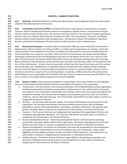**CHAPTER 4 – BOARD OF DIRECTORS**

 **4.01 Authority**: The Board of Directors shall be the administrative and management body of the organization, subject to the policy direction of the Council.

 **4.02 Composition and Terms of Office**: The Board of Directors shall consist of a Commissioner, Secretary, Treasurer, Business Development Director, Director of Competition, Athletic Director, and Operations Director. Directors shall serve two (2)-year terms. Each Director shall serve until his or her successor has been qualified and elected, unless such Director shall sooner be removed from office. The Commissioner, Treasurer, and Athletic Director positions shall be elected in odd numbered years. The Secretary, Director of Competition, Operations Director, and Business Development Director positions shall be elected in even numbered years.

 **4.03 Removal and Vacancies**: A Director may be removed from office by a two-thirds (2/3) Council vote for illegal conduct, failure to perform the duties of office, or violation of the expectations of a member. Actions for removal shall be in the jurisdiction of the Ethics Committee and shall conform to a process provided for by the Ethics Committee. For a vacancy in any office, other than that of Commissioner, the vacancy shall be filled by nomination and election by the remaining Board of Directors for the balance of the term. For a vacancy in the 321 office of Commissioner, the vacancy shall be filled within 30 days by nomination and election by the remaining Board of Directors, from among the current Directors who have been duly elected to office, for the balance of the term of the Commissioner. In event of a tie on any ballot, should more than two (2) nominees exist, the nominee with lowest votes cast, excluding ties, on that ballot shall be removed from future ballots and the remaining directors shall vote again on a successive ballot and repeat this process on successive ballots until such time as nominee is elected by a majority of the remaining directors. Vacancies, in offices other than the Commissioner, shall be filled as soon as practicable and the Board of Directors may not number less than three (3) officers at any time. A vacancy in any office shall be reported to the Council forthwith.

329<br>330 **4.04 Director's Duties**: Unless expressly provided for in these bylaws, the duties of Office for each individual Director shall be determined by the Board of Directors and listed in the policies of this organization.

- a. Commissioner: The Commissioner shall oversee all operations of the NAGAAA Board and the organization, including implementation of policies and procedures, enforcement of rules, administration of priorities and initiatives. The Commissioner shall preside over meetings of the Council and propose the agenda and 335 schedule of meetings. The Commissioner will appoint all tournament personnel, chairs of committees, 336 taskforces, and any other special groups. The Commissioner shall perform any other duties or functions as assigned by the Board of Directors.
- b. Secretary The Secretary shall maintain, update, and record all official governance documents of the organization. The Secretary shall maintain and execute official communication with the Member Associations, Council voting representatives, Committees, and Board of Directors. The Secretary shall perform any other duties or functions as assigned by the Commissioner or the Board of Directors.
- c. Treasurer The Treasurer shall oversee management and reporting of the organization's finances and compliance with applicable regulations. The Treasurer shall perform any other duties or functions as assigned by the Commissioner or the Board of Directors.
- d. Business Development Director: The Business Development Director shall oversee the marketing, sponsorship, and public relations efforts of this organization. The Business Development Director shall perform any other duties or functions as assigned by the Commissioner or the Board of Directors.
- e. Director of Competition: The Director of Competition shall have the responsibility for the development and implementation of the policies on and surrounding fair play, rules of the game, ratings, player eligibility and accountability, protests, member association softball operations, and shall perform any other duties or functions as assigned by the Commissioner or the Board of Directors.
- f. Athletics Director: The Athletic Director shall have responsibility for the planning, preparation, and operation of NAGAAA sanctioned tournaments and shall perform any other duties or functions as assigned by the Commissioner or the Board of Directors.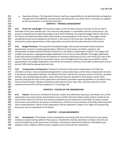- g. Operations Director: The Operations Director shall have responsibility for the administrative and logistical management of the NAGAAA corporate body and shall perform any other duties or functions as assigned by the Commissioner or the Board of Directors.
- 

#### **CHAPTER 5 – FINANCIAL MANAGEMENT**

 **5.01 Fiscal Year and Budget**: The fiscal year begins on the first day of January and ends on the last day of December of the same calendar year. The Treasurer shall prepare, in consultation with the Commissioner, and present a proposed annual operating budget at each Winter Meeting. The proposed budget shall be referred to the Finance and Audit Committee which shall provide a recommendation to the Council. The budget shall be considered by and may be adopted by the Council. In the course of the fiscal year, the Board of Directors is authorized to adjust appropriations of this organization consistent with the policy direction of the Council. 

 **5.02 Budget Provisions**: The proposed and adopted budget shall provide estimated revenue amounts, appropriation amounts, including appropriations sufficient to fund salaries, per diems, expenses, and compensation as determined by the Board of Directors in the Master Compensation schedule. The budget shall establish and maintain a segregated budget stabilization fund of not less than \$80,000. The budget stabilization funds shall only be encumbered with the adoption of resolution authorizing such by a two-thirds (2/3) vote of the Council. Fifty percent (50%) of all net positive income, once all budget items have been accounted for, shall be appropriated to the budget stabilization fund until the fund reaches a balance of \$125,000, at which point only ten percent (10%) shall be appropriated each year.

- **5.03 Compensation and Payments**: The Board of Directors shall set the compensation of all staff and volunteers serving in roles and positions designated for compensated status and list those compensation amounts in the Master Compensation Schedule. The Board of Directors shall set the monetary amount of all fines, penalties, 379 and fees, and corresponding due dates, unless otherwise expressly specified in these bylaws, and list those amounts along with the dues of this organization and relevant association reporting deadlines in the Master Dues, Fines and Fees Schedule. Member Associations shall submit all dues, fines, fees, and other payments in their national currency which shall be accepted at a 1:1 exchange rate.
- 
- 

#### **CHAPTER 6 – POLICIES OF THIS ORGANIZATION**

 **6.01 Policies**: The Council, the Board of Directors, and/or any subordinate body (e.g.: committees, etc.) of this organization may create policies and procedures not in conflict with these bylaws and/or policies created by the Council which shall be in the form and manner provided for by the Governance Committee. Any policy created shall contain and provide for the manner of amendments. Policies are the jurisdiction of the body authorizing them unless stated otherwise. Policies of this organization shall be organized in chapter 10 or higher of the governing documents and are subordinate to the bylaws.

#### **CHAPTER 7 – BYLAW AMENDMENTS**

 **7.01 Amendments**: These Bylaws may be amended by a two-thirds (2/3) vote of the Council at any regular meeting or special meeting called for that purpose. Amendments shall be submitted in writing in the form and manner provided for by the Governance Committee. Amendments shall become effective immediately upon adoption unless a different effective date is adopted concurrently with the amendment.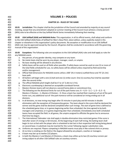| 400        |                                                                                                                 | <b>VOLUME 3 - POLICIES</b>                                                                                                                                                                                              |  |  |  |  |  |  |  |  |  |
|------------|-----------------------------------------------------------------------------------------------------------------|-------------------------------------------------------------------------------------------------------------------------------------------------------------------------------------------------------------------------|--|--|--|--|--|--|--|--|--|
| 401        |                                                                                                                 |                                                                                                                                                                                                                         |  |  |  |  |  |  |  |  |  |
| 402        |                                                                                                                 | <b>CHAPTER 10 - RULES OF THE GAME</b>                                                                                                                                                                                   |  |  |  |  |  |  |  |  |  |
| 403        |                                                                                                                 |                                                                                                                                                                                                                         |  |  |  |  |  |  |  |  |  |
| 404<br>405 | 10.01                                                                                                           | Jurisdiction: This chapter shall be the jurisdiction of the Council and amended by majority at any council<br>meeting, except that any amendment adopted at summer meeting of the Council must achieve a ninety percent |  |  |  |  |  |  |  |  |  |
| 406<br>407 |                                                                                                                 | (90%) vote to be effective at the Gay Softball World Series immediately following that meeting.                                                                                                                         |  |  |  |  |  |  |  |  |  |
| 408        | 10.02                                                                                                           | USA Softball (ASA) and NAGAAA Rules: This organization, in all its official events, shall adopt and conform                                                                                                             |  |  |  |  |  |  |  |  |  |
| 409        |                                                                                                                 | to the USA Softball (ASA) Rules of Softball for Men's Slow-Pitch, latest edition, unless explicitly stated in this                                                                                                      |  |  |  |  |  |  |  |  |  |
| 410        |                                                                                                                 | chapter or elsewhere in this organization's policy documents. No exception or modification to an USA Softball                                                                                                           |  |  |  |  |  |  |  |  |  |
| 411        | (ASA) rule may be approved except by the Council. All games shall be conducted in accordance with the governing |                                                                                                                                                                                                                         |  |  |  |  |  |  |  |  |  |
| 412        |                                                                                                                 | manual of this organization.                                                                                                                                                                                            |  |  |  |  |  |  |  |  |  |
| 413        |                                                                                                                 |                                                                                                                                                                                                                         |  |  |  |  |  |  |  |  |  |
| 414        | 10.03                                                                                                           | Exceptions: The following rules are exceptions to the USA Softball (ASA) rules and shall apply as rules for                                                                                                             |  |  |  |  |  |  |  |  |  |
| 415        |                                                                                                                 | any NAGAAA event.                                                                                                                                                                                                       |  |  |  |  |  |  |  |  |  |
| 416        | a.                                                                                                              | Any person, of any gender identity, may compete on any team.                                                                                                                                                            |  |  |  |  |  |  |  |  |  |
| 417        | b.                                                                                                              | No metal cleats shall be worn by any player, manager, coach, or umpire.                                                                                                                                                 |  |  |  |  |  |  |  |  |  |
| 418        | c.                                                                                                              | No base stealing will be allowed in any division.                                                                                                                                                                       |  |  |  |  |  |  |  |  |  |
| 419        | d.                                                                                                              | Safety bases will be used on all fields when possible. If safety bases cannot be used on one (1) or more of                                                                                                             |  |  |  |  |  |  |  |  |  |
| 420        |                                                                                                                 | the total fields scheduled for use, no safety bases will be utilized unless required by field ownership                                                                                                                 |  |  |  |  |  |  |  |  |  |
| 421        |                                                                                                                 | and/or management.                                                                                                                                                                                                      |  |  |  |  |  |  |  |  |  |
| 422        | e.                                                                                                              | Official field dimensions for NAGAAA events utilize a 300' (91.4 meters) outfield fence and 70' (21.3m)                                                                                                                 |  |  |  |  |  |  |  |  |  |
| 423        |                                                                                                                 | base path.                                                                                                                                                                                                              |  |  |  |  |  |  |  |  |  |
| 424        | f.                                                                                                              | All batters will begin with a one (1) ball and one (1) strike count. One (1) courtesy foul shall be awarded                                                                                                             |  |  |  |  |  |  |  |  |  |
| 425        |                                                                                                                 | after the second strike.                                                                                                                                                                                                |  |  |  |  |  |  |  |  |  |
| 426        | g.                                                                                                              | The official NAGAAA pitch height shall be 6' to 12' (1.8m to 3.7m).                                                                                                                                                     |  |  |  |  |  |  |  |  |  |
| 427        | h.                                                                                                              | Electronic scorekeeping is deemed an acceptable scorebook format.                                                                                                                                                       |  |  |  |  |  |  |  |  |  |
| 428        | i.                                                                                                              | Masters Division teams will not observe a second home plate or commitment line.                                                                                                                                         |  |  |  |  |  |  |  |  |  |
| 429        | j.                                                                                                              | The following are the divisional limits for out of the park home runs: $A - 4$ , $B - 3$ , $C - 1$ , $D - 0$ , $E - 0$ ,                                                                                                |  |  |  |  |  |  |  |  |  |
| 430        |                                                                                                                 | Masters-C Division - 1, Masters-D Division - 0. Once a team has reached their maximum of out of the park                                                                                                                |  |  |  |  |  |  |  |  |  |
| 431        |                                                                                                                 | home runs, any additional out-of-the-park homerun will be considered an inning-ending out in all                                                                                                                        |  |  |  |  |  |  |  |  |  |
| 432        |                                                                                                                 | divisions.                                                                                                                                                                                                              |  |  |  |  |  |  |  |  |  |
| 433        | k.                                                                                                              | In all divisions, no new inning may begin after 55 minutes in pool play and 60 minutes in double                                                                                                                        |  |  |  |  |  |  |  |  |  |
| 434        |                                                                                                                 | elimination with the exception of Championship games. The team ahead in the score shall be declared the                                                                                                                 |  |  |  |  |  |  |  |  |  |
| 435<br>436 |                                                                                                                 | winner and the game shall be declared completed after such innings. The start of game time is defined as                                                                                                                |  |  |  |  |  |  |  |  |  |
| 437        |                                                                                                                 | the scheduled game time; or in games beginning earlier than scheduled, the time agreed to by both                                                                                                                       |  |  |  |  |  |  |  |  |  |
| 438        |                                                                                                                 | managers and umpire(s); or in games beginning later than scheduled, immediately once both scheduled                                                                                                                     |  |  |  |  |  |  |  |  |  |
| 439        |                                                                                                                 | teams have occupied the field. In all games, the umpire assigned to officiate the game has to announce<br>that time has begun.                                                                                          |  |  |  |  |  |  |  |  |  |
| 440        | I.                                                                                                              | The International Tiebreaker rule shall apply in double-elimination time-restricted games if the score is                                                                                                               |  |  |  |  |  |  |  |  |  |
| 441        |                                                                                                                 | tied after seven (7) innings or 60 minutes. At the beginning of each half inning, the batting team shall                                                                                                                |  |  |  |  |  |  |  |  |  |
| 442        |                                                                                                                 | begin its turn at bat with the player who is scheduled to bat last in that respective half-inning being placed                                                                                                          |  |  |  |  |  |  |  |  |  |
| 443        |                                                                                                                 | on second base. A substitute may be inserted for the runner following regular substitution rules.                                                                                                                       |  |  |  |  |  |  |  |  |  |
| 444        |                                                                                                                 | Uniforms are required. Players competing in NAGAAA events must play in like-colored shirts or jerseys.                                                                                                                  |  |  |  |  |  |  |  |  |  |
| 445        | m.<br>n.                                                                                                        | At no time is smoking on the field or the dugout allowed by any players, coaches or managers.                                                                                                                           |  |  |  |  |  |  |  |  |  |
| 446        | о.                                                                                                              | A team may bat up to twelve (12) players.                                                                                                                                                                               |  |  |  |  |  |  |  |  |  |
| 447        | p.                                                                                                              | In both the Masters-C and Masters-D Divisions, a team may utilize up to two (2) courtesy runners per                                                                                                                    |  |  |  |  |  |  |  |  |  |
| 448        |                                                                                                                 | inning subject to all other USA Softball rules on courtesy runners.                                                                                                                                                     |  |  |  |  |  |  |  |  |  |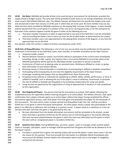**10.04 Bat Rules**: NAGAAA will provide all bats to be used during its tournaments for all divisions, provided the 451 supply of bats is budget neutral. The same bats will be provided to both teams to use during competition and must

meet current USA Softball (ASA) bat rules. The Athletic Director will determine the specific bat models to be used

and announced no later than January 15 of the year in which they are to be used. No team member may use any

other bat than those provided by NAGAAA anywhere on the playing field, inclusive of the dugout. A team member

shall be ejected from the current game if a violation of this rule occurs during game play, or for the next game for

- that team if the violation happens outside the game if either of the following are true:
- a. That team member transports or takes an approved bat to any area of the field that is not the immediate
- area surrounding the batter's box or warm-up circle for the on-deck batter as determined by the umpire. b. That team member uses a non-approved bat on the playing field, inclusive of the dugouts, at any time the
- approved bats are on the field.
- Any ejection under this section is subject to further consequences under 10.07.

 **10.05 Acts of Disqualification:** The following is a list of acts any one of which may be justification for the ejection, suspension or termination of any individual, team, team member, or member association by the Open Division:

- a. Unsportsmanlike conduct.
- b. Abusive behavior toward an umpire, tournament official or participant of the current event immediately preceding, during, or after a game. Any expense that is incurred by NAGAAA to ensure the safety of the NAGAAA participants will be paid by the offending member association or person or persons.
- c. Commission of fraud such as playing under an assumed name, falsifying an affidavit or roster, or giving false information to tournament officials.
- d. Receiving money or financial benefits in consideration of participating in softball or baseball competition.
- e. Participating while knowing they do not meet the eligibility requirements of the Open Division.
- f. Knowingly competing with players that are disqualified from Open Division play.
- g. Accepting money (directly or indirectly) by capitalizing on athletic ability, athletic performance, or fame in softball or baseball, such as allowing the use of the player's name to advertise, recommend, or promote 476 the sale of softball or baseball sporting goods or by accepting compensation for using such goods.
- 477 h. Using any bat not approved by this organization or using an approved bat in violation of rules established by this organization.
- 

 **10.06 Non-Registered Players**: Any person entering the tournament as a player shall register following the established process for registration before entering any game as an active player. The Athletic Director, shall, upon confirmation that a player entered a game as an active player without that player having completed the official tournament registration process, eject that player from that game and disqualify that player for the remainder of the tournament. The team which rosters a player ejected and disqualified under this rule, shall be recorded a forfeit loss in any game in which that player participated. An active player means a player who participated in the game in an offensive or defensive role including as a courtesy runner. A player listed as a substitute on a line-up card but who does not enter the game is not governed by this rule.

- a. No team eliminated from the double elimination tournament shall be reinstated to the bracket, except when that team is granted a forfeit win by this section and no intervening game in the bracket affecting that team has been played between the game in which the team was eliminated and the game in which the team with an unregistered player is recorded a forfeit loss.
- **10.07 Ejections from Game**: During NAGAAA play, any time a player, coach or manager strikes another player, coach or manager, said player, coach or manager shall be ejected from the game and shall not be allowed to sit on the player's bench.
- a. If a player is ejected from a game, the ejecting umpire will record the player's name, team name / city and the reason for the ejection. They must provide this information to a NAGAAA official immediately who must ensure the Athletic Director obtains this information whom shall rule on the length of ineligibility arising from the ejection.
-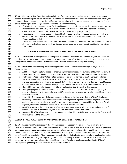**10.08 Ejections at Any Time**: Any individual ejected from a game or any individual who engages in conduct defined as act of disqualification during the time of the tournament inclusive of all tournament related events, and is identified and recommended for disqualification by a member of the Board of Directors, the Umpire-in-Charge, or Assistant Umpire(s)-in-Charge shall be subject to a disciplinary hearing.

- a. If the ejection or recommendation for disqualification occurs before the time that protest committees are available at the field complex(s) then the Competition Director shall convene a panel of 3 directors, exclusive of the Commissioner, to hear the case and make a ruling subject to (c.)
- b. If the ejection or recommendation for disqualification occurs while a protest committee is available to convene, the committee shall convene, hear the case, and make a recommendation to the Athletic Director, subject to (c.)
- c. Any recommendation for sanctions under this section shall be limited only to the tournament, inclusive of all tournament related events, and may include any sanction up to complete disqualification from that tournament.

#### **CHAPTER 20 – MEMBER ASSOCIATION RESPONSIBILITIES AND PLAYER ELIGIBILITY**

 **20.01 Jurisdiction:** This chapter shall be the jurisdiction of the Council and amended by majority at any council meeting, except that any amendment adopted at summer meeting of the Council must achieve a ninety percent (90%) vote to be effective at the Gay Softball World Series immediately following that meeting. 

#### **20.02 Definitions:** The following definitions apply in this chapter and in common usage throughout the Governing Manual:

- a. Additional Player a player added to a team's regular season roster for purposes of tournament play. The player must be from the regular season roster of another team within the same member association.
- b. Metropolitan Area: In the United States, a metropolitan area is defined as the US Census Combined Statistical Area (CSA), or Metropolitan Statistical Area (MSA) when not located in a CSA, in which the member association is predominantly located. In Canada, a metropolitan area is defined by the Statistics Canada Census Metropolitan Area (CMA) in which the member association is predominantly located.
- c. Non-LGBT a person who does not self-identify as Lesbian, Gay, Bisexual, or Transgender.
- d. Non-qualifying Association A member association in which a player does not maintain eligibility to qualify and participate for a calendar year's GSWS despite having played part or all of a qualifying season in that association.
- e. Player ID The unique identifying number assigned to an individual player in the NAGAAA database.
- f. Qualifying Association The member association through which a player maintains eligibility to qualify and participate in a calendar year's GSWS by that association bearing responsibility for the player's rating, eligibility standards, and compliance with the NAGAAA database standards.
- g. Qualifying Season The playing season of each member association in which a player and teams qualify for the GSWS and in which the player is evaluated and rated by the Association.
- h. Sanctioned NAGAAA Tournament a tournament sanctioned by NAGAAA, currently only the Gay Softball World Series and the NAGAAA Cup.

#### **SECTION 1 – MEMBER ASSOCIATION AND PLAYER REGISTRATION RESPONSIBILITIES**

 **20.10 Registration Declarations**: At the first registration for a season in a calendar year in which a player registers in any association, the player must declare which NAGAAA member association is that player's qualifying association and any other association that player has, will, or may play in all or part of a qualifying season in that calendar year. A player who only registers and declares in one (1) association shall consider that association that player's qualifying association. At any subsequent registration in that calendar year, the player shall declare to the association in which the player is registering, that player's qualifying association and any other association that player has, will, or may play all or part of a qualifying season. The player shall make declaration to NAGAAA

through their qualifying association of any association(s) played in.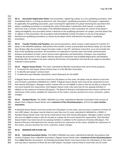**20.11 Association Registration Duties**: Any association, registering a player as a non-qualifying association, shall immediately inform, in writing via electronic mail, that player's qualifying association of the player's registration. As applicable, the qualifying association, upon receiving the registration of a player declaring the association that player's qualifying association or receiving the notice of the player's declaration shall request, in writing via electronic mail, a transfer of the player in the NAGAAA database to their association for control of the player's rating and eligibility. Any association which is declared as the qualifying association of a player, and that player fails to register in that association, the association shall immediately transfer the player to one (1) of the players declared non-qualifying associations as chosen by the player which shall become the player's qualifying association. 

- **20.12 Transfer Timeline and Penalties**: Any and all associations, which receive a valid request for transfer of a player in the NAGAAA database, shall perform the transfer as soon as practicable and without delay, but not later 565 than 30 days after the transfer request has been made or July  $10<sup>th</sup>$ , whichever comes first, so as not to hinder the duty of the qualifying association. All associations are expected to maintain open and timely communication between associations to foster correct and accurate registration and declarations of players. Any association violating the provisions in this chapter shall be required to attend the next available Registration and Database Workshop after the violation has been noted by the Director of Competition and shall also be subject to penalties outlined in these policies.
- 

**20.13 Regular Season Roster**: The roster submitted by Member Associations that serves three purposes:

- 1. To account for each player whose primary team is in the Member Association
- 2. To identify each player's primary team
- 3. To determine each Member Association's berth allotments for the GSWS
- 

 A Regular Season Roster must have at least ten (10) players on the roster. No player may be listed on more than one (1) Roster submitted to NAGAAA for a GSWS. A Regular Season Roster team may not be comprised of more than twenty (20) players. Managers and/or coaches who are not eligible to play or who do not play as a player do not count towards this requirement. Each Regular Season roster may name two (2) non-playing members in addition to the maximum of twenty (20) players. The Board of Directors shall determine the manner and form for submission of the rosters, deadline for submission of the rosters, and any sanctions for errors, omissions, and/or changes. 

 **20.14 Standard Roster**: The GSWS / NAGAAA Cup roster submitted by Member Associations that consists of players from a Regular Season Roster and a **maximum of four (4) pickup players**, all from the **same member association**.

 A Standard Season Roster must have at least ten (10) players on the roster, and may have a maximum of three (3) non-LGBT players. No player may be listed on more than one (1) roster submitted to NAGAAA for a GSWS. A Standard Season Roster team may not be comprised of more than twenty (20) players. Managers and/or coaches who are not eligible to play or who do not play as a player do not count toward this requirement. Each Standard Season Roster may name two (2) non-playing members in addition to the maximum of twenty (20) players. The Board of Directors shall determine the manner and form for submission of the rosters, deadline for submission of the rosters, and any sanctions for errors, omissions, and/or changes.

#### **20.15 RESERVED FOR FUTURE USE**

 **20.16 Extended Association Roster**: The GSWS / NAGAAA Cup roster submitted by Member Associations that consists of players from a Member Association's Regular Season Roster with a **maximum of four (4) pickup players** from **other** Member Associations. An Extended Association Roster must have at least ten (10) players on the roster and may have a maximum of three (3) non-LGBT players. No player may be listed on more than one (1) roster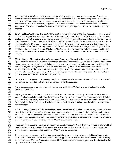submitted to NAGAAA for a GSWS. An Extended Association Roster team may not be comprised of more than twenty (20) players. Managers and/or coaches who are not eligible to play or who do not play as a player do not count toward this requirement. Each Extended Association Roster may name two (2) non-playing members in addition to the maximum of twenty (20) players. The Board of Directors shall determine the manner and form for submission of the rosters, deadline for submission of the rosters, and any sanctions for errors, omissions, and/or changes.

 **20.17 All NAGAAA Roster**: The GSWS / NAGAAA Cup roster submitted by Member Associations that consists of players from Regular Season Rosters of **multiple** Member Associations. An All NAGAAA Roster must have at least ten (10) players on the roster and may have a maximum of three (3) non-LGBT players. No player may be listed on more than one (1) Roster submitted to NAGAAA for a GSWS. An All NAGAAA Roster team may not be comprised of more than twenty (20) players. Managers and/or coaches who are not eligible to play or who do not play as a player do not count toward this requirement. Each All NAGAAA roster may name two (2) non-playing members in addition to the maximum of twenty (20) players. The Board of Directors shall determine the manner and form for submission of the rosters, deadline for submission of the rosters, and any sanctions for errors, omissions, and/or changes.

 **20.18 Masters Division Open Roster Tournament Teams**: Any Masters Division team shall be considered an Open Roster Tournament team and must adhere to either the C or D divisional guidelines. A Masters Division open roster team must have at least ten (10) players on the roster, and the roster may have a maximum of three (3) non-LGBT players. No player may be listed on more than one (1) NAGAAA Tournament or Open Roster Tournament team for that GSWS. A Masters Division Open Roster Tournament team may not be comprised of more than twenty (20) players, except that managers and/or coaches who are not eligible to play or who do not play as a player do not count toward this requirement.

 Each roster may name two (2) non-playing members in addition to the maximum of twenty (20) players. Rostered non-players are permitted on the field of play, including the dugout areas. 

- A Member Association may submit an unlimited number of All NAGAAA Rosters to participate in the Masters Divisions of the GSWS.
- 

Any players on a Masters Division Open Roster tournament team need not have qualified for the GSWS in the

same member association that is rostering the team. Any player on these rosters must have met player eligibility

- standards in their qualifying NAGAAA member association. The Board of Directors shall determine the manner and form for submission of the rosters, deadline for submission of the roster, and any sanctions for errors, omissions, and/or changes
- 

 **20.19 Adding Players to a GSWS Roster from Other Associations**: A Member Association may submit up to one Extended Association Roster if the Member Association is sending only one team to the GSWS across all Divisions. This team shall be subject to the Open Roster Tournament Team rules, except that the member association may add up to four (4) players from any other Member Association, provided that all players on the team have met the player eligibility standards in their qualifying NAGAAA Member Association.

 In addition, for any A Division or B Division teams participating at the GSWS, each team is allowed to add two (2) of their four (4) total pickup players from any other Member Association, provided that all players have met the player eligibility standards in their qualifying NAGAAA Member Association.

This rule is the sole manner in which a Member Association may add a player who qualified in another member

 association to their GSWS roster. This section does not apply to or restrict any Masters Division team from adding players from other Member Associations to their GSWS roster, subject to the rules governing the Masters Division

- 
- Open Roster Tournament teams.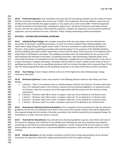**20.20 Preferred Supporters**: Each association may name two (2) non-playing members per the number of teams that the association is sending to the current year's GSWS. These supporters will not be added to rosters but are entitled to the same benefits that apply to players or non-players on a roster at the GSWS. Preferred Supporters are NOT permitted on the field of play, including the dugout areas. The Board of Directors shall determine the manner and form for submission of the preferred supporters, deadline for submission of all association preferred supporters, and any sanctions for errors, omissions, and/or changes pertaining to preferred employers.

#### **SECTION 2 – RATINGS AND DIVISIONAL GUIDELINES**

 **20.21 Individual Player Ratings:** Each member association shall rate every player, who has declared that association as the player's qualifying association, on each of its teams using the Player Rating Guidelines and report these ratings along with regular season roster in the form and manner as determined by the Board of Directors. Only a player's qualifying association shall rate that player for the purposes of the NAGAAA database, and the qualifying association shall be responsible to ensure that the player exists only once in the database with a single Player ID attributed to the player. The qualifying association bears all responsibility for the accuracy of all data attributed and attached to the player. A qualifying association, upon discovering a duplicate player entry, shall notify the Director of Competition to have the duplications merged into one (1) player identity. In the case of a player who plays in multiple associations, the player shall be listed on a team's regular season roster in the non- qualifying association, but the non-qualifying association shall not recreate the player with a separate Player ID nor alter the rating assigned that player by the qualifying association or any data entered by any other association. 

- **20.22 Team Ratings:** A team rating is defined as the sum of the highest ten (10) individual player ratings rostered on that team.
- **20.23 Divisional Guidelines:** Teams may compete in the following divisions based on their Player and Team Ratings.
- a. A division There is no maximum team or individual player rating for the A division. No team rated lower 682 than 170 is allowed to play in the A division, except any B team granted eligibility in or required to move to A Division under the no-repeat rule of this organization shall be exempt from this minimum rating requirement.
- b. B division All teams rated 180 or lower; no players rated over 20 are allowed on a B division team.
- c. C division All teams rated 140 or lower; no players rated over 15 are allowed on a C division team.
- d. D division All teams rated 110 or lower; no players rated over 12 are allowed on a D division team.
- e. E division All teams rated 75 or lower; no players rated over 8 are allowed on an E division team

- **20.24 Amendments Affecting Divisional Guidelines:** Prior to adoption of any amendment to alter the divisional guidelines, the Director of Competition shall report to the council the number of players that will be displaced by the proposed change and the number of member associations that shall be impacted by the proposed change. No amendment is in order until such report is received.
- 
- **20.25 Threshold for Amendments:** Any amendment to divisional guidelines requires a two-thirds (2/3) vote of the Council for adoption and is effective in the calendar year following the year the amendment was adopted, except that an amendment to divisional guidelines adopted at a winter meeting of the Council requires a ninety percent (90%) vote to be effective at a sanctioned NAGAAA Tournament in the same calendar year as the winter meeting.
- **20.26 Ratings Workshop:** All new member associations and first-time voting representatives of any member association are required to attend the ratings workshop held at their first regular meeting.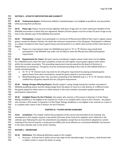#### **SECTION 3 – ATHLETIC PARTICIPATION AND ELIGIBILITY**

 **20.30 Professional players:** Professional softball or baseball players are ineligible to qualify for any Association while pursuing their profession.

 **20.31 Player age:** Players must be at least eighteen (18) years of age prior to roster submission deadline of the NAGAAA tournament in which they are registered. Masters Division players must be at least 50 years of age at any 712 time in the calendar year of the NAGAAA tournament.

 **20.32 Participation:** A player must participate in a minimum of fifty percent (50%) of their team's regular season games; except for Masters Division, for which the minimum requirement is five (5) games. Participation is defined as a player included on their team's game lineup card and present in or within close vicinity of their team bench or dugout.

718 a. Players on a tournament roster of a NAGAAA Cup team in "A" or "B" Division may include their<br>719 participation in the NAGAAA Cup under rule 20.33(b) to meet the fifty percent (50%) participati participation in the NAGAAA Cup under rule 20.33(b) to meet the fifty percent (50%) participation requirement.

 **20.33 Requirements for Teams**: No team may be considered a regular season roster team nor be eligible for a NAGAAA event unless the team completes at least ten (10) regular-season games against other teams within the member association. This preceding requirement may be waived by the Board of Directors in extraordinary circumstances. The games must be conducted according to the rules of USA Softball (ASA) or a similar sanctioning body.

- a. An "A" or "B" Division team may meet its ten (10) game requirement by playing scheduled games against teams from other Associations, except for games played in any tournament.
- b. Notwithstanding any other rule, any team competing at the NAGAAA Cup in a "A" or "B" Division shall be credited four (4) games towards this ten (10) game requirement.

 **20.34 Ratings Changes Affecting Players:** Should a player's rating change during the member association's NAGAAA qualifying season and the rating change force the player to move to a new division or a different team, the games played on either team or in either division in the same member association qualify towards the participation requirement.

 **20.35 Ineligible Players for the E Division:** Any player who receives a YES answer to Question 3 of the Player Ratings Guidelines is not eligible to be rostered on a team in or compete with a team in the E Division. Any player who receives a YES answer to Question 5 of the Player Ratings Guidelines is not eligible to be rostered on a team in or compete with a team in the E Division nor the D Division.

### **CHAPTER 25 – PLAYER RATING GUIDELINES**

 **25.01 Jurisdiction:** This chapter shall be the jurisdiction of the Council and amended at any meeting. Any amendment to this chapter requires a two-thirds (2/3) vote of the Council for adoption and is effective in the calendar year following the year the amendment was adopted, except that an amendment adopted at a winter meeting of the Council requires a ninety percent (90%) vote to be effective at a sanctioned NAGAAA Tournament in the same calendar year as the winter meeting.

### **SECTION 1 – DEFINITIONS**

- **25.10 Definitions:** The following definitions apply to this chapter:
- a. Accuracy A throw that is within one to two steps of the intended target. For pitches, a ball thrown that is called a strike or causes the batter to swing.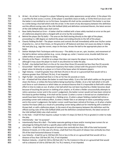- b. At-bat An at-bat is charged to a player following every plate appearance except when: 1) the player hits a sacrifice fly that scores a runner, 2) the player is awarded a base on balls, or 3) the third out occurs and the batter is not entitled to run to first base. Exception #3 shall not be considered if the batter is out due 758 to a strike being a foul ball which ends the at-bat. In the event of any discrepancy between this definition and the official scoring rules of the USA Softball (ASA) and definition contained therein, the latest version of the USA Softball (ASA) rules shall control.
- c. Base Safely Reached on Error A batter shall be credited with a base safely reached on error on the part of a defensive player(s) who is charged with an error by the scorekeeper.
- d. Behind the player (for fly balls) The area on the field starting directly to the right of the player, proceeding in a 180-degree arc behind the player and ending directly to the left of the player.
- e. Cleanly Fielding the Ball The player receives and controls the ball immediately while over his/her center of gravity (i.e., not on their knees, on the ground or off-balance) and does not cause any delay in making 767 the next play (e.g., tags the runner, steps on the base, throws the ball to the appropriate place on the field).
- f. Deliver Multiple Pitch Techniques with Accuracy The ability to use arc, spin, location, and movement of 770 the ball to deliver various pitches (e.g., curve, change up, cutter / reverse curve, knuckle ball) that are called strikes or cause the batter to swing.
- g. Directly at the Player A ball hit at a player that does not require the player to move his/her feet, although it may cause the player to reach in any direction to make the play.
- h. Fly Ball Any batted ball that is in the air for more than three (3) seconds but less than five (5) seconds
- 775 i. Ground Ball Ball hit with a downward trajectory that makes contact with the ground in front of the 776 player when hit directly at a player or in front of the bases when hit between players.
- 777 j. High Velocity A ball hit greater than 250 feet (76.2m) in the air or a ground ball that would roll to a distance greater than 250 feet (76.2m), if not impeded.
- 779 k. High Fly Ball Any batted ball that is in the air for five (5) seconds or more.
- l. Hit A batted ball that allows the batter to reach base safely: 1) on a fair ball which settles on the ground, clears the fence, or strikes the fence before being touched by a fielder, 2) on a fair ball which is hit with such force or such slowness or which takes an unnatural bounce that it is impossible to field with ordinary effort in time to make an out, 3) when a fair ball which has not been touched by a fielder becomes dead because of touching the person or clothing of an umpire, or 4) when a fielder unsuccessfully attempts to 785 retire a previous runner and in the scorer's judgement, the batter-runner would not have been retired at first base by perfect fielding. A hit shall not be scored: 1) when a runner is forced out on a batted ball or would have been forced out except for a fielding error, 2) when a player fielding a batted ball retires a preceding runner with ordinary effort, 3) when a fielder fails in an attempt to retire a preceding runner, and in the scorer's judgement, the batter-runner could have been retired at first base, or 4) when a batter 790 reaches first base safely as a result of a preceding runner being called out for interfering with a batted or 791 thrown ball, or with a defensive player. In the event of any discrepancy between this definition and the 792 official scoring rules of the USA Softball (ASA) and the definition contained therein, the latest version of 793 the USA Softball (ASA) rules shall control.
- m. In the Hole A ball hit that requires a player to take 4-5 steps (12 feet (3.7m) or greater) in order to make 795 the play.
- n. Intentionally See "on purpose".
- o. Intentionally Place Hit a Ball The batter executes getting on base and/or moving base runners for an advantage by hitting the ball to a specific place within their field of choice.
- 799 p. Line Drive A ball that from the point of contact rises vertically less than 10% of the total horizontal distance it travels, or in the case of a throw, a ball that from the point of release rises vertically less than 5% of the total horizontal distance it travels.
- q. Low Velocity A ball hit up to 150 feet (45.7m) or less in the air or a ground ball that would roll to a distance of less than 150 feet (45.7m), if not impeded.
- 804 r. Medium Velocity A ball hit 150 to 250 feet (45.7 to 76.2 meters) in the air or a ground ball that would roll to a distance of 150 to 250 feet (45.7 to 76.2 meters), if not impeded.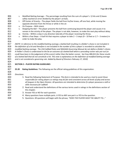| 806 | s.                                                                                                                 | Modified Batting Average - The percentage resulting from the sum of a player's: 1) hits and 2) bases                  |  |  |  |  |  |  |  |
|-----|--------------------------------------------------------------------------------------------------------------------|-----------------------------------------------------------------------------------------------------------------------|--|--|--|--|--|--|--|
| 807 |                                                                                                                    | safely reached on error divided by the player's at-bats.                                                              |  |  |  |  |  |  |  |
| 808 | t.                                                                                                                 | Off Center of Gravity - The player fields the ball from his/her knees, off one foot, while moving the                 |  |  |  |  |  |  |  |
| 809 |                                                                                                                    | opposite direction from the throw or while in the air.                                                                |  |  |  |  |  |  |  |
| 810 | u.                                                                                                                 | On Purpose - With intent.                                                                                             |  |  |  |  |  |  |  |
| 811 | v.                                                                                                                 | Stopping the Ball - The player prevents the ball from continuing beyond the player and causes it to                   |  |  |  |  |  |  |  |
| 812 |                                                                                                                    | remain in the vicinity of the player. The player is not able, however, to make the next play without delay.           |  |  |  |  |  |  |  |
| 813 | w.                                                                                                                 | Vicinity - Within a step in any direction laterally of the player receiving the throw.                                |  |  |  |  |  |  |  |
| 814 | х.                                                                                                                 | Within a Few Steps - A ball hit that requires a player to take $2 - 3$ steps (9 - 10 feet or 2.7 - 3 meters) in       |  |  |  |  |  |  |  |
| 815 |                                                                                                                    | order to make the play.                                                                                               |  |  |  |  |  |  |  |
| 816 |                                                                                                                    |                                                                                                                       |  |  |  |  |  |  |  |
| 817 |                                                                                                                    | (NOTE: In reference to the modified batting average, a batted ball resulting in a fielder's choice is not included in |  |  |  |  |  |  |  |
| 818 |                                                                                                                    | the definition of a hit and therefore is not included in the number of hits a player is recorded to calculate the     |  |  |  |  |  |  |  |
| 819 |                                                                                                                    | modified batting average. The USA Softball Rules and NAGAAA Governing Manual do not define a fielder's choice.        |  |  |  |  |  |  |  |
| 820 |                                                                                                                    | A Fielder's Choice is understood to the be an outcome of a batted ball where a preceding runner was put-out (or       |  |  |  |  |  |  |  |
| 821 | could have been in the judgement of the scorer) rather than the batter-runner. See lines 806-813 for these results |                                                                                                                       |  |  |  |  |  |  |  |
| 822 |                                                                                                                    | of a batted ball that do not constitute a hit. This note is explanatory on the definition of modified batting average |  |  |  |  |  |  |  |
| 823 |                                                                                                                    | and is not considered a governing rule. Added by Board of Directors February 17, 2019)                                |  |  |  |  |  |  |  |
| 824 |                                                                                                                    |                                                                                                                       |  |  |  |  |  |  |  |
| 825 |                                                                                                                    | <b>SECTION 2 - PLAYER RATING GUIDELINES</b>                                                                           |  |  |  |  |  |  |  |
| 826 |                                                                                                                    |                                                                                                                       |  |  |  |  |  |  |  |
| 827 | 25.20                                                                                                              | Rating Guidelines: The following are the official rating guidelines of this organization:                             |  |  |  |  |  |  |  |
| 828 |                                                                                                                    |                                                                                                                       |  |  |  |  |  |  |  |
| 829 | Directions:                                                                                                        |                                                                                                                       |  |  |  |  |  |  |  |
| 830 |                                                                                                                    | 1. Read the following Statement of Purpose: This form is intended to be used as a tool to assist those                |  |  |  |  |  |  |  |
| 831 |                                                                                                                    | responsible for rating players so ratings may be fair and consistent across all levels of play and across             |  |  |  |  |  |  |  |
| 832 |                                                                                                                    | all leagues in the Open Division. All questions are intended to determine if a player possesses a skill or            |  |  |  |  |  |  |  |
| 833 |                                                                                                                    | skills necessary for softball.                                                                                        |  |  |  |  |  |  |  |
| 834 |                                                                                                                    | 2. Read and understand the definitions of the various terms used in ratings in the definitions section of             |  |  |  |  |  |  |  |
| 835 |                                                                                                                    | this chapter.                                                                                                         |  |  |  |  |  |  |  |
| 836 |                                                                                                                    | 3. Answer YES or NO for each question.                                                                                |  |  |  |  |  |  |  |
|     |                                                                                                                    |                                                                                                                       |  |  |  |  |  |  |  |
| 837 |                                                                                                                    | 4. Many questions have multiple parts. A YES to ANY one part is a YES to the question.                                |  |  |  |  |  |  |  |
| 838 |                                                                                                                    | 5. Questions: All questions will begin with the phrase, "DOES THE PLAYER HAVE THE ABILITY TO"                         |  |  |  |  |  |  |  |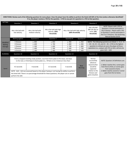| DIRECTIONS: Review each of the following questions for every player. Does the player have the ability to perform the listed skill 60% of the time (unless otherwise identified)?<br>If so, the player receives a YES for the question. A YES to any part of a question is a YES to that question. |                                        |                                           |                                                                                                                                                                               |                                                         |                                    |                                                               |                                                                                                                                                                                                              |  |
|---------------------------------------------------------------------------------------------------------------------------------------------------------------------------------------------------------------------------------------------------------------------------------------------------|----------------------------------------|-------------------------------------------|-------------------------------------------------------------------------------------------------------------------------------------------------------------------------------|---------------------------------------------------------|------------------------------------|---------------------------------------------------------------|--------------------------------------------------------------------------------------------------------------------------------------------------------------------------------------------------------------|--|
| <b>HITTING</b>                                                                                                                                                                                                                                                                                    | Question 1                             | Question 2<br>Question 3                  |                                                                                                                                                                               |                                                         | Question 4                         |                                                               |                                                                                                                                                                                                              |  |
|                                                                                                                                                                                                                                                                                                   | Hits a fair ball with<br>low velocity. | Hits a fair ball with<br>medium velocity. | Hits a fair ball with high<br>velocity. (20%<br>threshold)                                                                                                                    | Hits a fair ball with high velocity.<br>(60% threshold) |                                    | Hits a fly ball<br>300' (91.4m) or<br>more. (5%<br>threshold) | NOTE: Players with a YES to<br>Question 3 cannot participate in<br>the E Division. Players with a YES<br>to Question 5 cannot participate in<br>the D or E Divisions. See Governing<br>Manual Section 20.35. |  |
|                                                                                                                                                                                                                                                                                                   | <b>Batting against</b>                 | Question 6                                | Question 7                                                                                                                                                                    | Question 8                                              | Question 9                         |                                                               |                                                                                                                                                                                                              |  |
| <b>Modified</b><br><b>Batting</b>                                                                                                                                                                                                                                                                 | <b>E</b> Division<br>> .800            |                                           | >.850                                                                                                                                                                         | > .900                                                  | > .950                             |                                                               | <i>NOTE</i> : The following questions are linked: $1 - 4$ , $6 - 9$ ,                                                                                                                                        |  |
|                                                                                                                                                                                                                                                                                                   | D Division<br>> .600                   |                                           | > .700                                                                                                                                                                        | > .800                                                  | > .900                             |                                                               | $10 - 13$ , $15 - 22$ , and $23 - 28$ . A YES to the highest                                                                                                                                                 |  |
| Average                                                                                                                                                                                                                                                                                           | C Division<br>> .500                   |                                           | 5.600                                                                                                                                                                         | > .700                                                  | > .800                             | question in a linked set earns the player all those           |                                                                                                                                                                                                              |  |
|                                                                                                                                                                                                                                                                                                   | <b>B</b> Division<br>> .400            |                                           | > .500                                                                                                                                                                        | > .600<br>> .700                                        |                                    | questions (i.e., a player with YES on Q21, will also be       |                                                                                                                                                                                                              |  |
|                                                                                                                                                                                                                                                                                                   | A Division<br>> .300                   |                                           | > .400                                                                                                                                                                        | > .600<br>> .500                                        |                                    |                                                               | given Q15 - Q20.                                                                                                                                                                                             |  |
| <b>RUNNING</b>                                                                                                                                                                                                                                                                                    | Question 10                            | Question 11                               | Question 12                                                                                                                                                                   | Question 13                                             |                                    | Question 14                                                   |                                                                                                                                                                                                              |  |
|                                                                                                                                                                                                                                                                                                   |                                        |                                           | From a stopped standing ready position, runs from home plate to first base, one base<br>to the next, or third base to home plate (i.e., 70 feet or 21.3 meters) in less than: |                                                         | Runner<br>successfully<br>advances | <b>NOTE: Question 14 Definitions are</b>                      |                                                                                                                                                                                                              |  |
| Speed                                                                                                                                                                                                                                                                                             | 4.5 seconds                            | 4 seconds                                 |                                                                                                                                                                               | 3 seconds                                               | <b>Base</b><br><b>Running</b>      |                                                               | 1. Batter reaches first, runner goes<br>from first to third, or runner goes<br>from second to home.                                                                                                          |  |
|                                                                                                                                                                                                                                                                                                   |                                        |                                           | NOTE: Q10 - Q13 are assessed based on the player having or not having the ability to perform                                                                                  |                                                         |                                    | relative to the                                               | 2. Batter reaches second or runner                                                                                                                                                                           |  |
|                                                                                                                                                                                                                                                                                                   |                                        |                                           | the listed skill. There is no percentage threshold for these questions; the player can or cannot                                                                              |                                                         |                                    | Division and                                                  | goes from first to home.                                                                                                                                                                                     |  |
|                                                                                                                                                                                                                                                                                                   | perform the skill.                     |                                           |                                                                                                                                                                               |                                                         |                                    | game situation.                                               |                                                                                                                                                                                                              |  |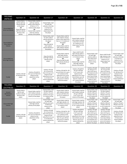| <b>FIELDING</b><br>(INFIELD)                               | Question 15                                                                                                                                                 | Question 16                                                                                                                                                                                                  | Question 17                                                                                                                                                       | Question 18                                                                                                                                                                                                    | Question 19                                                                                                                                                                                        | Question 20                                                                                                                                                                                               | Question 21                                                                                                                                                                                               | Question 22                                                                                                                            |
|------------------------------------------------------------|-------------------------------------------------------------------------------------------------------------------------------------------------------------|--------------------------------------------------------------------------------------------------------------------------------------------------------------------------------------------------------------|-------------------------------------------------------------------------------------------------------------------------------------------------------------------|----------------------------------------------------------------------------------------------------------------------------------------------------------------------------------------------------------------|----------------------------------------------------------------------------------------------------------------------------------------------------------------------------------------------------|-----------------------------------------------------------------------------------------------------------------------------------------------------------------------------------------------------------|-----------------------------------------------------------------------------------------------------------------------------------------------------------------------------------------------------------|----------------------------------------------------------------------------------------------------------------------------------------|
| <b>Ground Ball/Line</b><br><b>Drive Low Velocity</b>       | Cleanly fields a<br>ball hit with low<br>velocity directly<br>at the player<br>OR<br>Stops the ball hit<br>with low velocity<br>directly at the<br>pitcher. | Cleanly fields a ball hit<br>with low velocity<br>within a few steps $(9 -$<br>10 feet or 2.7-3<br>meters) of the player<br>OR<br>Cleanly fields a ball hit<br>with low velocity<br>directly at the pitcher. | Cleanly fields a ball<br>hit with low<br>velocity in the hole<br>(>12 feet (3.7<br>meters) or 4-5<br>steps) away from<br>the player.                              |                                                                                                                                                                                                                |                                                                                                                                                                                                    |                                                                                                                                                                                                           |                                                                                                                                                                                                           |                                                                                                                                        |
| <b>Ground Ball/Line</b><br><b>Drive Medium</b><br>Velocity |                                                                                                                                                             |                                                                                                                                                                                                              | Cleanly fields a ball<br>hit with medium<br>velocity directly at<br>the player<br>OR<br>Stops the ball hit<br>with medium<br>velocity directly at<br>the pitcher. | Cleanly fields a ball hit<br>with medium velocity<br>within a few steps (9-10<br>feet or 2.7-3 meters) of<br>the player<br>OR<br>Cleanly fields a ball hit<br>with medium velocity<br>directly at the pitcher. | Cleanly fields a ball hit<br>with medium velocity<br>in the hole (>12 feet<br>(3.7 meters) or 4-5<br>steps) away from the<br>player.                                                               |                                                                                                                                                                                                           |                                                                                                                                                                                                           |                                                                                                                                        |
| <b>Ground Ball/Line</b><br>Drive High Velocity             |                                                                                                                                                             |                                                                                                                                                                                                              | Stops the ball hit<br>with high velocity<br>directly at the<br>player.                                                                                            | Cleanly fields a ball hit<br>with high velocity<br>directly at the player<br>ΟR<br>Stops the ball hit with<br>high velocity directly at<br>the pitcher.                                                        | Stops a ball hit with<br>high velocity within a<br>few steps (9-10 feet or<br>2.7-3 meters) of the<br>player<br>OR<br>Cleanly fields a ball hit<br>with high velocity<br>directly at the pitcher.  | Cleanly fields a ball<br>hit with high<br>velocity within a<br>few steps (9-10<br>feet or 2.7-3<br>meters) of the<br>player.                                                                              | Stops a ball hit with<br>high velocity in the<br>hole (>12 feet (3.7<br>meters) or 4-5<br>steps) away from<br>the player.                                                                                 | Cleanly fields a ball<br>hit with high<br>velocity in the hole<br>(>12 feet (3.7)<br>meters) or 4-5<br>steps) away from<br>the player. |
| <b>Fly Ball</b>                                            | Catches a fly ball<br>hit directly at the<br>player.                                                                                                        | Catches a fly ball hit<br>zero up to 15 feet (4.6<br>meters) to the<br>sides/front of the<br>player.                                                                                                         | Catches a fly ball<br>hit >15 up to 30<br>feet (>4.6 up to 9.1<br>meters) to the<br>sides/front of or up<br>to 15 feet (4.6)<br>meters) behind the<br>player.     | Catches a fly ball hit >30<br>up to 45 feet (>9.1 up to<br>13.7 meters) to the<br>sides/front of or more<br>than 15 up to 30 feet<br>(4.6 up to 9.1 meters)<br>behind the player.                              | Catches a fly ball hit<br>>45 up to 60 feet<br>(>13.7 up to 18.3<br>meters) to the<br>sides/front of or more<br>than 30 feet up to 45<br>feet (9.1 meters to<br>13.7 meters) behind<br>the player. | Catches a fly ball<br>hit >60 up to 75<br>feet (>18.3 up to<br>22.9 meters) to the<br>sides/front of or<br>more than 45 feet<br>up to 60 feet (13.7<br>meters to 18.3<br>meters) behind of<br>the player. | Catches a fly ball<br>hit >75 up to 90<br>feet (>22.9 up to<br>27.4 meters) to the<br>sides/front of or<br>more than 60 feet<br>up to 75 feet (18.3<br>meters to 22.9<br>meters) behind of<br>the player. | Catches a fly ball<br>hit >90 feet (27.4<br>meters) to the<br>sides/front of or<br>>75 feet (22.9<br>meters) behind of<br>the player.  |
| <b>FIELDING</b><br>(OUTFIELD)                              | Question 15                                                                                                                                                 | Question 16                                                                                                                                                                                                  | Question 17                                                                                                                                                       | Question 18                                                                                                                                                                                                    | Question 19                                                                                                                                                                                        | Question 20                                                                                                                                                                                               | Question 21                                                                                                                                                                                               | Question 22                                                                                                                            |
| Ground<br><b>Ball Medium</b><br>Velocity                   | Cleanly fields a<br>ball hit with<br>medium velocity<br>directly at the<br>player.                                                                          | Cleanly fields a ball hit<br>with medium velocity<br>zero up to 15 feet (4.6<br>meters) of the player.                                                                                                       | Cleanly fields a ball<br>hit with medium<br>velocity >15 up to<br>30 feet (>4.6 up to<br>9.1 meters) of the<br>player.                                            | Cleanly fields a ball hit<br>with medium velocity<br>>30 up to 45 feet (>9.1<br>up to 13.7 meters) of<br>the player.                                                                                           | Cleanly fields a ball hit<br>with medium velocity<br>>45 up to 60 feet<br>(>13.7 up to 18.3<br>meters) of the player.                                                                              | Cleanly fields a ball<br>hit with medium<br>velocity >60 up to<br>75 feet (>18.3 up<br>to 22.9 meters) of<br>the player                                                                                   | Cleanly fields a ball<br>hit with medium<br>velocity >75 up to<br>90 feet (>22.9 up<br>to 27.4 meters) of<br>the player                                                                                   |                                                                                                                                        |
| <b>Ground Ball High</b><br>Velocity                        |                                                                                                                                                             | Cleanly fields a ball hit<br>with high velocity<br>directly at the player.                                                                                                                                   | Cleanly fields a ball<br>hit with high<br>velocity zero up to<br>15 feet (4.6<br>meters) of the<br>player.                                                        | Cleanly fields a ball hit<br>with high velocity >15<br>up to 30 feet (>4.6 up to<br>9.1 meters) of the<br>player.                                                                                              | Cleanly fields a ball hit<br>with high velocity >30<br>up to 45 feet (>9.1 up<br>to 13.7 meters) of the<br>player.                                                                                 | Cleanly fields a ball<br>hit with high<br>velocity >45 up to<br>60 feet (>13.7 up<br>to 18.3 meters) of<br>the player.                                                                                    | Cleanly fields a ball<br>hit with high<br>velocity >60 up to<br>75 feet (>18.3 up<br>to 22.9 meters) of<br>the player.                                                                                    | Cleanly fields a ball<br>hit with high<br>velocity >75 up to<br>90 feet (>22.9 up<br>to 27.4 meters) of<br>the player.                 |
| Fly Ball                                                   | Catches a fly ball<br>hit directly at the<br>player.                                                                                                        | Catches a fly ball hit<br>zero up to 15 feet (4.6<br>meters) to the<br>sides/front of the<br>player.                                                                                                         | Catches a fly ball<br>hit >15 up to 30<br>feet (>4.6 up to 9.1<br>meters) to the<br>sides/front of or up<br>to 15 feet (4.6<br>meters) behind the<br>player.      | Catches a fly ball hit >30<br>up to 45 feet (>9.1 up to<br>13.7 meters) to the<br>sides/front of or more<br>than 15 up to 30 feet<br>(4.6 up to 9.1 meters)<br>behind the player.                              | Catches a fly ball hit<br>>45 up to 60 feet<br>(>13.7 up to 18.3<br>meters) to the<br>sides/front of or more<br>than 30 feet up to 45<br>feet (9.1 up to 13.7<br>meters) behind the<br>player.     | Catches a fly ball<br>hit >60 up to 75<br>feet (>18.3 up to<br>22.9 meters) to the<br>sides/front of or<br>more than 45 feet<br>up to 60 feet (13.7<br>up to 18.3 meters)<br>behind the player.           | Catches a fly ball<br>hit >75 up to 90<br>feet (>22.9 up to<br>27.4 meters) to the<br>sides/front of or<br>more than 60 feet<br>up to 75 feet (18.3<br>up to 22.9 meters)<br>behind the player.           | Catches a fly ball<br>hit >90 feet (27.4<br>meters) to the<br>sides/front of or<br>>75 feet (22.9<br>meters) behind<br>the player.     |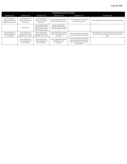| THROWING AND PITCHING                                                       |                                                                             |                                                                                                             |                                                                                              |                                                                                                                                   |                                                                                                                                |  |  |  |  |
|-----------------------------------------------------------------------------|-----------------------------------------------------------------------------|-------------------------------------------------------------------------------------------------------------|----------------------------------------------------------------------------------------------|-----------------------------------------------------------------------------------------------------------------------------------|--------------------------------------------------------------------------------------------------------------------------------|--|--|--|--|
| Question 23                                                                 | Question 24                                                                 | Question 25                                                                                                 | Question 26                                                                                  | Question 27                                                                                                                       | Question 28                                                                                                                    |  |  |  |  |
| Throw 50 feet (15.2<br>meters) with line drive<br>(regardless of accuracy). | Throw 50 feet (15.2)<br>meters) with line drive<br>and accuracy.            | Throw 70 feet (21.3<br>meters) with line drive<br>and accuracy.                                             | Throw 100 feet (30.5 meters)<br>with line drive and accuracy.                                | Throw 150 feet (45.7 meters) with<br>line drive and accuracy.                                                                     | Throw >200 feet (61 meters) with line drive and accuracy.                                                                      |  |  |  |  |
|                                                                             | Pitch a strike.                                                             | Vary the height, depth<br>and location of the pitch<br>while pitching a called<br>strike or being swung at. | Deliver multiple pitch<br>techniques while pitching a<br>called strike or being swung<br>at. |                                                                                                                                   |                                                                                                                                |  |  |  |  |
| Throw 70 feet (21.3<br>meters) (regardless of<br>arc or accuracy).          | Throw 70 feet (21.3<br>meters) with line drive<br>(regardless of accuracy). | Throw 100 feet (30.5<br>meters) with line drive<br>(regardless of accuracy).                                | Throw 150 feet (45.7 meters)<br>with line drive (regardless of<br>accuracy).                 | Throw >200 feet (61 meters) with<br>line drive (regardless of accuracy).                                                          | Throw 150 feet (45.7 meters) with line drive and accuracy<br>while off center of gravity (e.g., from knees, from one<br>foot). |  |  |  |  |
|                                                                             | Throw 100 feet (30.5<br>meters) (regardless of<br>arc or accuracy).         | Throw 150 feet (45.7<br>meters) (regardless of<br>arc or accuracy).                                         | Throw >200 feet (61 meters)<br>(regardless of arc or<br>accuracy).                           | Throw 100 feet (30.5 meters) with<br>line drive and accuracy while off<br>center of gravity (e.g., from knees,<br>from one foot). |                                                                                                                                |  |  |  |  |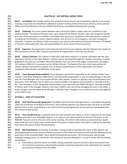| 820<br>821                             | <b>CHAPTER 30 - GAY SOFTBALL WORLD SERIES</b>                                                                                                                                                                                                                                                                                                                                                                                                                                                                                                                                                      |
|----------------------------------------|----------------------------------------------------------------------------------------------------------------------------------------------------------------------------------------------------------------------------------------------------------------------------------------------------------------------------------------------------------------------------------------------------------------------------------------------------------------------------------------------------------------------------------------------------------------------------------------------------|
| 822                                    | Jurisdiction: This chapter shall be the jurisdiction of the Council and amended by majority at any council                                                                                                                                                                                                                                                                                                                                                                                                                                                                                         |
| 823                                    | 30.01                                                                                                                                                                                                                                                                                                                                                                                                                                                                                                                                                                                              |
| 824                                    | meeting, except that any amendment adopted at summer meeting of the Council must achieve a ninety percent                                                                                                                                                                                                                                                                                                                                                                                                                                                                                          |
| 825                                    | (90%) vote to be effective at the Gay Softball World Series immediately following that meeting.                                                                                                                                                                                                                                                                                                                                                                                                                                                                                                    |
| 826<br>827<br>828<br>829               | Authority: The actual contest between teams during the GSWS is solely under the jurisdiction of the<br>30.02<br>Athletic Director. The Board of Directors may, upon request of the Athletic Director, alter and change the format<br>and rules of the tournament as needed to accomplish play and ensure completion of the tournament in times of,<br>including, but not limited to, nature-related incidents, acts of terror or civil emergency, and other emergency                                                                                                                              |
| 830<br>831<br>832                      | situations. Complete cancellation of the tournament may only be authorized by the Board of Directors. The Board<br>of Directors shall outline the roles and responsibilities for all personnel of the tournament.                                                                                                                                                                                                                                                                                                                                                                                  |
| 833                                    | Expenses: The organization will assume all real and necessary expenses directly related to the conduct of                                                                                                                                                                                                                                                                                                                                                                                                                                                                                          |
| 834                                    | 30.03                                                                                                                                                                                                                                                                                                                                                                                                                                                                                                                                                                                              |
| 835                                    | the tournament and any other expenses assumed by the organization in the host city contract.                                                                                                                                                                                                                                                                                                                                                                                                                                                                                                       |
| 836                                    | Umpire Selection: The Umpire-in-Chief (UIC) shall select umpires in a manner consistent with the rules,                                                                                                                                                                                                                                                                                                                                                                                                                                                                                            |
| 837                                    | 30.04                                                                                                                                                                                                                                                                                                                                                                                                                                                                                                                                                                                              |
| 838                                    | regulations and acts of the Open Division. Umpires may be nominated through the member association in whose                                                                                                                                                                                                                                                                                                                                                                                                                                                                                        |
| 839                                    | geographic area they are accredited. Recommendations may come from their league commissioner, the league                                                                                                                                                                                                                                                                                                                                                                                                                                                                                           |
| 840                                    | UIC, previous GSWS UIC or previous/current Athletic Director. The Board of Directors shall create policies for                                                                                                                                                                                                                                                                                                                                                                                                                                                                                     |
| 841                                    | umpire selection that welcome umpires from all diverse representations of this organization and ensure                                                                                                                                                                                                                                                                                                                                                                                                                                                                                             |
| 842                                    | competent administration and officiation of the game.                                                                                                                                                                                                                                                                                                                                                                                                                                                                                                                                              |
| 843                                    | Team Manager Responsibilities: Team Managers will be held responsible for the conduct of their Team                                                                                                                                                                                                                                                                                                                                                                                                                                                                                                |
| 844                                    | 30.05                                                                                                                                                                                                                                                                                                                                                                                                                                                                                                                                                                                              |
| 845                                    | members at all times during the GSWS both on and around the playing field. In case of a disputed play or decision,                                                                                                                                                                                                                                                                                                                                                                                                                                                                                 |
| 846                                    | only the Team Manager may consult game officials; other players, coaches or sponsors may not participate in the                                                                                                                                                                                                                                                                                                                                                                                                                                                                                    |
| 847                                    | discussion. Team Managers are to report any unsportsmanlike or derogatory acts by players or spectators to the                                                                                                                                                                                                                                                                                                                                                                                                                                                                                     |
| 848                                    | AD. Team Managers or their designated representatives must attend the pre-GSWS Managers' meeting on behalf                                                                                                                                                                                                                                                                                                                                                                                                                                                                                         |
| 849                                    | of his/her team. If the manager named on the team's GSWS roster will not be managing the team in the GSWS, a                                                                                                                                                                                                                                                                                                                                                                                                                                                                                       |
| 850                                    | proxy manager must be named at the Manager's Meeting. Team managers must verify the accuracy and eligibility                                                                                                                                                                                                                                                                                                                                                                                                                                                                                       |
| 851                                    | of the GSWS roster.                                                                                                                                                                                                                                                                                                                                                                                                                                                                                                                                                                                |
| 852<br>853                             | <b>SECTION 1 - HOST CITY SELECTION</b>                                                                                                                                                                                                                                                                                                                                                                                                                                                                                                                                                             |
| 854                                    | 30.10                                                                                                                                                                                                                                                                                                                                                                                                                                                                                                                                                                                              |
| 855                                    | Host City Partnership Agreement: The GSWS Host City Partnership Agreement is a standalone document,                                                                                                                                                                                                                                                                                                                                                                                                                                                                                                |
| 856                                    | under the jurisdiction of the Board of Directors, which shall be signed by any potential Host City prior to and filed                                                                                                                                                                                                                                                                                                                                                                                                                                                                              |
| 857                                    | with the Intent to Bid. Amendments to the Host City Partnership Agreement can be authored and adopted with                                                                                                                                                                                                                                                                                                                                                                                                                                                                                         |
| 858                                    | the consent of both parties.                                                                                                                                                                                                                                                                                                                                                                                                                                                                                                                                                                       |
| 859                                    | Host City Bid Process: A potential Host City shall complete and submit an Intent to Bid form by the stated                                                                                                                                                                                                                                                                                                                                                                                                                                                                                         |
| 860                                    | 30.11                                                                                                                                                                                                                                                                                                                                                                                                                                                                                                                                                                                              |
| 861                                    | deadline and remit a non-refundable deposit, in an amount to be determined by the Board of Directors, to the                                                                                                                                                                                                                                                                                                                                                                                                                                                                                       |
| 862                                    | NAGAAA Treasurer prior to the start of the winter meeting. The Intent to Bid shall be accompanied by a signed                                                                                                                                                                                                                                                                                                                                                                                                                                                                                      |
| 863                                    | copy of the host city contract and a written list of all promises and guarantees that shall be made by the potential                                                                                                                                                                                                                                                                                                                                                                                                                                                                               |
| 864                                    | Host City in the course of their bid presentation.                                                                                                                                                                                                                                                                                                                                                                                                                                                                                                                                                 |
| 865<br>866<br>867<br>868<br>869<br>870 | Bid Presentations: All member associations, having properly submitted the Intent to Bid, deposit, and<br>30.12<br>accompanying document(s) shall be allowed to present to their bids to the Council at the Summer Meeting two (2)<br>years prior to the intended GSWS. There will be no hosted bid city parties. The Commissioner will set aside<br>individual meeting rooms, at a particular time, during the Summer Meeting for a Q and A session with the bidding<br>associations.<br>If the state or province where the GSWS is being conducted requires insurance above and beyond what<br>a. |
| 871                                    | the Council has previously authorized this situation should be presented in the initial bid by the member                                                                                                                                                                                                                                                                                                                                                                                                                                                                                          |
| 872                                    | association(s) seeking to host the GSWS.                                                                                                                                                                                                                                                                                                                                                                                                                                                                                                                                                           |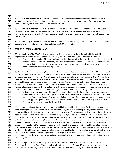**30.13 Bid Restrictions**: No association will hold a GSWS in another member association's metropolitan area without permission of that member association. No organization that is not a member of the NAGAAA, Open Division Softball, Inc. can serve as a Host City for the GSWS.

 **30.14 No-Bid Authorizations**: In the event no association submits an Intent to Bid form for the GSWS, the NAGAAA Board of Directors will select the Host City for the event. In such cases, NAGAAA assumes all responsibilities and costs for hosting said GSWS and the Board of Directors is exempt from the restrictions listed in 881 this chapter. 

 **30.15 Host City (Bid) Selection**: The GSWS Host Cities shall be selected by majority vote of the Council before the conclusion of the Summer Meetings but after the Q&A presentation. 

#### **SECTION 2 – TOURNAMENT FORMAT**

 **30.20 Divisions:** The GSWS shall be conducted with teams divided by the divisional guidelines of this organization in the following divisions: "A", "B", "C", "D", "E", "Masters-C", and "Masters-D" Divisions.

890 a. If there are less than four (4) teams registered in the Masters-D Division, the division shall be consolidated 891 into the Masters-C Division. Teams originally registered for the Masters-D Division may, upon notice of 892 the consolidation, elect to withdraw from the tournament and receive a full refund of the team and other 893 required fees and deposits without penalty.

 **30.21 Pool Play**: For all divisions, the pool play draw is based on team ratings, except for A and B Division pool 896 play assignments, the top three (3) seeds will be assigned to the top teams from NAGAAA Cup in their respective division, if applicable. For Masters-C and Masters-D Divisions, pool play shall begin no earlier than Wednesday of the week of the GSWS except that when more than 20 teams are registered in either Masters Division then pool play shall begin no earlier than Tuesday of the same week. Pool play shall consist of four (4) games per team, where possible, with a minimum of two (2) pool play games. The Athletic Director shall assign each team an equal number of games per team as the home team and the visiting team and in the case of any odd number of games per team, the Athletic Director shall randomly assign the team as home or the visiting team.

- a. Forfeiting any pool play game will result in an automatic disqualification of the team from that year's double elimination tournament. Appeals of an automatic disqualification may be presented to the Athletic Director before the beginning of the double elimination games if accompanied by a non-refundable \$50 906 fee. If an appeal is upheld, the team will be reinstated in the GSWS with the pool play record as recorded. If an appeal is denied, the team is disqualified.
- **30.22 Double Elimination**: The Athletic Director will hold and publish the results of a double elimination bracket draw. Seeding into Double Elimination will be determined by the results of pool play. Any teams with the same record shall be seeded in order of their ratings, highest to lowest. If any teams are tied on ratings, the seed shall be determined by random draw. Any team eliminated in pool play will be assigned the lowest seed in the Double Elimination Bracket. If two teams from the same member association are drawn to play each other the first round of the Double Elimination bracket, the lower seeded team will be dropped one seed. If two teams from the same member association are drawn to play each other the first round of the Double Elimination bracket and both teams occupy the lowest two seeds in that division, then the higher seed of the two shall be elevated one more position in the seeding. The AD is authorized to schedule the tournament such that some teams may be eliminated on the first day of Double Elimination play. For all games in double elimination, the home team shall be the higher 919 seeded team between the two (2) opposing teams, except that the no team that is undefeated in double- elimination may be the away team when facing an opponent, with a recorded loss in double elimination, who is seeded higher.

 **30.23 Trophies**: Trophies will be given in all divisions and awarded after the conclusion of the Double 924 Elimination Tournament. Team Trophies will be given for the 1st,  $2^{nd}$ ,  $3^{rd}$ , and 4<sup>th</sup> place winners for each division. Individual awards will be given to the rostered members of the trophy-winning teams in each division.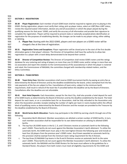#### **SECTION 3 – REGISTRATION**

 **30.30 Player Registration:** Each member of each GSWS team shall be required to register prior to playing in the GSWS. During registration, players must verify their rating, pick up player status, select an LGBT/Non-LGBT status, review the required waiver information, declare any and all associations in which the player played during the qualifying seasons for that years' GSWS, and verify the accuracy of all information and provide their signature to complete the registration. Players will be required to present state or nationally accepted photo identification at registration for the purposes of establishing identity. No changes can be made to any player rating, either adding or deleting.

 A. **Player Fee:** Starting with the 2022 GSWS, players and non-players on a GSWS roster will be charged a fee at the time of registration.

938<br>939 **30.31 Registration Terms and Exceptions**: Player registration will be closed prior to the start of the first double elimination game in that player's division. The Director of Competition shall have the authority to allow late registration to a player with a travel delay demonstrated to be beyond their control. 

 **30.32 Director of Competition Review:** The Director of Competition shall review GSWS rosters and the ratings database for any rostering and rating of players on more than one (1) GSWS roster and/or ratings in more than one (1) association and report the violation to the Commissioner(s) of the association(s) in which the player is rostered and rated, the Commissioner of NAGAAA, the committee charged with membership related matters, and the Ethics Committee.

#### **SECTION 4 – TEAM ENTRIES**

 **30.40 Team Entry Fees:** Member associations shall reserve GSWS tournament berths by paying an entry fee as determined by the Board of Directors and by the deadline established by the board, unless exempted from the fee. Late payments of the fee are subject to fine. Cancellations of team entry, subject to the minimum berth requirement, shall result in refund of the team fee if cancelled before the deadline set by the Board of Directors. Cancellations after the deadline are not refundable.

 **30.41 Host Hotel Deposits**: Each Association, except for the Host City, shall also provide a hotel deposit for each of its GSWS teams as determined by the Board of Directors and by the deadline established by the board. The hotel deposit for each team, or on a cumulative basis for an Association, shall be fully refunded to the Association only when the Association provides receipts totaling the number of nights per team in rooms booked within the official block of qualifying rooms as determined by the Board of Directors and the receipts are provided to the Treasurer by 962 the deadline established by the Board of Directors. 

- **30.42 World Series Berth Allocation:** Teams may participate in the GSWS by earning a berth through one of the following:
- a. Association Berth Allotment: Member associations are allotted a certain number of GSWS berths. In turn, each member association shall be responsible for its own determination on utilizing its allotted GSWS berths.
- b. The top four (4) GSWS teams in the B, C, D, and E Divisions receive an automatic berth to the following year's GSWS. These berths do not count against the Member Association's berth allotment. To utilize the automatic berth, the GSWS team must: play in the next highest Division the following year and include at least four (4) players from the previous year's GSWS roster. Any B team awarded an automatic berth by 973 this provision shall be exempt from the minimum team rating requirement for the A Division.
- c. The top three (3) NAGAAA Cup teams in the B and A Divisions receive an automatic berth to the same year's GSWS. These berths do not count against the Member Association's berth allotment. To utilize the automatic berth: the NAGAAA and the GSWS Rosters for the team must adhere to the guidelines for a 977 Standard Roster, the players from both rosters must meet all eligibility requirements for the GSWS and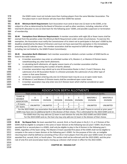- 978 the GSWS roster must not include more than 4 pickup players from the same Member Association. The 979 first-place team in each Division will also have their GSWS fee waived.
- 981 **30.43 Minimum Berth Requirement:** Each Association must send at least one (1) team to the GSWS, or be 982 subject to a fine as determined by the Board of Directors as well as other sanctions, including, reduction of the 983 total berth allocation to one (1) total team for the following years' GSWS, and possible suspension or termination 984 of membership.
- 986 **30.44 Exemptions from Minimum Requirements:** A member association with eight (8) or fewer teams shall be 987 exempt from the penalties under the Minimum Berth Requirement under certain circumstances. To exercise this 988 exemption, the Association must notify the Commissioner of its intent not to participate in that year's GSWS by the 989 deadline established by the Board of Directors and must not have exercised this exemption in the immediately 990 preceding two (2) calendar years. The member association shall be required to fulfill all other obligations, 991 including, but not limited to, the GSWS Protest Committee(s).
- 993 **30.45 Association Berth Allotment**: Each member association is allotted a certain number of GSWS berths as 994 listed in the table below:
- 995 a. A member association may enter an unlimited number of A, Masters-C, or Masters-D Division teams 996 notwithstanding any other berth allotments.
- 997 b. In calculating berth allotments, all regular season teams of a member association shall be 998 considered in determining the number of berths allotted.
- 999 c. A member association may submit up to one All Association Roster in the E, D and C Divisions. Any 1000 submission of an All Association Roster in a Division precludes the submission of any other type of 1001 rosters in that same Division.
- 1002 d. A member association entering only one (1) A Division team may do so as on open-roster team.
- 1003 e. All Masters-C and Masters-D Division teams shall be considered open roster teams.
- 1004 f. A member association may only enter one (1) E Division team which shall be considered an open-1005 rostered team
- 1006

985

992

# ASSOCIATION BERTH ALLOTMENTS

| Team entries may not exceed maximum limits for each division nor the total maximum berths.                                                                                                                                            |                      |                 |                 |                 |                 |                              |                                     |  |  |
|---------------------------------------------------------------------------------------------------------------------------------------------------------------------------------------------------------------------------------------|----------------------|-----------------|-----------------|-----------------|-----------------|------------------------------|-------------------------------------|--|--|
| <b>TEAMS IN</b><br><b>MEMBER</b><br>ASSOCIATION                                                                                                                                                                                       | А<br><b>DIVISION</b> | <b>DIVISION</b> | <b>DIVISION</b> | <b>DIVISION</b> | <b>DIVISION</b> | MASTERS-C<br><b>DIVISION</b> | <b>MASTERS-D</b><br><b>DIVISION</b> |  |  |
| < 25 teams                                                                                                                                                                                                                            | <b>UNLIMITED</b>     | UNLIMITED       |                 |                 |                 | UNLIMITED                    |                                     |  |  |
| 25+ teams                                                                                                                                                                                                                             |                      |                 |                 |                 |                 |                              | UNLIMITED                           |  |  |
| For the 2022 GSWS, any association that sends their full allotment of E, D, and C Teams in current or prior years'<br>. And the there is a strong to the state of the strong of the strong and the strong strong strong strong strong |                      |                 |                 |                 |                 |                              |                                     |  |  |

GSWS may have one (1) additional berth in the division of their choice. This is eliminated for the 2023 GSWS and on.

The GSWS Host City may add one (1) team in each division for only the 2022 GSWS and 2023 GSWS. For the 2024 GSWS and on, the host city may only add one (1) team in the division of their choice.

1007

 **30.46 No-Repeat Rule**: No team awarded first, second, third, or fourth place in the B, C, D, or E Division of the GSWS shall be eligible to compete in the same or lower division at the following two (2) years' GSWS. Any B team, awarded first or second place in a GSWS, shall only be eligible to play in the A Division in the following year's GSWS, regardless of the team rating. The Masters-D team awarded first place of the GSWS shall not be eligible to compete in the same or lower division at the following year's GSWS. For the purpose of this rule, an ineligible returning team shall be defined as consisting of four (4) or more players from the prior-year GSWS roster of a team awarded first, second, third, or fourth place. This section shall not be enforced until the 2023 GSWS, and the prior 1015 rule of only first and second place teams moving up a division shall remain in effect for the 2022 GSWS. 1016

#### 1017 **CHAPTER 40 – NAGAAA CUP**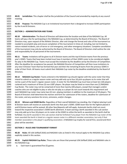**40.01 Jurisdiction:** This chapter shall be the jurisdiction of the Council and amended by majority at any council meeting.

 **40.02 Purpose**: The NAGAAA Cup is an invitational tournament that is designed to increase GSWS participation by the A and B Divisions.

#### **SECTION 1 – ADMINISTRATION AND TEAMS**

 **40.10 Administration**: The Board of Directors will determine the location and date of the NAGAAA Cup. All teams will pay a fee for participating in the NAGAAA Cup, as determined by the Board of Directors. The Board of Directors may, upon request of the Athletic Director, alter and change the format and rules of the tournament as needed to accomplish play and ensure completion of the tournament in times of, including, but not limited to, nature-related incidents, acts of terror or civil emergency, and other emergency situations. Complete cancellation of the tournament may only be authorized by the Board of Directors. The Board of Directors shall outline the role and responsibility for all personnel of the tournament.

 **40.11 Teams**: Invitations will be given to all A Division teams and the top B Division teams from the previous year's GSWS. Teams that have been invited must have 4 members of their GSWS roster to be considered eligible for play in the NAGAAA Cup. Teams must accept the invitation by the deadline set by the Director of Competition. After the deadline for acceptance has passed, the NAGAAA Director of Competition will then issue invitations to any new A Division Team that has formed that year and then the remaining B teams from the previous GSWS in order of their finish. All teams must submit their NAGAAA Cup roster by the deadline established by the Board of Directors.

 **40.12 NAGAAA Cup Roster:** Teams entered in the NAGAAA Cup should register with the same roster that they intend to submit as a regular season roster and may add only up to four (4) pick-up players to its roster that will not be a part of the team's regular season roster. A roster for the NAGAAA Cup must have at least ten (10) players rostered and a maximum of three (3) non-LGBT players. No player may be listed on more than one (1) NAGAAA Cup Roster. The roster may not be comprised of more than twenty (20) players, except that managers and/or coaches who are not eligible to play or who do not play as a player do not count towards this requirement and each NAGAAA Cup roster may name two (2) non- playing members in addition to the maximum of 20 players. The Board of Directors shall determine the manner and form for submission of the rosters, deadline for submission of 1051 the roster, and any sanctions for errors, omissions, and/or changes.

 **40.13 Winners and GSWS Berths**: Regardless of their overall NAGAAA Cup standing, the 3-highest placing A and B Division teams will receive an automatic berth into that year's GSWS. GSWS team fees for the highest-placed A and B Division teams will be waived. All other fees/deposits will still apply. Automatic berths shall not count toward the respective association's GSWS berth allotment. A team earning a berth awarded in this sub-section may only add up to four (4) players on its roster at the GSWS to utilize the berth as awarded or the berth shall be forfeited. Any berth awarded in this sub-section shall be forfeited if any player from the NAGAAA Cup roster of the team awarded the berth is listed on a regular season roster in a different member association, but only if that member association is the player's qualifying association. A NAGAAA Cup trophy for overall first, second and third place will be awarded.

- 
- 

#### **SECTION 2 – RULES AND TOURNAMENT FORMAT**

 **40.20 Rules**: All USA Softball (ASA) and NAGAAA rules as listed in this manual apply to the NAGAAA Cup unless explicitly stated in this section.

 **40.21 Explicit NAGAAA Cup Rules**: These rules are those that preempt USA Softball (ASA) and NAGAAA rules in 1069 the NAGAAA Cup.

a. Each team is guaranteed five (5) games.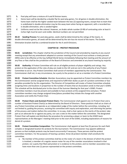b. Pool play will have a mixture of A and B Division teams.

- c. Home team will be decided by a double flip for pool play games. For all games in double elimination, the home team shall be the higher seeded team between the two (2) opposing teams, except that no team that is undefeated in double-elimination may be the away team when facing an opponent, with a recorded loss in double elimination, who is seeded higher.
- d. Uniforms need not be like colored. However, an Arabic whole number (0-99) of contrasting color at least 6 inches high must be worn and visible. Identical numbers are not permitted.

 **40.22 Seeding Process:** For pool play games, seeds shall be determined by the ratings of the teams. In double elimination games, all seeds will be determined by the win-loss-tie record of the teams. The Double

Elimination bracket shall be a combined bracket for the A and B Divisions.

#### **CHAPTER 50 – PROTEST PROCEDURE**

 **50.01 Jurisdiction:** This chapter shall be the jurisdiction of the Council and amended by majority at any council meeting except that any amendment adopted at summer meeting of the Council must achieve a ninety percent (90%) vote to be effective at the Gay Softball World Series immediately following that meeting and the amount of any fines or fees shall be the jurisdiction of the Board of Directors and amended at any board meeting by majority. 

 **50.02 Authority:** A Protest Committee will rule on all eligible protests of player eligibility and ratings. Any protest on the application of the rules of play are made to the UIC and are not in the authority of any Protest Committee to act on. Any Protest Committee shall consist of members appointed by the Commissioner. The Commissioner shall not, in any circumstance, be a party to the protest or act as a member of a Protest Committee.

 **50.03 Protest Committee Schedule**: Member Associations may be appointed as Protest Committee members by the Commissioner and be assigned times and required to fulfill their duties as part of a protest committee or face penalties provided for by this organization. The Director of Competition will create a Protest Committee schedule assigning times and locations in proportion to the number of teams that an Association sends to that year's GSWS. This schedule will be distributed prior to the close of the Summer Meeting for that year's GSWS. Protest Committee members must be present and available to hear protests at the assigned time and place. Protest committee members may change assigned times/places provided they initiate the change with another Association and notify the Protest Chair.

 **50.04 Protest Chairs and Assistant Protest Chairs:** The Commissioner shall appoint one (1) Protest Chair and a number of Assistant Protest Chair(s) as determined by the Board of Directors. These positions shall act as chairs of any Protest Committee and operate as an independent judge of the matter before the committee, including, but not limited to, guiding the process, assisting the committee with inquiry and exploration, and informing the parties of the process and matters before the committee. In no way, shall a chair opine on the merits of the protest, take part as an advocate for or against any party, nor cast a vote on the matter before the committee. The designated Protest Chair will explain and distribute the procedure for protesting a player or team to the GSWS team representatives at the Managers' meeting held prior to the start of the GSWS, including explanations of reasons for denial of a protest.

1082<br>1083

 **50.05 Protest Committee Composition**: The Commissioner shall appoint at least five (5) persons for each field complex or designated location for protests for the tournament. The Commissioner may appoint additional persons so that multiple protests may be heard concurrently if necessary. These persons shall be protest committee members. For the purposes of hearing a protest, three (3) protest member shall constitute the committee.

 a. No member of the protest committee shall be on the roster of a team in the division of which the protest 1120 is involved, a member of a regular season roster for any of the member associations involved in that protest, nor a party that filed said protest or is evidence to the protest, and no member association may have more than one (1) person represented on the protest committee.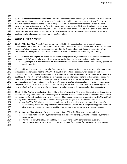**50.06 Protest Committee Deliberations**: Protest Committee business shall only be discussed with other Protest Committee members, the chair of the Protest Committee, the Athletic Director or their assistant(s), and/or the NAGAAA Board of Directors. In the course of an appeal or on business matters before the Council, member associations may be involved in post facto discussions about a protest that filed, heard, and adjudicated. Only members of the committee, the chair, NAGAAA Board of Directors, parties involved in the protest, the Athletic Director or their assistant(s), and witness and/or advocates as allowed by the committee shall be permitted into 1130 the hearing of evidence and testimony before the Committee. 

#### **SECTION 1 – FILING A PROTEST**

 **50.10 Who Can File a Protest:** Protests may only be filed by the opposing team's manager of record or their proxy, named to the Director of Competition prior to the tournament, or any Open Division Director, or a member association's Commissioner or their proxy, submitted to the Director of Competition prior to the start of the tournament. To be eligible to file a protest, a member association must be a member in good standing.

 **50.11 Protests Not Eligible:** No player can have their ratings protested, if the result of the protest would cause 1140 their current GSWS rating to be lowered. No protests may be filed based on ratings in the A division.

 a. Beginning in 2019 and thereafter, no protests may be filed based upon a player's sex, sexuality, gender, or gender identity.

 **50.12 Filing a Protest:** A protest must be filed prior to the completion of the game in question. The game umpire will suspend the game and notify a NAGAAA official, of all protests or ejections. When filing a protest, the protesting party must complete the Protest Form in its entirety and a protest fee must be submitted at the time of the filing. The Protest Form will include a list of required fees for reference. The form will only include spaces for 1148 the following required information: date, game time, name of the team protesting (OR name and title of the person protesting if it is not a team filing the protest), name of the team being protested, division of play, name of the player being protested (if any), ratings questions being protested (if any), nature of the protest (required ONLY 1151 for protests other than ratings protests), and the name and signature of the person submitting the protest. 

 **50.13 Initial Review of the Protest**: Upon initial review of the protest filing, should the protest be denied due to an improper filing, the NAGAAA official denying the protest will provide a denial reason but may not directly assist completing the form. Upon initial review of the protest filing, should the protest be accepted, the NAGAAA official making that determination will notify the teams' managers and the game will continue to conclusion.

 a. Any NAGAAA Official denying a protest under this review must clearly state the complete reason for denial of the protest, including any errors and/or omissions on the part of the protesting party. Failure to clearly state such reasons for denial shall be reported by the protesting party to the Commissioner.

 **50.14 Fees for Filing a Protest:** The costs, due at the time of filing, for filing a protest are as follows: a. For protests not based on player ratings there shall be a fifty-dollar (\$50) fee to protest a player for non-

- 1163 rating issues.
- b. During pool play, the ratings protest filing fee is \$50.00 and \$10.00 per challenged question.
- c. During double elimination, the ratings protest filing fee is \$100.00 and \$20.00 per challenged question.
-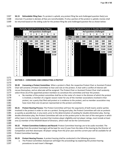1167 **50.15 Refundable Filing Fees**: If a protest is upheld, any protest filing fee and challenged question fee(s) are 1168 returned. If a protest is denied, all fees are nonrefundable. If only a portion of the protest is upheld, monies shall 1169 be returned based on the sliding scale for the protest filing fee and challenged question fee as shown below:

1170

| <b>Partially Upheld Protests in Pool Play</b> |   |      |      |      | Par  |       |       |               |  |
|-----------------------------------------------|---|------|------|------|------|-------|-------|---------------|--|
| #of questions challenged                      |   |      |      |      |      |       |       |               |  |
|                                               |   | 1    | 2    | 3    | 4    | 5     | 6     |               |  |
| <b>Filing Fee</b>                             |   | \$20 | \$40 | \$60 | \$80 | \$100 | \$120 | <b>Filing</b> |  |
|                                               |   |      |      |      |      |       |       | Fee           |  |
| #                                             | 1 | \$20 | \$20 | \$20 | \$20 | \$20  | \$20  | #             |  |
| о<br>f                                        | 2 |      | \$40 | \$40 | \$40 | \$40  | \$40  | o<br>f        |  |
| q                                             | 3 |      |      | \$60 | \$60 | \$60  | \$60  | q             |  |
| u                                             | 4 |      |      |      | \$80 | \$80  | \$80  | u             |  |
| е<br>S                                        | 5 |      |      |      |      | \$100 | \$100 | е<br>S        |  |
| t                                             | 6 |      |      |      |      |       | \$120 | t             |  |
| i                                             |   |      |      |      |      |       |       | i             |  |
| $\mathbf{o}$                                  |   |      |      |      |      |       |       | O             |  |
| n                                             |   |      |      |      |      |       |       | n             |  |
| s                                             |   |      |      |      |      |       |       | s             |  |
| u                                             |   |      |      |      |      |       |       | u             |  |
| p                                             |   |      |      |      |      |       |       | р             |  |
| h                                             |   |      |      |      |      |       |       | h             |  |
| e                                             |   |      |      |      |      |       |       | e             |  |
|                                               |   |      |      |      |      |       |       |               |  |
| d                                             |   |      |      |      |      |       |       | d             |  |

| Partially Upheld Protests in Pool Play |                          |      |      |      |       |       |                                           |   |      | Partially Upheld Protests in Double Elimination |                          |       |       |       |
|----------------------------------------|--------------------------|------|------|------|-------|-------|-------------------------------------------|---|------|-------------------------------------------------|--------------------------|-------|-------|-------|
|                                        | #of questions challenged |      |      |      |       |       |                                           |   |      |                                                 | #of questions challenged |       |       |       |
|                                        | 1                        | 2    | 3    | 4    | 5     | 6     |                                           |   | 1    | $\overline{2}$                                  | 3                        | 4     | 5     | 6     |
| ∶ee                                    | \$20                     | \$40 | \$60 | \$80 | \$100 | \$120 | <b>Filing</b><br>Fee                      |   | \$40 | \$80                                            | \$120                    | \$160 | \$200 | \$240 |
| 1                                      | \$20                     | \$20 | \$20 | \$20 | \$20  | \$20  | #                                         | 1 | \$40 | \$40                                            | \$40                     | \$40  | \$40  | \$40  |
| $\overline{2}$                         |                          | \$40 | \$40 | \$40 | \$40  | \$40  | О                                         | 2 |      | \$80                                            | \$80                     | \$80  | \$80  | \$80  |
| 3                                      |                          |      | \$60 | \$60 | \$60  | \$60  | q                                         | 3 |      |                                                 | \$120                    | \$120 | \$120 | \$120 |
| 4                                      |                          |      |      | \$80 | \$80  | \$80  | u                                         | 4 |      |                                                 |                          | \$160 | \$160 | \$160 |
| 5                                      |                          |      |      |      | \$100 | \$100 | e<br>s                                    | 5 |      |                                                 |                          |       | \$200 | \$200 |
| 6                                      |                          |      |      |      |       | \$120 | ŧ<br>O<br>n<br>s<br>u<br>р<br>h<br>е<br>d | 6 |      |                                                 |                          |       |       | \$240 |

#### 1171

1172 **SECTION 2 – CONVENING AND CONDUCTING A PROTEST** 1173

 **50.20 Convening a Protest Committee**: When a protest is filed, the respective Protest Chair or Assistant Protest Chair will convene a Protest Committee to hear and rule on the protest. A chair with a conflict of interest will recuse themselves, and an alternate will be assigned. The Protest Chair or Assistant Protest Chair shall randomly select three (3) of the appointed protest members to constitute the committee and hear the protest.

1182

1178 a. No member of the protest committee shall be on the roster of a team in the division of which the protest 1179 is involved, a member of a regular season roster for any of the member associations involved in that 1180 protest, nor a party that filed said protest or is evidence to the protest, and no member association may

1181 have more than one (1) person represented on the protest committee.

 **50.21 Protest Hearing Process:** The Protest Committee will hear the arguments of both teams and/or parties involved in the protest in order to rule on a protest. During pool play, the Protest Committee will rule on protests as quickly as possible but, in any event, prior to the determination of seeding for double elimination play. During double elimination play, the Protest Committee will rule on the protest prior to the start of the next game in which either team is to be involved. A protest that involves player eligibility and not player ratings, must include at least one (1) member of the NAGAAA Board of Directors, which shall not be the Commissioner.

 **50.22 Protest Committee Evidence and Record:** Protest Committee hearings are to be audio recorded. The recordings from the protest hearing(s) will be kept for one (1) year from the date of the hearing by the Director of Competition and then destroyed. All player ratings from the prior year and the current year will be available for all Protest Committee hearings.

1194

1189

1195 **50.23 Protest Hearing Process**: A protest hearing shall be conducted in the following process:

1196 a. The Protest Committee chairperson will begin the proceedings by explaining the protest hearing 1197 procedures to each team's Manager.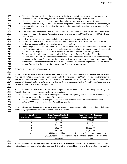1198 b. The protesting party will begin the hearing by explaining the basis for the protest and presenting any evidence of any kind, including, but not limited to scorebooks, to support the protest. c. The Protest Committee has the authority to then call for a vote to move the protest forward. d. After the protesting party has presented its case, the protested party will be afforded the opportunity to present evidence of any kind, including, but not limited to scorebooks, to rebut the protesting party's argument. e. After the parties have presented their cases the Protest Committee will have the authority to interview players involved in the GSWS, Association officials and Members, and Open Division and GSWS officials and umpires. f. Both principal parties must be notified of and afforded an opportunity to be present. g. The Protest Chair shall remove all parties from the room except for the Protest Committee after the parties have presented their case to allow careful deliberation. h. When the principal parties and the Protest Committee have completed their interviews and deliberations, the Protest Committee shall vote by secret ballot to determine whether to uphold or deny the protest, by majority vote. The principal parties shall have the opportunity to observe the voting process. i. The votes will be tallied, and the parties will be informed of the Protest Committee's decision. 1214 j. The decision of the Protest Committee is final for the duration of that tournament. Both the Protesting Party and the Protested Party are asked to certify, by signature, that the protest hearing was completed in accordance and compliance with the process outlined in the policies of this organization. Should either party refuse to sign, the review of the process is referred to the Commissioner. **SECTION 3 – PENALTIES FROM A PROTEST 50.30 Actions Arising from the Protest Committee:** If the Protest Committee changes a player's rating question, 1222 it will be submitted to the Director of Competition and will remain marked as "Yes" or "Y" through the following season. Any action taken by the Protest Committee will be reviewed by the Council through the Ethics Committee at the next Regular Meeting to determine if further sanctions are appropriate. The Protest Committee may make recommendation for any additional penalties. **50.31 Penalties for Non-Ratings Based Protests**: A person protested on matters other than player rating and found in violation shall be assessed the following penalties: a. The player's team forfeits the protested game and any subsequent games in which the protested player has played prior to the resolution of the protest. b. The player and their team manager will be disqualified from the remainder of the current GSWS.

c. A fine of \$500 assessed to the player's qualifying association.

 **50.32 Fines for Ratings Based Protests:** A player protested on player ratings and found in violation shall have their qualifying association assessed the fines listed in the table:

|  | э.<br>۰. | ┍<br>I |  |
|--|----------|--------|--|
|  |          |        |  |

| # of Questions<br><b>Successfully Challenged</b> | <b>Fines Assessed for Each</b><br><b>Successfully Challenged</b> | <b>Total Fine for All Questions</b><br><b>Successfully Challenged</b> |
|--------------------------------------------------|------------------------------------------------------------------|-----------------------------------------------------------------------|
|                                                  | \$100.00                                                         | \$100.00                                                              |
|                                                  | \$200.00                                                         | \$300.00                                                              |
|                                                  | \$300.00                                                         | \$600.00                                                              |
| 4                                                | \$400.00                                                         | \$1,000.00                                                            |
|                                                  | \$500.00                                                         | \$1,500.00                                                            |
| 6+                                               | \$600.00 and additional                                          | The sum of fine amount immediately                                    |
|                                                  | \$100/question (7+) successfully                                 | to the right and each fine listed in that                             |
|                                                  | challenged                                                       | column.                                                               |

 **50.33 Penalties for Ratings Violations Causing a Team to Move Up a Division**: If a protest results in a player rating change that causes a team to move up a division, the protested team forfeits the protested game and the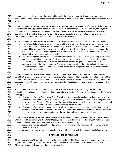opponent is named the winner of the game. Additionally, the protested team is eliminated from the current tournament and the protested team's member association is fined \$500, in addition to the fines listed above in this section.

 **50.34 Penalties for Ratings Violations Not Causing a Team to Move Up a Division:** If a protested player's rating is increased by one (1) point and does not move the player over the ratings cap for that division, the player can continue to play in the current tournament. The new rating for the protested player will apply for the team's overall rating. The result of the game stands and the team whose player was protested can continue in the tournament, provided that it is not their second loss in double elimination.

- **50.35 Penalties for Specific Rating Violations:** The following provisions apply in the scenarios as outlined:
- a. If a protested player's rating is increased by two (2) or more points, the player will be deemed ineligible for the remainder of the current tournament, regardless of maintaining eligibility. In addition, the new rating will be accounted for in the team's overall rating. Notwithstanding the penalty, the result of the game stands and the team whose player was protested can continue in the tournament, provided that it is not their second loss in double elimination.
- b. If a protested player's rating exceeds the limit for that division; the player is ineligible going forward and can no longer play in the current GSWS. In addition, the new rating will be accounted for in the team's overall rating. The protested team will be declared the loser of the game. The protested team can continue to play in the tournament only if the new team rating falls in the divisional guidelines of the division entered and provided that loss recorded on the part of the protest was not the team's second 1261 loss in double elimination.
- **50.36 Penalties for Numerous Rating Violations**: If a team has three (3) or more protest ratings questions upheld, either in one (1) game or multiple games, the protested team will forfeit the last protested game and the opponent is declared the winner. Additionally, the protested team is eliminated from the current tournament and the protested team's member association is automatically fined \$500.00 in addition to the fines imposed in this chapter.
- **50.37 Dual protests**: Whenever two (2) teams shall protest each other in the same game and both teams have not yet had a loss in double elimination and both teams have at least one (1) protest question upheld the following shall apply:
- a. If the penalty for both Team A and Team B result in both teams being declared the loser, yet allowed to remain in the tournament, then the loser of the game, as determined by the real score of the game, will move to the loser's bracket. The winner of the game will advance to next level of the winner's bracket and a forfeit will be declared, thus sending the team to the loser's bracket.
- b. If the penalty for both Team A and Team B results in both teams being declared the loser, and one (1) 1277 team is ejected based on the result of the protest and the other team is allowed to continue based on the result of the protest, the team that is allowed to continue will move to the loser's bracket.

 **50.38 Rating Workshop Requirements**: Mandatory attendance of member associations is required at the Rating Workshop held concurrently to the Winter Meetings if any of the below are true. A fine of \$100 will be assessed to member associations required to attend the workshop and who fail to attend.

- a. A team of a member association lodges two (2) or more unsuccessful ratings questions during one (1) single tournament.
- b. A member association has more than two (2) protest questions upheld during one single tournament.

# 

#### **CHAPTER 60 – ETHICS PROCEDURE**

 **60.01 Jurisdiction:** This chapter shall be the jurisdiction of the Ethics Committee and amended by majority at any committee meeting, except that the amount of any fines or fees shall be the jurisdiction of the Board of 1291 Directors and amended at any board meeting by majority.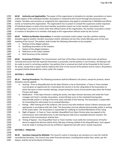**60.02 Authority and Applicability**: The power of this organization to discipline its member associations or teams and/or players of the individual member associations is retained by the Council through the processes in this chapter. Penalties and sanctions as assigned by this organization only apply to membership in NAGAAA and official events as hosted by this organization. This organization has no power to compel the suspension and/or expulsion of individual players or teams from local member association events nor to bar member associations from participating in any event or action other than official events of this organization. No member association's action or inaction to discipline to its member shall apply to this organization without action by the Council.

 **60.03 Petition by Member Associations:** A member association and/or player may file a petition seeking discipline against another member association and/or individual not less than ninety (90) days prior to the next meeting of the Council. The petition shall include the following information to be accepted:

- a. Name(s) of the alleged violators
- b. Qualifying Association of the violators
- c. Date(s) of the alleged violations
- d. Reference to the rule(s) violated
- e. Brief Summary of the violation

 **60.04 Screening of Petition:** The Commissioner and Chair of the Ethics Committee shall screen all petitions received and ensure that the required information is presented, and the petition is not frivolous. All attempts will be made to assist in correcting a petition. Any petition that is screened out shall not be forwarded to the Council 1312 for action, except that a report shall be made by the Chair to the Council of the petition and its nature. All petitions accepted shall be forwarded for action under this chapter.

#### **SECTION 1 – HEARING**

 **60.10 Hearing Procedures:** The following procedure shall be followed in all actions, except for protests, where discipline may be applied:

- a. Hearing Prior to disqualification by the Open Division or by an Association, a Team or Team member must be given an opportunity for a hearing by the Council or by the ruling body of the Association to which the team or team member belongs, except during the course of tournament play when the Protest Process shall apply.
- b. Notification If the Open Division is taking the action, the Open Division Secretary will notify the Team manager and Team's member Association, at least 60 days prior to the scheduled hearing date, electronically and/or in writing of the time, place and date of the hearing. The Association is responsible for forwarding this information to its involved Members.
- c. Rulings After hearing all of the evidence, the Council may take whatever action it deems necessary and appropriate in accordance with this Code. The Association must be advised electronically and/or in writing of the action taken. The Association is responsible for notifying its involved Member(s) of the ruling.
- d. Right of Appeal A Team or Team member disqualified from Open Division play may appeal to the Commissioner who shall determine if a fair hearing was held and an equitable decision reached. The decision of the Commissioner shall be final.
- a) Timing of Appeal Any Disqualified Team or Team member must notify the Commissioner of his/her desire to appeal the decision within thirty (30) days of being notified of the disqualification. Such appeal must be made in writing and sent by certified or registered mail with return receipt requested.
- **SECTION 2 – PENALTIES**

 **60.20 Sanctions Imposed by NAGAAA:** The Council's action in hearing to set sanctions as it sees fits shall be recorded the Secretary. The Council may order financial sanctions, including fines and/or fees, which, per the bylaws, shall be set by the Board of Directors.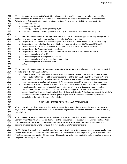**60.21 Penalties Imposed by NAGAAA**: After a hearing, a Team or Team member may be disqualified for a period of time at the discretion of the Council for violations of the rules of this organization except that the following acts of disqualification require a minimum of one (1) year loss of eligibility in this organization: a. Physical violence. b. Commission of fraud. c. Knowingly competing with disqualified players. 1348 d. Receiving money by capitalizing on athletic ability or promotion of softball or baseball goods. **60.22 Discretionary Penalties for Ratings Violations:** Any or all of the following penalties may be imposed by the Council after a review has been completed at the following Winter Meeting: a. Suspension of all members and the Manager of that team from the next GSWS and/or NAGAAA Cup. b. Suspension of any individual determined to be involved from the next GSWS and/or NAGAAA Cup. c. No team from that Association allowed in that division in the next GSWS and/or NAGAAA Cup. d. Suspension of the Association's voting privileges. e. Suspension of the Association's commissioner for the next GSWS and/or any future GSWS. f. Permanent expulsion of the Manager. g. Permanent expulsion of the player(s) involved. h. Permanent expulsion of the Association's commissioner. i. Permanent expulsion of the Association. j. A fine. **60.23 Discretionary Penalties for Violating the non-LGBT Roster Rule**: The following penalties may be applied for violations of the non-LGBT roster rule: a. A team in violation of the Non-LGBT player guidelines shall be subject to disciplinary action that may include but is not limited to, (a) Permanent suspension of the Non-LGBT player from future GSWS and Open Division events. (b) Disqualification and forfeiture of all the offending team's games. (c) One (1) year's suspension of the team's Manager. (d) A fine imposed against the team's member association. b. Any member association official in violation of or having assisted in a violation of this rule is subject to disciplinary action that may include, but is not limited to, (a) Permanent suspension as a member association representative to the Open Division. (b) A one (1) year's suspension of the member association official from participation in all Open Division activities. (c) A fine imposed against the official's member association. (d) Forfeiture of all games played by all of the teams representing the official's Association prior to the discovery of a violation. **CHAPTER 70 – MASTER DUES, FINES, AND FEES SCHEDULE 70.01 Jurisdiction:** This chapter shall be the jurisdiction of the Board of Directors and amended by majority at any board meeting with the exception of the dues for this organization which shall be set by the Council annually 1380 by majority vote. **70.02 Dues:** Each Association shall pay annual dues in like amount as shall be set by the Council at the previous year's Summer Meeting. Dues shall be delivered to the Treasurer prior to the start of the Winter Meeting. Dues must be paid prior to the start of the Winter Meeting or the Association will forfeit its right to vote until all accounts are satisfied. Failure to pay dues shall result in fines and/or other sanctions. **70.03 Fines:** The number of fines shall be determined by the Board of Directors and listed in the schedule. Fines shall be invoiced and paid before the commencement of the next council meeting following the assessment of the fine. Fines assessed to a Masters Division team which center on an issue connected to a player shall be assessed to 1390 the player's qualifying association.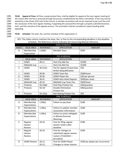**70.04 Appeal of Fines:** All fines, except protest fines, shall be eligible for appeal at the next regular meeting of the council after the fine is assessed through the process established by the Ethics Committee. A fine may only be waived by a two-thirds (2/3) vote of the Council. A member association will not be required to pay such fine until 1394 the conclusion of the next regular meeting, if appealing the assessed fine through a properly submitted business item, until the outcome of the appeals process. The association shall be considered in good standing while appealing.

- 1397
- 1399

1398 **70.05 Schedule:** The dues, fee, and fine schedule of this organization is:

KEY: The Index column matches the dues, fee, or fine to the corresponding deadline in the deadline schedule. The Reference column indicates the Governing Manual reference.

|                          |                      |                  | <b>DUES SCHEDULE</b>                              |                                 |  |  |  |
|--------------------------|----------------------|------------------|---------------------------------------------------|---------------------------------|--|--|--|
| <b>INDEX</b>             | <b>ISSUE AREA</b>    | <b>REFERENCE</b> | <b>APPLICATION</b>                                | <b>AMOUNT</b>                   |  |  |  |
| A                        | Membership           | 1.04(b)          | <b>Member Dues</b>                                | \$350                           |  |  |  |
|                          | Expectation          |                  |                                                   |                                 |  |  |  |
|                          |                      |                  | <b>FEE SCHEDULE</b>                               |                                 |  |  |  |
|                          | <b>ISSUE AREA</b>    | <b>REFERENCE</b> | <b>APPLICATION</b>                                | <b>AMOUNT</b>                   |  |  |  |
| $\mathsf{I}$             | GSWS                 | 30.11            | Host City Bid Fee                                 | \$2500                          |  |  |  |
| $\overline{\phantom{a}}$ | NAGAAA Cup           | ----------       | Host City Bid Fee                                 | \$1500                          |  |  |  |
| S                        | GSWS                 | 30.21(a)         | Fee for appeal of pool play                       | \$50                            |  |  |  |
|                          |                      |                  | forfeit disqualification                          |                                 |  |  |  |
| Ţ                        | GSWS                 | 30.40            | <b>GSWS Team fee</b>                              | \$500/team                      |  |  |  |
| K                        | GSWS                 | 30.30            | <b>GSWS Player fee</b>                            | \$30 per person                 |  |  |  |
| L                        | GSWS                 | 30.41            | <b>GSWS Host Hotel Deposit</b>                    | \$500/per team                  |  |  |  |
| --                       | <b>NAGAAA Cup</b>    | 40.10            | NAGAAA Cup Team Fee                               | \$450/team                      |  |  |  |
| $\sf T$                  | Protests             | 50.14(b)         | Pool Play Protest Fee                             | \$20/question                   |  |  |  |
| $\mathsf{T}$             | Protests             | 50.141           | <b>Double Elimination</b>                         | \$40/question                   |  |  |  |
|                          |                      |                  | <b>Protest Fee</b>                                |                                 |  |  |  |
| $\sf T$                  | Protests             | 50.14(a)         | Non-Rating Protest Fee                            | \$50                            |  |  |  |
|                          | <b>FINE SCHEDULE</b> |                  |                                                   |                                 |  |  |  |
|                          | <b>ISSUE AREA</b>    | <b>REFERENCE</b> | <b>APPLICATION</b>                                | <b>AMOUNT</b>                   |  |  |  |
| A                        | Membership           | 1.04(a)          | Failure to pay dues                               | \$100                           |  |  |  |
|                          | Expectations         |                  |                                                   |                                 |  |  |  |
| B                        | Membership           | 1.04(a)          | Failure to update member                          | \$100                           |  |  |  |
|                          | Expectations         |                  | association information                           |                                 |  |  |  |
| $\sf B$                  | Membership           | 1.04(a)          | Failure to send a delegate                        | \$100                           |  |  |  |
|                          | Expectations         |                  | to Winter/Summer                                  |                                 |  |  |  |
|                          |                      |                  | Meetings                                          |                                 |  |  |  |
| E                        | Regular              | 20.10            | Fine for filing regular                           | \$100                           |  |  |  |
|                          | Season               |                  | season rosters after                              |                                 |  |  |  |
|                          |                      |                  |                                                   |                                 |  |  |  |
|                          | Rosters              |                  | deadline                                          |                                 |  |  |  |
| F                        | Regular              | 20.10            | Fine for changes to                               | \$100                           |  |  |  |
|                          | Season               |                  | submitted regular season                          |                                 |  |  |  |
|                          | Rosters              |                  | rosters (7/16/2022 -                              |                                 |  |  |  |
|                          |                      |                  | 8/1/2022                                          |                                 |  |  |  |
| $\mathsf{O}$             | <b>GSWS Rosters</b>  | 20.11,<br>20.12, | Fine for GSWS Player<br>Changes in roster interim | \$100 per player per occurrence |  |  |  |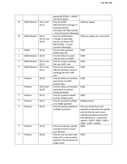|              |                     |            | period (8/2/2022 - NOON      |                                                                |
|--------------|---------------------|------------|------------------------------|----------------------------------------------------------------|
|              |                     |            | CDT 8/21/2022)               |                                                                |
| Q            | <b>GSWS Rosters</b> | 20.11 and  | Fine for GSWS                | \$100 per player                                               |
|              |                     | 20.12      | Administrative Changes in    |                                                                |
|              |                     |            | pool play period.            |                                                                |
|              |                     |            | (12:01pm CDT 08/21/2022      |                                                                |
|              |                     |            | - End of Summer Meeting)     |                                                                |
| Q            | <b>GSWS Rosters</b> | 20.11,     | Fine for GSWS Player         | \$250 per player per occurrence                                |
|              |                     | 20.12, and | Changes in pool play         |                                                                |
|              |                     | 20.20      | period. (12:01pm CDT         |                                                                |
|              |                     |            | 08/21/2022 - End of          |                                                                |
|              |                     |            | <b>Summer Meetings)</b>      |                                                                |
| J            | GSWS                | 30.40      | Fine for late payment        | \$100                                                          |
|              |                     |            | GSWS team fee                |                                                                |
| J            | <b>GSWS Rosters</b> | 30.43      | Fine for failure to send     | \$500                                                          |
|              |                     |            | one (1) team to GSWS         |                                                                |
| T            | <b>GSWS Rosters</b> | 20.11 and  | Fine for a team violating    | \$100                                                          |
|              |                     | 20.12      | the non-LGBT rule            |                                                                |
| T            | <b>GSWS Rosters</b> | 20.11 and  | Fine for an association      | \$100                                                          |
|              |                     | 20.12      | official assisting a team in |                                                                |
|              |                     |            | violating the non-LGBT       |                                                                |
|              |                     |            | rule                         |                                                                |
| Τ            | Protests            | 50.03      | Fine for failure of member   | \$100                                                          |
|              |                     |            | association to fulfill       |                                                                |
|              |                     |            | protest duty                 |                                                                |
|              | Protests            | 20.25 and  | Fine for failure of member   | \$100                                                          |
|              |                     | 50.38      | association to attend        |                                                                |
|              |                     |            | rating workshop              |                                                                |
| $\mathsf{T}$ | Protests            | 50.31      | Fine for protests upheld     | \$500                                                          |
|              |                     |            | on non-ratings issues        |                                                                |
| Τ            | Protests            | 50.32      | Fine for protest(s) upheld   | \$100/question                                                 |
|              |                     |            | on a single question         |                                                                |
| Τ            | Protests            | 50.32      | Fine for protest upheld on   | The sum of the fine of all                                     |
|              |                     |            | multiple questions           | questions protested and upheld<br>and the fine for each lesser |
|              |                     |            |                              | individual question protested                                  |
|              |                     |            |                              | and upheld (e.g., 5 questions                                  |
|              |                     |            |                              | upheld = $$500 + $400 + $300 +$                                |
|              |                     |            |                              | $$200 + $100 = $1500$                                          |
| T            | Protests            | 50.33      | Fine for protest(s) upheld   | \$500                                                          |
|              |                     |            | causing a team to move       |                                                                |
|              |                     |            | up a division                |                                                                |
| T            | Protests            | 50.36      | Fine for one (1) team with   | \$500                                                          |
|              |                     |            | three (3) or more protests   |                                                                |
|              |                     |            | upheld in the duration of a  |                                                                |
|              |                     |            | single event                 |                                                                |
|              |                     |            |                              |                                                                |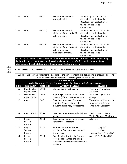|                                                                                               | <b>Ethics</b>                                                                                   | 60.22    | Discretionary fine for    | Amount, up to \$2500, to be   |  |  |  |
|-----------------------------------------------------------------------------------------------|-------------------------------------------------------------------------------------------------|----------|---------------------------|-------------------------------|--|--|--|
|                                                                                               |                                                                                                 |          | rating violations         | determined by the Board of    |  |  |  |
|                                                                                               |                                                                                                 |          |                           | Directors upon application of |  |  |  |
|                                                                                               |                                                                                                 |          |                           | the fine by the Ethics        |  |  |  |
|                                                                                               |                                                                                                 |          |                           | Committee                     |  |  |  |
|                                                                                               | <b>Ethics</b>                                                                                   | 60.23(a) | Discretionary fines for   | Amount, minimum \$100, to be  |  |  |  |
|                                                                                               |                                                                                                 |          | violation of the non-LGBT | determined by the Board of    |  |  |  |
|                                                                                               |                                                                                                 |          | rule by a team            | Directors upon application of |  |  |  |
|                                                                                               |                                                                                                 |          |                           | the fine by the Ethics        |  |  |  |
|                                                                                               |                                                                                                 |          |                           | Committee                     |  |  |  |
|                                                                                               | <b>Ethics</b>                                                                                   | 60.23(b) | Discretionary fine for    | Amount, minimum \$100, to be  |  |  |  |
|                                                                                               |                                                                                                 |          | violation of the non-LGBT | determined by the Board of    |  |  |  |
|                                                                                               |                                                                                                 |          | rule by member            | Directors upon application of |  |  |  |
|                                                                                               |                                                                                                 |          | association officials.    | the fine by the Ethics        |  |  |  |
|                                                                                               |                                                                                                 |          |                           | Committee                     |  |  |  |
|                                                                                               | NOTE: This schedule shows all fees and fines as set by the Board of Directors. Some amounts may |          |                           |                               |  |  |  |
| be included in the chapters of the Governing Manual for ease of reference. In the case of any |                                                                                                 |          |                           |                               |  |  |  |

**discrepancy, this schedule controls the amount of the fee and/or fine.**

1400

1401 **70.06 Deadlines:** The deadlines for certain and specific activities are as follows in the table:

| KEY: The Index column matches the deadline to the corresponding due, fee, or fine in that schedule. The |  |
|---------------------------------------------------------------------------------------------------------|--|
| Reference column indicates the Governing Manual reference.                                              |  |

| <b>DEADLINE TABLE</b> |                                                                                          |                  |                                         |                                    |  |  |  |  |  |
|-----------------------|------------------------------------------------------------------------------------------|------------------|-----------------------------------------|------------------------------------|--|--|--|--|--|
|                       | All deadlines are at 11:59pm Central on the day listed unless explicitly noted otherwise |                  |                                         |                                    |  |  |  |  |  |
| <b>INDEX</b>          | <b>ISSUE AREA</b>                                                                        | <b>REFERENCE</b> | <b>APPLICATION/ISSUE</b>                | <b>DEADLINE</b>                    |  |  |  |  |  |
| A                     | Membership                                                                               | 1.04(b)          | Membership Dues Deadline                | Prior to start of Winter           |  |  |  |  |  |
|                       | Expectations                                                                             |                  |                                         | <b>Meetings</b>                    |  |  |  |  |  |
| B                     | Membership                                                                               | 1.04(b)          | <b>Reporting of Member Association</b>  | Within 30 days of local            |  |  |  |  |  |
|                       | Expectations                                                                             |                  | Changes (officers, tournaments, etc.    | change                             |  |  |  |  |  |
| $\mathsf{C}$          | Council                                                                                  | 2.07             | Deadline for Items of Business          | These dates will be set prior      |  |  |  |  |  |
|                       |                                                                                          |                  | requiring Council action, not           | to Winter and Summer               |  |  |  |  |  |
|                       |                                                                                          |                  | including disciplinary proceedings.     | Mtgs by the Secretary              |  |  |  |  |  |
|                       |                                                                                          |                  |                                         |                                    |  |  |  |  |  |
| D                     | Council/Ethics                                                                           | 60.03            | Deadline for petitions for disciplinary | 90 days prior to start of          |  |  |  |  |  |
|                       |                                                                                          |                  | action                                  | <b>Winter/Summer Meetings</b>      |  |  |  |  |  |
| E                     | Regular                                                                                  | 20.10            | Deadline for submission of proper       | July 15th                          |  |  |  |  |  |
|                       | Season                                                                                   |                  | Regular Season rosters                  |                                    |  |  |  |  |  |
|                       | Rosters                                                                                  |                  |                                         |                                    |  |  |  |  |  |
| F                     | Regular                                                                                  | 20.10            | Period for late submission of or        | July 16th                          |  |  |  |  |  |
|                       | Season                                                                                   |                  | revision to Regular Season rosters;     | $-TO-$                             |  |  |  |  |  |
|                       | Rosters                                                                                  |                  | fine incurred                           | August 1st 11:59pm PDT             |  |  |  |  |  |
| G                     | Regular                                                                                  | 20.10            | Final Deadline for Regular Season       | August 2 <sup>nd</sup> 12:00am PDT |  |  |  |  |  |
|                       | Season                                                                                   |                  | rosters - No changes (including         |                                    |  |  |  |  |  |
|                       | Rosters                                                                                  |                  | ratings) or submissions following this  |                                    |  |  |  |  |  |
|                       |                                                                                          |                  | deadline.                               |                                    |  |  |  |  |  |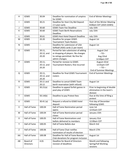| H            | GSWS         | 30.04                    | Deadline for nomination of umpires<br>for GSWS                         | <b>End of Winter Meetings</b>                                |
|--------------|--------------|--------------------------|------------------------------------------------------------------------|--------------------------------------------------------------|
| $\mathbf{I}$ | GSWS         | 30.21                    | Deadline for Host City Bid Deposit<br>2.5 year cycle.                  | <b>Start of the Winter Meeting</b><br>8:00am CDT (2025 GSWS) |
| J            | GSWS         | 30.60                    | <b>GSWS Team Fee Deadline</b>                                          | July 15th                                                    |
| K            | GSWS         | 30.60                    | <b>GSWS Team Berth Reservations</b>                                    | July 15th                                                    |
|              |              |                          | Deadline                                                               |                                                              |
| L            | GSWS         | 30.61                    | <b>GSWS Host Hotel Deposit Deadline</b>                                | July 15th                                                    |
| M            | GSWS         | 20.20                    | Deadline for proper GSWS                                               | August 1st                                                   |
|              |              |                          | <b>Tournament Team Rosters</b>                                         |                                                              |
| N            | GSWS         | $\overline{\phantom{a}}$ | Deadline for submission of USA                                         | August 1st                                                   |
|              |              |                          | Softball (ASA) cards (1 per team)                                      |                                                              |
| $\mathsf O$  | GSWS         | 20.11,                   | Period for late submission of adding                                   | August 2nd                                                   |
|              |              | 20.12, and               | or dropping of players. No changes                                     | $-TO-$                                                       |
|              |              | 20.20                    | to ratings permitted. No fine for                                      | Aug 22nd                                                     |
|              |              |                          | admin changes.                                                         | 12:00pm CDT                                                  |
| P            | GSWS         | 20.11,                   | Period for revision to GSWS                                            | August 22nd                                                  |
|              |              | 20.12, and               | Tournament Rosters; fine incurred                                      | 12:01pm CDT                                                  |
|              |              | 20.20                    |                                                                        | $---TO---$                                                   |
|              |              |                          |                                                                        | <b>End of Summer Meetings</b>                                |
| Q            | GSWS         | 20.11,                   | Deadline for final GSWS Tournament                                     | <b>End of Summer Meetings</b>                                |
|              |              | 20.12, and               | rosters                                                                |                                                              |
|              |              | 20.20                    |                                                                        |                                                              |
| $\mathsf{R}$ | GSWS         | 20.11 and<br>20.12       | Deadline to cancel GSWS Team                                           | August 1st                                                   |
| $\sf S$      | GSWS         | 30.21(a)                 | berth reservation (with refund)<br>Deadline to appeal forfeit games in | Prior to beginning of double                                 |
|              |              |                          | pool play of GSWS                                                      | elimination in the team's                                    |
|              |              |                          |                                                                        | division                                                     |
| $\mathsf{T}$ | GSWS         | 50.14(b)                 | Deadline to pay Protest fees                                           | Due at the time of filing a                                  |
|              |              |                          |                                                                        | protest                                                      |
| U            | GSWS         | 30.41(a)                 | Request a refund to GSWS hotel                                         | First day of December                                        |
|              |              |                          | deposit                                                                | following GSWS                                               |
| V            | Hall of Fame | 100.04                   | Hall of Fame Nomination period                                         | June 1st                                                     |
|              |              |                          | opens                                                                  | 12:01am CDT                                                  |
| W            | Hall of Fame | 100.04                   | Hall of Fame Nomination period                                         | January 15th                                                 |
|              |              |                          | closes                                                                 |                                                              |
| X            | Hall of Fame | 100.05                   | Hall of Fame Nominations and                                           | January 31st                                                 |
|              |              |                          | ballots delivered to members                                           | 12:00am CDT                                                  |
| Υ            | Hall of Fame | 100.05                   | Hall of Fame Ballots due                                               | March 3rd                                                    |
| Z            | Hall of Fame | 100.06                   | Hall of Fame Chair notifies                                            | March 17th                                                   |
|              |              |                          | nominators of results of election                                      |                                                              |
| AA           | Hall of Fame | 100.08                   | Deadline for Hall of Fame Booster                                      | August 1st                                                   |
|              |              |                          | Club donations for program inclusion                                   |                                                              |
| AB           | Board of     | 4.01                     | Deadline for Board of Directors                                        | Month end following                                          |
|              | Directors    |                          | revision of deadlines                                                  | Spring/Fall Working                                          |
|              |              |                          |                                                                        | sessions                                                     |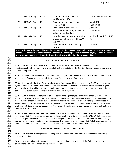|              | AC    | NAGAAA Cup                 | 40.10 | Deadline for Intent to Bid for<br>NAGAAA Cup 2024                                                                       | <b>Start of Winter Meetings</b> |
|--------------|-------|----------------------------|-------|-------------------------------------------------------------------------------------------------------------------------|---------------------------------|
|              | AD    | NAGAAA Cup                 | 40.11 | Deadline to pay team fee for                                                                                            | March 15th                      |
|              |       |                            |       | NAGAAA Cup                                                                                                              | 11:59pm PST                     |
|              | AE    | NAGAAA Cup                 | 40.11 | Deadline to submit rosters for                                                                                          | April 1st                       |
|              |       |                            |       | NAGAAA Cup; no changes allowed                                                                                          | 11:59pm PST                     |
|              |       |                            |       | following this deadline                                                                                                 |                                 |
|              | AF    | NAGAAA Cup                 | 40.11 | Period of late submission of adding                                                                                     | April 2nd - April 8th 11:50     |
|              |       |                            |       | or dropping of players to NAGAAA                                                                                        | <b>PST</b>                      |
|              |       |                            |       | Cup rosters.                                                                                                            |                                 |
|              | AG    | NAGAAA Cup                 | 40.11 | Deadline for final NAGAAA Cup                                                                                           | April 9th                       |
|              |       |                            |       | rosters.                                                                                                                |                                 |
|              |       |                            |       | NOTE: This table includes deadlines set by the Board of Directors and those set by the Council and/or committees        |                                 |
|              |       |                            |       | for the ease of reference of the members. If there are any discrepancies between the language in the chapters of        |                                 |
|              |       |                            |       | the Governing Manual and this table, this table shall be considered to the correct deadline.                            |                                 |
| 1403         |       |                            |       |                                                                                                                         |                                 |
| 1404         |       |                            |       | <b>CHAPTER 80 - BUDGET AND FISCAL POLICY</b>                                                                            |                                 |
| 1405         |       |                            |       |                                                                                                                         |                                 |
| 1406         | 80.01 |                            |       | Jurisdiction: This chapter shall be the jurisdiction of the Council and amended by majority at any council              |                                 |
| 1407         |       |                            |       | meeting except that the amount of any fees shall be the jurisdiction of the Board of Directors and amended at any       |                                 |
| 1408         |       | board meeting by majority. |       |                                                                                                                         |                                 |
| 1409         |       |                            |       |                                                                                                                         |                                 |
| 1410         | 80.02 |                            |       | Payments: All payments of any amount to this organization shall be made in form of check, credit card, or               |                                 |
| 1411         |       |                            |       | wire transfer. Cash payments may only be accepted for the payment of protest fees.                                      |                                 |
| 1412         |       |                            |       |                                                                                                                         |                                 |
| 1413         | 80.03 |                            |       | Revenue Sharing from Funds Not Restricted: Any sponsorship funds collected by NAGAAA and allocated                      |                                 |
| 1414         |       |                            |       | by the sponsor for member associations, shall be disbursed by the Treasurer to all member associations in good          |                                 |
| 1415<br>1416 |       |                            |       | standing. The funds shall be distributed equally. Member associations will only be eligible for these funds when in     |                                 |
| 1417         |       |                            |       | compliance with any and all terms and conditions required by sponsor.                                                   |                                 |
| 1418         | 80.04 |                            |       | Administrative Fee for Sponsorships: Notwithstanding other provisions of this chapter, all corporate                    |                                 |
| 1419         |       |                            |       | sponsorships shared with member associations and GSWS or NAGAAA Cup host cities will incur a five-percent (5%)          |                                 |
| 1420         |       |                            |       | fee. At the end of each fiscal year, this administrative fee will be dispersed to all participating member associations |                                 |
| 1421         |       |                            |       | as designated by the corporate sponsors for that year and the remainder of the funds are to be disbursed equally        |                                 |
| 1422         |       |                            |       | to all non-participating member associations. The funds will be dispersed to each league at the Winter Meetings of      |                                 |
| 1423         |       | the completed fiscal year. |       |                                                                                                                         |                                 |
| 1424         |       |                            |       |                                                                                                                         |                                 |
| 1425         | 80.05 |                            |       | Commissions Due to Member Associations: NAGAAA shall credit to member associations two and one-                         |                                 |
| 1426         |       |                            |       | half percent (2.5%) of any corporate sponsor lead that member association provides to NAGAAA that materializes          |                                 |
| 1427         |       |                            |       | in a new corporate sponsorship. This two and one-half percent (2.5%) shall be an annual commission for as long as       |                                 |
| 1428         |       |                            |       | that corporate sponsor remains a corporate sponsor. The two and one-half percent (2.5%) shall be on sponsorship         |                                 |
| 1429         |       |                            |       | funds allocated to NAGAAA and not on sponsorships earmarked for distribution to member associations.                    |                                 |
| 1430         |       |                            |       |                                                                                                                         |                                 |
| 1431         |       |                            |       | <b>CHAPTER 81 - MASTER COMPENSATION SCHEDULE</b>                                                                        |                                 |
| 1432         |       |                            |       |                                                                                                                         |                                 |
| 1433         | 81.01 |                            |       | Jurisdiction: This chapter shall be the jurisdiction of the Board of Directors and amended by majority at               |                                 |
| 1434         |       | any board meeting.         |       |                                                                                                                         |                                 |
| 1435         |       |                            |       |                                                                                                                         |                                 |
| 1436         | 81.02 |                            |       | Salaries and Benefits: No person shall be considered an employee eligible for full-time or part-time                    |                                 |
| 1437         |       |                            |       | employment in this organization unless authorized in this chapter.                                                      |                                 |
| 1438         |       |                            |       |                                                                                                                         |                                 |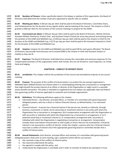| 1439 | 81.03    | Numbers of Persons: Unless specifically stated in the bylaws or policies of this organization, the Board of           |
|------|----------|-----------------------------------------------------------------------------------------------------------------------|
| 1440 |          | Directors shall determine the number of persons appointed to specific roles as needed.                                |
| 1441 |          |                                                                                                                       |
| 1442 | 81.04    | Meeting per diems: A \$50 per day per diem shall be paid to the Board of Directors, Committee Chairs,                 |
| 1443 |          | and Parliamentarian for the duration of any regular and/or special meeting of the Council. The Umpire-in-Chief is     |
| 1444 |          | granted a \$300 per diem for the duration of the summer meetings to prepare for the GSWS.                             |
| 1445 |          |                                                                                                                       |
| 1446 | 81.05    | Tournament per diems: A \$50 per day per diem shall be paid to the Board of Directors, Athletic Director,             |
| 1447 |          | Assistant Athletic Director(s), Protest Chair and Assistant Protest Chair(s) for every day present and working during |
| 1448 |          | the duration of the GSWS and NAGAAA Cup. A \$350 per day per diem shall be paid to the Umpire-in-Chief for the        |
| 1449 |          | duration of the GSWS and NAGAAA Cup. A \$175 per day per diem shall be paid to the Assistant Umpire(s)-in-Chief       |
| 1450 |          | for the duration of the GSWS and NAGAAA Cup.                                                                          |
| 1451 |          |                                                                                                                       |
| 1452 | 81.06    | Umpires: Umpires for the GSWS and NAGAAA Cup shall be paid \$30 for each game officiated. The Board                   |
| 1453 |          | of Directors may provide merit bonuses not to exceed \$500 to the Umpire-in-Chief and Assistant Umpire-in-            |
| 1454 |          | Chief(s) as they see fit.                                                                                             |
| 1455 |          |                                                                                                                       |
| 1456 | 81.07    | Expenses: The Board of Directors shall determine and pay the reasonable and necessary expenses for the                |
| 1457 |          | compensated volunteers of this organization which shall include, but are not limited to, travel expenses, car rental, |
| 1458 |          | hotel and lodging.                                                                                                    |
| 1459 |          |                                                                                                                       |
| 1460 |          | <b>CHAPTER 85 - CONFLICT OF INTEREST POLICY</b>                                                                       |
| 1461 |          |                                                                                                                       |
| 1462 | 85.01    | Jurisdiction: This chapter shall be the jurisdiction of the Council and amended by majority at any council            |
| 1463 | meeting. |                                                                                                                       |
| 1464 |          |                                                                                                                       |
| 1465 | 85.02    | Purpose: The purpose of this conflict of interest policy is to protect this tax-exempt organization's                 |
| 1466 |          | (NAGAAA Open Softball Division Inc) interest when it is contemplating entering into a transaction or arrangement      |
| 1467 |          | that might benefit the private interest of an officer or director of the Organization or might result in a possible   |
| 1468 |          | excess benefit transaction. This policy is intended to supplement but not replace any applicable state and federal    |
| 1469 |          | laws governing conflict of interest applicable to nonprofit and charitable organizations.                             |
| 1470 |          |                                                                                                                       |
| 1471 | 85.03    | Definitions: The following definitions apply to this chapter:                                                         |
| 1472 | a.       | Interested Person - Any director, principal officer, or member of a committee with governing board                    |
| 1473 |          | delegated powers, who has a direct or indirect financial interest, as defined below, is an interested                 |
| 1474 |          | person.                                                                                                               |
| 1475 | b.       | Financial Interest - A person has a financial interest if the person has, directly or indirectly, through             |
| 1476 |          | business, investment, or family: (a) An ownership or investment interest in any entity with which the                 |
| 1477 |          | Organization has a transaction or arrangement, (b) A compensation arrangement with the Organization or                |
| 1478 |          | with any entity or individual with which the Organization has a transaction or arrangement, or (c) A                  |
| 1479 |          | potential ownership or investment interest in, or compensation arrangement with, any entity or                        |
| 1480 |          | individual with which the Organization is negotiating a transaction or arrangement. Compensation                      |
| 1481 |          | includes direct and indirect remuneration as well as gifts or favors that are not insubstantial. A financial          |
| 1482 |          | interest is not necessarily a conflict of interest. Under this chapter, a person who has a financial interest         |
| 1483 |          | may have a conflict of interest only if the appropriate governing board or committee decides that a                   |
| 1484 |          | conflict of interest exists.                                                                                          |
| 1485 |          |                                                                                                                       |
| 1486 | 85.04    | Annual Statements: Each director, principal officer and member of a committee with governing board                    |
| 1487 |          | delegated powers shall, prior to each meeting, sign a statement which affirms such person:                            |
| 1488 | a.       | Has received a copy of the conflicts of interest policy,                                                              |
| 1489 | b.       | Has read and understands the policy,                                                                                  |
| 1490 | c.       | Has agreed to comply with the policy, and                                                                             |
| 1491 | d.       | Understands the Organization is charitable and in order to maintain its federal tax exemption it must                 |
|      |          |                                                                                                                       |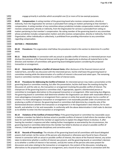engage primarily in activities which accomplish one (1) or more of its tax-exempt purposes.

 **85.05 Compensation:** A voting member of the governing board who receives compensation, directly or indirectly, from the Organization for services is precluded from voting on matters pertaining to that member's compensation. A voting member of any committee whose jurisdiction includes compensation matters and who receives compensation, directly or indirectly, from the Organization for services is precluded from voting on matters pertaining to that member's compensation. No voting member of the governing board or any committee whose jurisdiction includes compensation matters and who receives compensation, directly or indirectly, from the Organization, either individually or collectively, is prohibited from providing information to any committee regarding compensation. 

#### **SECTION 1 – PROCEDURES**

 **85.10 Procedures:** This organization shall follow the procedures listed in this section to determine if a conflict exists.

 **85.11 Duty to Disclose**: In connection with any actual or possible conflict of interest, an interested person must disclose the existence of the financial interest and be given the opportunity to disclose all material facts to the directors and members of committees with governing board delegated powers considering the proposed 1511 transaction or arrangement.

 **85.12 Determining Whether a Conflict of Interest Exists:** After disclosure of the financial interest and all material facts, and after any discussion with the interested person, he/she shall leave the governing board or committee meeting while the determination of a conflict of interest is discussed and voted upon. The remaining board or committee members shall decide if a conflict of interest exists.

 **85.13 Procedures for Addressing the Conflict of Interest**: An interested person may make a presentation at the governing board or committee meeting, but after the presentation, he/she shall leave the meeting during the discussion of, and the vote on, the transaction or arrangement involving the possible conflict of interest. The chairperson of the governing board or committee shall, if appropriate, appoint a disinterested person or committee to investigate alternatives to the proposed transaction or arrangement. After exercising due diligence, the governing board or committee shall determine whether the Organization can obtain with reasonable efforts a more advantageous transaction or arrangement from a person or entity that would not give rise to a conflict of interest. If a more advantageous transaction or arrangement is not reasonably possible under circumstances not producing a conflict of interest, the governing board or committee shall determine by a majority vote of the disinterested directors whether the transaction or arrangement is in the Organization's best interest, for its own benefit, and whether it is fair and reasonable. In conformity with the above determination it shall make its decision as to whether to enter into the transaction or arrangement.

 **85.14 Violations of the Conflicts of Interest Policy:** If the governing board or committee has reasonable cause to believe a member has failed to disclose actual or possible conflicts of interest it shall inform the member of the basis for such belief and afford the member an opportunity to explain the alleged failure to disclose. If, after hearing the member's response and after making further investigation as warranted by the circumstances, the governing board or committee determines the member has failed to disclose an actual or possible conflict of interest, it shall take appropriate disciplinary and corrective action.

 **85.15 Records of Proceedings:** The minutes of the governing board and all committees with board delegated powers shall contain: (a) the names of the persons who disclosed or otherwise were found to have a financial interest in connection with an actual or possible conflict of interest, the nature of the financial interest, any action taken to determine whether a conflict of interest was present, and the governing boards or committee's decision as to whether a conflict of interest in fact existed.; and (b) the names of the persons who were present for discussions and votes relating to the transaction or arrangement, the content of the discussion, including any alternatives to the proposed transaction or arrangement, and a record of any votes taken in connection with the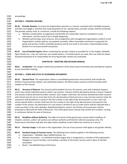| 1545         | proceedings. |                                                                                                                                                                                                                                         |
|--------------|--------------|-----------------------------------------------------------------------------------------------------------------------------------------------------------------------------------------------------------------------------------------|
| 1546         |              |                                                                                                                                                                                                                                         |
| 1547         |              | <b>SECTION 2 - PERIODIC REVIEWS</b>                                                                                                                                                                                                     |
| 1548         |              |                                                                                                                                                                                                                                         |
| 1549         | 85.20        | Periodic Reviews: To ensure the Organization operates in a manner consistent with charitable purposes                                                                                                                                   |
| 1550         |              | and does not engage in activities that could jeopardize its tax- exempt status, periodic reviews shall be conducted.                                                                                                                    |
| 1551         |              | The periodic reviews shall, at a minimum, include the following subjects:                                                                                                                                                               |
| 1552         | a.           | Whether compensation arrangements and benefits are reasonable, based on competent survey                                                                                                                                                |
| 1553         |              | information, and the result of arm's length bargaining.                                                                                                                                                                                 |
| 1554         | b.           | Whether partnerships, joint ventures, and arrangements with management organizations conform to the                                                                                                                                     |
| 1555         |              | Organization's written policies, are properly recorded, reflect reasonable investment or payments for                                                                                                                                   |
| 1556         |              | goods and services, further charitable purposes and do not result in inurnment, impermissible private                                                                                                                                   |
| 1557         |              | benefit or in an excess benefit transaction.                                                                                                                                                                                            |
| 1558         |              |                                                                                                                                                                                                                                         |
| 1559         | 85.21        | Use of Outside Experts: When conducting the periodic reviews as provided for in this chapter, NAGAAA                                                                                                                                    |
| 1560         |              | Open Division Inc., may, but need not, use outside advisors. If outside experts are used, their use shall not relieve                                                                                                                   |
| 1561         |              | the governing board of its responsibility for ensuring periodic reviews are conducted.                                                                                                                                                  |
| 1562         |              |                                                                                                                                                                                                                                         |
| 1563         |              | <b>CHAPTER 90 - DRAFTING AND REVISION MANUAL</b>                                                                                                                                                                                        |
| 1564         |              |                                                                                                                                                                                                                                         |
| 1565         | 90.01        | Jurisdiction: This chapter shall be the jurisdiction of the Governance Committee and amended by majority                                                                                                                                |
| 1566         |              | at any committee meeting.                                                                                                                                                                                                               |
| 1567         |              |                                                                                                                                                                                                                                         |
| 1568         |              | <b>SECTION 1 - FORM AND STYLE OF GOVERNING DOCUMENTS</b>                                                                                                                                                                                |
| 1569         |              |                                                                                                                                                                                                                                         |
| 1570         | 90.10        | General Form: This organization utilizes a consolidated governance manual which shall include the                                                                                                                                       |
| 1571         |              | Articles of Incorporation, Bylaws, and subordinate policies. All distinct policy measures shall be located within                                                                                                                       |
| 1572         |              | chapters of this manual.                                                                                                                                                                                                                |
| 1573         |              |                                                                                                                                                                                                                                         |
| 1574         | 90.11        | Structure of Manual: The manual shall be divided into four (4) volumes, each with individual chapters                                                                                                                                   |
| 1575<br>1576 |              | which may contain individual sections and/or sub-sections. Volumes shall be denoted by Roman numeral. Chapters                                                                                                                          |
| 1577         |              | and sections shall be denoted by Arabic numeral. Each chapter shall have sub-sections denoted by Arabic numeral<br>with at least two (2), but no more than three (3), decimal places listed and may or may not have sections listed. No |
| 1578         |              | subsection shall be placed in a section if the first number to the right of the decimal point is a zero. Each sub-                                                                                                                      |
| 1579         |              | section placed within a section shall have the first number to the right of the decimal point correspond to the                                                                                                                         |
| 1580         |              | number of the section. Any delineation of a sub-section is limited to one (1) order which shall be indicated with a                                                                                                                     |
| 1581         |              | small-case letter of the Latin alphabet. Notwithstanding this section, the Articles of Incorporation shall be                                                                                                                           |
| 1582         |              | presented as filed with the State of Wisconsin. The entire governance manual shall contain line numbers, running                                                                                                                        |
| 1583         |              | in continuous fashion for ease of reference.                                                                                                                                                                                            |
| 1584         |              |                                                                                                                                                                                                                                         |
| 1585         | 90.12        | Headlines without Authority: The table of contents of the governance manual and/or headlines of                                                                                                                                         |
| 1586         |              | chapters, sections, and/or sub-sections are without authority and listed for reference purposes only. The                                                                                                                               |
| 1587         |              | Governance Committee shall alter the table and/or headlines to best reflect the contents as it sees fit.                                                                                                                                |
| 1588         |              |                                                                                                                                                                                                                                         |
| 1589         | 90.13        | Pronoun Usage: In all cases in this organization, the use of any pronoun shall apply to any gender identity.                                                                                                                            |
| 1590         |              |                                                                                                                                                                                                                                         |
| 1591         | 90.14        | Standard Usage of Common terms: The following terms shall be applied in the following manner:                                                                                                                                           |
| 1592         | a.           | Organization - NAGAAA, Open Softball Division, Inc.                                                                                                                                                                                     |
| 1593         | b.           | Member Association - an individual member league who is recognized as a member of the organization.                                                                                                                                     |
| 1594         |              | Delegate or council member, not including a member of the board, may be used in place of member                                                                                                                                         |
| 1595         |              | association.                                                                                                                                                                                                                            |
| 1596         | c.           | Board - the NAGAAA Board of Directors                                                                                                                                                                                                   |
| 1597         |              |                                                                                                                                                                                                                                         |
|              |              |                                                                                                                                                                                                                                         |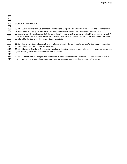- 
- 

### **SECTION 2 – AMENDMENTS**

 **90.20 Amendments**: The Governance Committee shall prepare a standard form for council and committee use for amendments to the governance manual. Amendments shall be reviewed by the committee and/or 1605 parliamentarian who shall concur that the amendment conforms to the form and style of the governing manual. A<br>1606 non-concurrence by the committee and/or parliamentarian shall not prevent action on the amendment but non-concurrence by the committee and/or parliamentarian shall not prevent action on the amendment but shall be relayed to the Council and/or committee of jurisdiction.

 **90.21 Revisions:** Upon adoption, the committee shall assist the parliamentarian and/or Secretary in preparing adopted revisions to the manual for publication.

 **90.22 Notice of Revisions:** The Secretary shall provide notice to the members whenever revisions are authorized by the body of jurisdiction and published by the Secretary.

 **90.23 Annotations of Changes:** The committee, in conjunction with the Secretary, shall compile and record a cross-reference log of amendments adopted to the governance manual and the minutes of the action.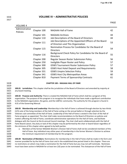# 1616 **VOLUME IV – ADMINISTRATIVE POLICIES**

|                            |             |                                                                                               | <b>FAU</b> |
|----------------------------|-------------|-----------------------------------------------------------------------------------------------|------------|
| <b>VOLUME 4</b>            |             |                                                                                               |            |
| Administrative<br>Policies | Chapter 100 | NAGAAA Hall of Fame                                                                           | 42         |
|                            | Chapter 101 | <b>NAGAAA Archives</b>                                                                        | 44         |
|                            | Chapter 110 | Job Descriptions of the Board of Directors                                                    | 44         |
|                            | Chapter 111 | Job Descriptions of the Appointed Officers of the Board<br>of Directors and This Organization | 53         |
|                            | Chapter 115 | Nomination Process for Candidates for the Board of<br><b>Directors</b>                        | 54         |
|                            | Chapter 116 | Background Check Policy for Candidates for the Board of<br><b>Directors</b>                   | 55         |
|                            | Chapter 200 | Regular Season Roster Submission Policy                                                       | 56         |
|                            | Chapter 250 | Ineligible Player Roster and Policy                                                           | 57         |
|                            | Chapter 300 | <b>GSWS Tournament Roster Submission Policy</b>                                               | 57         |
|                            | Chapter 305 | <b>GSWS Host Hotel Deposit and Requirements</b>                                               | 58         |
|                            | Chapter 331 | <b>GSWS Umpire Selection Policy</b>                                                           | 59         |
|                            | Chapter 341 | <b>GSWS Host City Metropolitan Areas</b>                                                      | 60         |

#### 1618 **CHAPTER 100 – NAGAAA HALL OF FAME**

1619

1627

1639

Chapter 810 Payment Terms of Sponsorship Contracts 61

1620 **100.01 Jurisdiction:** This chapter shall be the jurisdiction of the Board of Directors and amended by majority at 1621 any board meeting. 1622

 **100.02 Purpose and Authority:** There is created the NAGAAA Hall of Fame which shall be a program of this organization. The purpose of this program is to recognize the individuals that have made a significant contribution to the NAGAAA organization, the game, and the LGBTQ+ community. The authority for this program is found in 4.01 of the Governing Manual.

 **100.03 Membership and Leadership:** Membership in the Hall of Fame is achieved through election by two-thirds (2/3) vote of the living members of the Hall of Fame voting on the annual ballot or through selection by the Veterans sub-committee of the Hall of Fame. Leadership of the Hall of Fame is vested in the Chair of the Hall of Fame program as appointed. The chair shall make recommendations to the Board of Directors on policies and matters affecting the Hall of Fame, coordinate administrative operations for the Hall of Fame, and facilitate dialogue with the Council at the bi-annual Council meetings. The chair shall work collaboratively with the Hall of Fame Board Liaison. Any duty or task of this chapter may be performed by the chair or board liaison regardless of 1635 the strictures of this chapter when agreed to by both parties.

1636 a. Members of the former NAGAAA Women's Division Hall of Fame shall not be considered members of this 1637 Hall of Fame. Any individual may utilize years of membership in the former Women's Division to achieve 1638 the minimum requirement of membership for this program.

 **100.04 Nomination of Members:** Nominations for membership in the Hall of Fame shall be made in the form and manner provided for by the Hall of Fame chair and in the established time period listed in this chapter. There are no restrictions on whom may make a nomination for the Hall of Fame but you may not self-nominate. Nominees must have been active in NAGAAA for at least ten (10) years to be nominated. The chairperson of the Hall of Fame

PAGE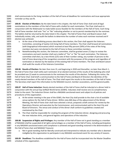shall communicate to the living members of the Hall of Fame all deadlines for nominations and issue appropriate reminder as they see fit.

 **100.05 Election of Members:** By the date listed in this chapter, the Hall of Fame Chair shall send all legal nominations to the members of the Hall of Fame with a ballot for each nomination. The Chair shall work in conjunction with the Webmaster to make ballot access feasible for the members of the Hall of Fame. Each living Hall of Fame member shall vote "Yes" or "No" indicating whether or not to permit membership for the nominee. The ballots shall be returned by the date listed in this chapter. The Hall of Fame Chair and Board Liaison shall individually review, tally, and audit the ballots to determine the number of votes each nominee received and if election was achieved.

- a. At the close of the balloting process described in this section, the Chair shall appoint the Veterans Committee, consisting of twelve (12) living Hall of Fame members. The Chair shall forward all nominations (with biographical information) which received at least fifty percent (50%) of the votes of the living members but were not elected to the Hall of Fame to these committee members.
- b. Notwithstanding this section, the Veterans committee, shall be granted seven (7) days to review the nominations and each member shall cast a ballot of "Yes" or "No" for each nomination. The Veterans committee shall elect, by a two-thirds (2/3) vote of their number voting, any number of persons to the Hall of Fame deserving of the recognition consistent with the purposes of this program and regardless of nomination or election by the balance of the existing Hall of Fame members. The Chair and Board Liaison shall audit the results of the Veterans Committee.

 **100.06 Results of Election:** No later than June 15, and beginning in 2020 and thereafter, no later than March 1, the Hall of Fame Chair shall notify each nominator of an elected nominee of the results of the balloting who shall be provided one (1) week to communicate to the nominees the results of the election. Following this notice, the Hall of Fame Chair shall draft a communication to the Hall of Fame and Board of Directors the identities of the newly elected members of the Hall of Fame. The Chair shall report the results to the members of the Hall of Fame. The Secretary shall report this information to the NAGAAA Council, member associations, and the general public. 

 **100.07 Hall of Fame Induction:** Newly elected members of the Hall of Fame shall be inducted at a dinner held in conjunction with the annual Gay Softball World Series (GSWS). Inductees shall receive one (1) complimentary ticket to the event. The Induction Dinner shall be a NAGAAA sanctioned event and subject to all policies and procedures of this organization.

- a. At the winter meeting in the year of the GSWS, the Host City shall provide to the chair a list of available venue options for the Hall of Fame dinner. Within sixty (60) days of the adjournment of the Winter Meeting, the Hall of Fame chair shall have selected a venue, prepared a draft contract for review by the Operations Director and execution by the Commissioner, and communicated said to the Host City and Board of Directors. The venue and conduct of the dinner shall conform to guidelines created and maintained by the Chair.
- b. The Chair shall be responsible for creating the program of the Induction dinner, designing and procuring the new inductee shirts, and general logistics and operations of the induction.

 **100.08 Suspension of Rights and Privileges:** Any member of the Hall of Fame not in good standing as a member of NAGAAA shall be suspended of all rights and privileges as a member of the Hall of Fame, including participation in any NAGAAA sanctioned event until compliance is achieved and good-standing restored in the determination of 1688 the Hall of Fame chair and NAGAAA Treasurer.

 a. Not in good standing shall be liberally construed and interpreted to indicate any member who is deemed ineligible by this organization to participate in any NAGAAA sanctioned event for any variety of reasons.

 **100.09 Deadlines:** The deadlines established for the Hall of Fame shall be incorporated into the Master Deadline schedule of this organization.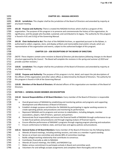| 1694<br>1695                         |                                                                                                                                                                                                                                                                                                     | <b>CHAPTER 101 - NAGAAA ARCHIVES</b>                                                                                                                                                                                                                                                                                                                                                                |  |  |  |
|--------------------------------------|-----------------------------------------------------------------------------------------------------------------------------------------------------------------------------------------------------------------------------------------------------------------------------------------------------|-----------------------------------------------------------------------------------------------------------------------------------------------------------------------------------------------------------------------------------------------------------------------------------------------------------------------------------------------------------------------------------------------------|--|--|--|
| 1696<br>1697<br>1698                 |                                                                                                                                                                                                                                                                                                     | 101.01 Jurisdiction: This chapter shall be the jurisdiction of the Board of Directors and amended by majority at<br>any board meeting.                                                                                                                                                                                                                                                              |  |  |  |
| 1699<br>1700<br>1701<br>1702<br>1703 |                                                                                                                                                                                                                                                                                                     | 101.02 Purpose and Authority: There is created the NAGAAA Archives which shall be a program of this<br>organization. The purpose of this program is to preserve and commemorate the history of the organization, its<br>significance, and the people who founded, sustained, and contributed to its legacy. The authority for this program<br>is found in 4.01 and 3.01(j) of the Governing Manual. |  |  |  |
| 1704<br>1705<br>1706<br>1707         |                                                                                                                                                                                                                                                                                                     | 101.03 Chair Authorized to Act: The chair of the NAGAAA Archives, as appointed pursuant to the Bylaws, is<br>authorized to collect, organize, store, and display artifacts and memorabilia (real and/or virtual), which are<br>representative of the organization and events, subject to the authorized budget of this program.                                                                     |  |  |  |
| 1708                                 |                                                                                                                                                                                                                                                                                                     | <b>CHAPTER 110 - JOB DESCRIPTIONS OF THE BOARD OF DIRECTORS</b>                                                                                                                                                                                                                                                                                                                                     |  |  |  |
| 1709<br>1710<br>1711<br>1712         | (NOTE: These chapters contain some revisions to Board of Directors job descriptions following changes to the Board<br>structure approved by the Council. The Board will complete the revisions in the spring and summer of 2019 and<br>provide a further revision.)                                 |                                                                                                                                                                                                                                                                                                                                                                                                     |  |  |  |
| 1713<br>1714<br>1715<br>1716         |                                                                                                                                                                                                                                                                                                     | 110.01 Jurisdiction: This chapter shall be the jurisdiction of the Board of Directors and amended by majority at<br>any board meeting.                                                                                                                                                                                                                                                              |  |  |  |
| 1717<br>1718<br>1719<br>1720         | 110.02 Purpose and Authority: The purpose of this program is to list, detail, and report the job descriptions of<br>the officers of this organization and other select offices as determined by the Board of Directors. The authority for<br>this program is found in 4.04 of the Governing Manual. |                                                                                                                                                                                                                                                                                                                                                                                                     |  |  |  |
| 1721<br>1722<br>1723                 | 110.03 Members of the Board of Directors: All elected officers of this organization are members of the Board of<br>Directors.                                                                                                                                                                       |                                                                                                                                                                                                                                                                                                                                                                                                     |  |  |  |
| 1724<br>1725                         |                                                                                                                                                                                                                                                                                                     | <b>SECTION 1 - GENERAL BOARD MEMBER JOB DESCRIPTION</b>                                                                                                                                                                                                                                                                                                                                             |  |  |  |
| 1726                                 |                                                                                                                                                                                                                                                                                                     | 110.10 General Responsibilities of All Board Members: Every member of the Board of Directors is responsible                                                                                                                                                                                                                                                                                         |  |  |  |
| 1727<br>1728                         | for:<br>а.                                                                                                                                                                                                                                                                                          | Overall governance of NAGAAA by establishing and monitoring policies and programs and supporting                                                                                                                                                                                                                                                                                                    |  |  |  |
| 1729                                 |                                                                                                                                                                                                                                                                                                     | development and effectiveness of Board of Directors.                                                                                                                                                                                                                                                                                                                                                |  |  |  |
| 1730<br>1731                         | b.                                                                                                                                                                                                                                                                                                  | Establish strategic purpose and direction for NAGAAA by participating in regular working sessions to<br>create operating policies and procedures and monitoring its performance.                                                                                                                                                                                                                    |  |  |  |
| 1732<br>1733                         | c.                                                                                                                                                                                                                                                                                                  | Represent NAGAAA and its programs and services to stakeholders, including delegate, member<br>associations, players, Hall of Famers, sponsors and partners.                                                                                                                                                                                                                                         |  |  |  |
| 1734<br>1735                         | d.                                                                                                                                                                                                                                                                                                  | Demonstrate fiscal responsibility and ensure the financial health of NAGAAA through conformance to up-<br>to-date fiscal policies and procedures and through ongoing analysis of financial reports.                                                                                                                                                                                                 |  |  |  |
| 1736<br>1737<br>1738                 | e.<br>f.                                                                                                                                                                                                                                                                                            | Ensure effective performance of NAGAAA's programs through ongoing program planning and evaluation.<br>Ensure conformance to federal, state, and local laws and agency policies and procedures.                                                                                                                                                                                                      |  |  |  |
| 1739                                 |                                                                                                                                                                                                                                                                                                     | 110.11 General Duties of All Board Members: Every member of the Board of Directors has the following duties:                                                                                                                                                                                                                                                                                        |  |  |  |
| 1740                                 | a.                                                                                                                                                                                                                                                                                                  | Attends all board meetings, including working sessions, and votes as a member in good standing.                                                                                                                                                                                                                                                                                                     |  |  |  |
| 1741                                 | b.                                                                                                                                                                                                                                                                                                  | Serves on at least one committee and attends 80% of committee meetings.                                                                                                                                                                                                                                                                                                                             |  |  |  |
| 1742                                 | c.                                                                                                                                                                                                                                                                                                  | Builds collegial working relationship that contributes to consensus.                                                                                                                                                                                                                                                                                                                                |  |  |  |
| 1743                                 | d.                                                                                                                                                                                                                                                                                                  | Contributes financially as able to NAGAAA.                                                                                                                                                                                                                                                                                                                                                          |  |  |  |
| 1744<br>1745                         | e.<br>f.                                                                                                                                                                                                                                                                                            | Attends all Council meetings, the GSWS, and NAGAAA Cup.<br>Makes serious commitment to participate actively in Board and committee work.                                                                                                                                                                                                                                                            |  |  |  |
| 1746                                 | g.                                                                                                                                                                                                                                                                                                  | Volunteers for and willingly accepts assignments and completes them thoroughly and on time.                                                                                                                                                                                                                                                                                                         |  |  |  |
|                                      |                                                                                                                                                                                                                                                                                                     |                                                                                                                                                                                                                                                                                                                                                                                                     |  |  |  |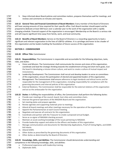h. Stays informed about Board policies and committee matters, prepares themselves well for meetings, and reviews and comments on minutes and reports. **110.12 General Time and Financial Commitment of Board Members:** Every member of the Board of Directors will have varying amounts of time required for their specific office. Each Board member should expect and be prepared to dedicate at least 500 hours over a calendar year to the work of the organization with a rapidly changing schedule. Financial support of the organization is encouraged. Membership on the Board is a serious role and will require significant time away from family, work, and local community. **110.13 Benefits of Board Members:** Service on the Board of Directors is a rewarding opportunity to lead a significant and relevant organization to the lives of LGBTQ+ athletes. It is a privilege and honor to be a leader of 1758 this organization and be leaders building the foundation of future success of this organization. 1759<br>1760 **SECTION 2 – COMMISSIONER 110.20 Officer Title:** Commissioner **110.21 Responsibilities:** The Commissioner is responsible and accountable for the following objectives, tasks, roles, and duties: a. Vision and Mission: The Commissioner shall communicate the mission and vision of this organization, coordinate and lead the strategic thinking towards the establishment of long and short-term goals, lead 1768 the board in developing a mission driven culture, and work to create a culture of mutual respect and inclusiveness. b. Leadership Development: The Commissioner shall recruit and develop leaders to serve on committees of this organization, ensure the participation of elected and appointed leaders of this organization. c. Management: The Commissioner shall ensure adherence to legal standards and ethical norms and be responsible for the management of this organization, including responsibility for compliance with the governing documents and internal policies of this organization. d. External Relations: The Commissioner shall be responsible for the external relations of this organization 1776 and act as the ambassador for the organization. **110.22 Duties:** In fulfilling the responsibilities of office, the Commissioner shall perform the following duties: a. Preside over meetings of the council, board, host cities and committee chairs. b. Oversee the general operations of the NAGAAA Board and the organization. 1781 c. Set meeting dates and prepare agendas. d. Review agendas and supporting materials prior to meetings. 1783 e. Attend all board meetings and other meetings necessary for the operation of the organization. f. Appoint the Parliamentarian at each Council meeting. g. Negotiate and execute all contracts for this organization. 1786 h. Coordinate and partner with the Treasurer to create a proposed annual budget. 1787 i. Serve as co-signer of NAGAAA checking account. 1788 j. Maintain an acute working knowledge of the issues pertaining to NAGAAA. 1789 k. Provide leadership support and advice to the officers and leaders of this organization. l. Manage communications and documents for Membership Applications, Proof of Voting Rights, and GSWS bid intents. m. Attend GSWS. n. Other duties as prescribed by the governing documents of this organization. o. Other duties as determined by the Board of Directors. **110.23 Knowledge, Skills, and Abilities:** The Commissioner should demonstrate understanding and competence in the following knowledge, skills, and abilities: a. Professional experience with leadership training. b. Diplomatic Skills.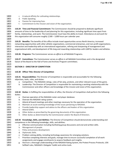| 1800 | c.      | A natural affinity for cultivating relationships.                                                                    |  |
|------|---------|----------------------------------------------------------------------------------------------------------------------|--|
| 1801 | d.      | Public Speaking.                                                                                                     |  |
| 1802 | e.      | Passion for improving lives.                                                                                         |  |
| 1803 | f.      | Commitment to the mission and vision of the organization.                                                            |  |
| 1804 |         |                                                                                                                      |  |
| 1805 |         | 110.24 Time and Financial Commitment: The Commissioner should be prepared to dedicate significant                    |  |
| 1806 |         | amounts of time to the leadership of and planning for this organization, including significant time apart from       |  |
| 1807 |         | family, relationships, and work. The Commissioner must have the ability to travel. Attendance at and work for        |  |
| 1808 |         | this organization will consume roughly 2,500 - 3,000 hours per calendar year.                                        |  |
| 1809 |         |                                                                                                                      |  |
| 1810 |         | 110.25 Benefits: The benefits of this office include travel opportunities across North America, increased            |  |
| 1811 |         | networking opportunities with other athletic organizations, commercial enterprises, and non-profit organizations,    |  |
| 1812 |         | interaction and leadership with an international organization, refining and sharpening of management and             |  |
| 1813 |         | organizational skills, and development of life-long and rewarding relationships with LGBTQ+ leaders and athletes.    |  |
| 1814 |         |                                                                                                                      |  |
| 1815 |         | 110.26 Programs: The Commissioner serves ex officio to all NAGAAA Programs.                                          |  |
| 1816 |         |                                                                                                                      |  |
| 1817 |         | 110.27 Committees: The Commissioner serves ex officio in all NAGAAA Committees and is the designated                 |  |
| 1818 |         | liaison of the Board to the Hall of Fame and Archives Program committees.                                            |  |
| 1819 |         |                                                                                                                      |  |
| 1820 |         | <b>SECTION 3 - DIRECTOR OF COMPETITION</b>                                                                           |  |
| 1821 |         |                                                                                                                      |  |
| 1822 |         | 110.30 Officer Title: Director of Competition                                                                        |  |
| 1823 |         |                                                                                                                      |  |
| 1824 |         | 110.31 Responsibilities: The Director of Competition is responsible and accountable for the following                |  |
| 1825 |         | objectives, tasks, roles, and duties:                                                                                |  |
| 1826 | a.      | Competition: The NAGAAA ratings, rules of fair play, protests, and other relevant issues of the game.                |  |
| 1827 | b.      | Leadership: The Director of Competition is responsible for maintaining a working relationship with the               |  |
| 1828 |         | Commissioner and other officers and knowledge of the mission and vision of this organization.                        |  |
| 1829 |         |                                                                                                                      |  |
| 1830 |         | 110.32 Duties: In fulfilling the responsibilities of office, the Director of Competition shall perform the following |  |
| 1831 | duties: |                                                                                                                      |  |
| 1832 | a.      | Oversee operation of the NAGAAA roster and player database.                                                          |  |
| 1833 | b.      | Oversee the NAGAAA rating system.                                                                                    |  |
| 1834 | c.      | Attend all board meetings and other meetings necessary for the operation of the organization.                        |  |
| 1835 | d.      | Maintain an acute working knowledge of the issues pertaining to NAGAAA.                                              |  |
| 1836 | e.      | Provide leadership support and advice to the officers and leaders of this organization.                              |  |
| 1837 | f.      | Attend GSWS.                                                                                                         |  |
| 1838 | g.      | Other duties as prescribed by the governing documents of this organization.                                          |  |
| 1839 | h.      | Other duties as determined by the Commissioner and/or the Board of Directors.                                        |  |
| 1840 |         |                                                                                                                      |  |
| 1841 |         | 110.33 Knowledge, Skills, and Abilities: The Director of Competition should demonstrate understanding and            |  |
| 1842 |         | competence in the following knowledge, skills, and abilities:                                                        |  |
| 1843 | a.      | Effective communication including facilitating group discussions and oral and written skills.                        |  |
| 1844 | b.      | Management of people.                                                                                                |  |
| 1845 | c.      | Policy and process development.                                                                                      |  |
| 1846 | d.      | Diplomatic Skills.                                                                                                   |  |
| 1847 | e.      | Problem solving ability, including technology awareness for emerging solutions.                                      |  |
| 1848 | f.      | Prioritize competing interests and goals, manage time to ensure successful completion of all work                    |  |
| 1849 |         | assignments and engage constituents to acquire feedback and insights.                                                |  |
| 1850 | g.      | Maintain a thorough understanding of the NAGAAA Rating System, the Protest Process Protocols, USA                    |  |
| 1851 |         | Softball rules, NAGAAA's Delegate Toolkit and online tools.                                                          |  |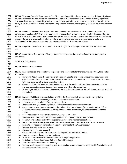**110.34 Time and Financial Commitment:** The Director of Competition should be prepared to dedicate significant amounts of time to the administration and execution of NAGAAA sanctioned tournaments, including significant time apart from family, relationships, and work during those periods. The Director of Competition must have the ability to travel. Attendance at and work for this organization will consume roughly 1,500-2,000 hours per calendar year. 

 **110.35 Benefits:** The benefits of this office include travel opportunities across North America, operating and administering the largest LGBTQ+ single sport week-long event in the world, increased networking opportunities with other athletic organizations, commercial enterprises, and non-profit organizations, interaction and leadership with an international organization, refining and sharpening of management and organizational skills, and development of life-long and rewarding relationships with LGBTQ+ leaders and athletes.

 **110.36 Programs:** The Director of Competition is not assigned to any program but assists as requested and able.

 **110.37 Committees:** The Director of Competition is the designated liaison of the Board to the Competition committee.

**SECTION 4 – SECRETARY**

- **110.40 Officer Title:** Secretary
- **110.41 Responsibilities:** The Secretary is responsible and accountable for the following objectives, tasks, roles, and duties:
- 1876 a. Governing Documents: The Secretary shall maintain, update, and record all governing documents and 1877 official actions of this organization, including the minutes and action of the Council and Board of Directors with assistance from the Governance Committee.
- b. Communication: The Secretary shall maintain and execute all official internal communications to the member associations, council, committee chairs, and other relevant parties.
- 1881 c. Marketing/Brand: The Secretary shall ensure the organization's website and social media are updated and maintained.
- **110.42 Duties:** In fulfilling the responsibilities of office, the Secretary shall perform the following duties:
- a. Maintain and utilize an email system for all levels of administration.
- b. Record and develop minutes from council meetings.
- 1887 c. Update and manage Governing Manual with assistance of Governance committee.
- d. Collect member association information that is beneficial to the Board of Directors including: Officer Positions, tournament information, Voting Representative declaration, USA Softball membership of teams.
- e. Coordinate order of Board shirts with NAGAAA Apparel Vendor.
- 1892 f. Facilitate Host Hotel blocks for all meetings under the direction of the Commissioner.
- g. Communicate and interact with voting representatives and member associations.
- h. Distribute constituent emails received from NAGAAA website to appropriate officer for response.
- i. Facilitate any necessary filings of administrative changes for NAGAAA that occur.
- 1896 j. Manage NAGAAA social media outlets.
- 1897 k. Manage Survey Monkey account.
- 1898 l. Collect USA Softball proof for teams participating in GSWS and NAGAAA Cup.
- m. Produce necessary documents for meetings.
- n. Maintain a history of NAGAAA documentation through Google Drive.
- 1901 o. Participate in Board Conference Calls and Council Meetings.
- p. Assist w/preparation for Council Meetings.
- q. Develop and implement a marketing plan for expanding awareness and elevating the NAGAAA brand to all audiences internal and external.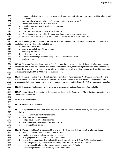| 1905 | r.          | Prepare and distribute press releases and marketing communications that promote NAGAAA's brand and                   |  |
|------|-------------|----------------------------------------------------------------------------------------------------------------------|--|
| 1906 |             | our events.                                                                                                          |  |
| 1907 | s.          | Oversee all NAGAAA social media (Facebook, Twitter, Instagram, etc.).                                                |  |
| 1908 | t.          | Update and maintain the NAGAAA website.                                                                              |  |
| 1909 | u.          | Provide support to Board members as requested.                                                                       |  |
| 1910 | v.          | Attend GSWS.                                                                                                         |  |
| 1911 |             | w. Assist w/GSWS (as assigned by Athletic Director).                                                                 |  |
| 1912 | х.          | Other duties as prescribed by the governing documents of this organization.                                          |  |
| 1913 |             | y. Other duties as determined by the Commissioner and/or the Board of Directors.                                     |  |
| 1914 |             |                                                                                                                      |  |
| 1915 |             | 110.43 Knowledge, Skills, and Abilities: The Secretary should demonstrate understanding and competence in            |  |
| 1916 |             | the following knowledge, skills, and abilities:                                                                      |  |
| 1917 |             | a. Good communications skills.                                                                                       |  |
| 1918 | b.          | Able to speak in front of large groups.                                                                              |  |
| 1919 | c.          | Good organizational skills.                                                                                          |  |
| 1920 | d.          | Basic computer knowledge.                                                                                            |  |
| 1921 | e.          | Advanced knowledge of Email, Google Drive, and Microsoft Office.                                                     |  |
| 1922 | f.          | Ability to travel.                                                                                                   |  |
| 1923 |             |                                                                                                                      |  |
| 1924 |             | 110.44 Time and Financial Commitment: The Secretary should be prepared to dedicate significant amounts of            |  |
| 1925 |             | time to the administration and execution of the duties of the office, including significant time apart from family,  |  |
| 1926 |             | relationships, and work. The Secretary must have the ability to travel. Attendance at and work for this organization |  |
| 1927 |             | will consume roughly 800-1,000 hours per calendar year.                                                              |  |
| 1928 |             |                                                                                                                      |  |
| 1929 |             | 110.45 Benefits: The benefits of this office include travel opportunities across North America, interaction and      |  |
| 1930 |             | leadership with an international organization and its members, refining and sharpening of management and             |  |
| 1931 |             | organizational skills, and development of life-long and rewarding relationships with LGBTQ+ leaders and athletes.    |  |
| 1932 |             |                                                                                                                      |  |
| 1933 |             |                                                                                                                      |  |
|      |             | 110.46 Programs: The Secretary is not assigned to any program but assists as requested and able.                     |  |
| 1934 |             |                                                                                                                      |  |
| 1935 |             | 110.47 Committees: The Secretary is the designated liaison of the Board to the Marketing Communications and          |  |
| 1936 |             | Governance committees.                                                                                               |  |
| 1937 |             |                                                                                                                      |  |
| 1938 |             | <b>SECTION 5 - TREASURER</b>                                                                                         |  |
| 1939 |             |                                                                                                                      |  |
| 1940 |             | 110.50 Officer Title: Treasurer                                                                                      |  |
| 1941 |             |                                                                                                                      |  |
| 1942 |             | 110.51 Responsibilities: The Treasurer is responsible and accountable for the following objectives, tasks, roles,    |  |
| 1943 | and duties: |                                                                                                                      |  |
| 1944 | а.          | Account and Investment management                                                                                    |  |
| 1945 | b.          | Financial transaction oversight                                                                                      |  |
| 1946 | c.          | Budget development and compliance                                                                                    |  |
| 1947 | d.          | Financial Policies development and compliance                                                                        |  |
| 1948 | e.          | Reporting of fiscal status                                                                                           |  |
| 1949 |             |                                                                                                                      |  |
| 1950 |             | 110.52 Duties: In fulfilling the responsibilities of office, the Treasurer shall perform the following duties:       |  |
| 1951 | a.          | Selection and designation of financial institutions                                                                  |  |
| 1952 | b.          | Creating and serving as legal signatory on checks                                                                    |  |
| 1953 | c.          | Managing investments of excess and reserve funds                                                                     |  |
| 1954 | d.          | Ensure the organizations financial activities are in compliance with G.A.A.P. (Generally Accepted                    |  |
| 1955 |             | Accounting Principles) and IRS code pertaining to 501c3 status of the organization                                   |  |
| 1956 | e.          | Be knowledgeable about who has access to the organization's funds                                                    |  |
| 1957 | f.          | Be knowledgeable of any outstanding bills or debts owed                                                              |  |
|      |             |                                                                                                                      |  |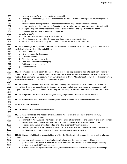| 1959<br>Develop the annual budget as well as comparing the actual revenues and expenses incurred against the<br>h.<br>1960<br>budget.<br>1961<br>Overseeing the development of and compliance with the organization's financial policies.<br>i.<br>1962<br>Report regularly to the Board of key financial events, trends, concerns, and assessment of fiscal health<br>j.<br>1963<br>Complete required financial reporting forms in a timely fashion and report said to the board<br>k.<br>1964<br>Provide support to Board members as requested.<br>I.<br>1965<br>m. Attend GSWS.<br>1966<br>Assist w/GSWS (as assigned by Athletic Director).<br>n.<br>1967<br>Other duties as prescribed by the governing documents of this organization.<br>о.<br>1968<br>Other duties as determined by the Commissioner and/or the Board of Directors.<br>р.<br>1969<br>1970<br>110.53 Knowledge, Skills, and Abilities: The Treasurer should demonstrate understanding and competence in<br>1971<br>the following knowledge, skills, and abilities:<br>1972<br><b>Financial literacy</b><br>а. –<br>1973<br>General accounting knowledge<br>b.<br>1974<br>Attention to detail<br>c.<br>1975<br>Timeliness in completing tasks<br>d.<br>1976<br>Neat and accurate record keeping<br>e.<br>1977<br>Willingness to ask questions<br>f.<br>1978<br>Trustworthiness<br>g.<br>1979<br>1980<br>110.54 Time and Financial Commitment: The Treasurer should be prepared to dedicate significant amounts of<br>1981<br>time to the administration and execution of the duties of the office, including significant time apart from family,<br>1982<br>relationships, and work. The Treasurer must have the ability to travel. Attendance at and work for this organization<br>1983<br>will consume roughly 2,000-2,500 hours per calendar year.<br>1984<br>1985<br>110.55 Benefits: The benefits of this office include travel opportunities across North America, interaction and<br>1986<br>leadership with an international organization and its members, refining and sharpening of management and<br>1987<br>organizational skills, and development of life-long and rewarding relationships with LGBTQ+ leaders and athletes.<br>1988<br>1989<br>110.56 Programs: The Treasurer is not assigned to any program but assists as requested and able.<br>1990<br>1991<br>110.57 Committees: The Treasurer is the designated liaison of the Board to the Finance committee.<br>1992<br>1993<br><b>SECTION 6 - PARTNERSHIPS</b><br>1994<br>1995<br>110.60 Officer Title: Director of Partnerships<br>1996<br>1997<br>110.61 Responsibilities: The Director of Partnerships is responsible and accountable for the following<br>1998<br>objectives, tasks, roles, and duties:<br>1999<br>Financial/In-Kind Support: The Director of Partnerships officer shall build and maintain long-term business<br>а.<br>2000<br>relationships with organizations who can, financially or in-kind, affect the bottom line of the<br>2001<br>organization's annual projected budget and offset expenses through revenue.<br>2002<br>Marketing/Brand: The Business Development officer shall ensure the organization's brand is elevated,<br>b.<br>2003<br>and the organization's presence in the print media is positive and proactive.<br>2004<br>2005<br>110.62 Duties: In fulfilling the responsibilities of office, the Director of Partnerships shall perform the following<br>2006<br>duties:<br>2007<br>Develop and implement a strategic plan for obtaining one-time sponsorships and long-term<br>a.<br>2008<br>partnerships at the NAGAAA level and act as an advisor to the GSWS host committee(s) on all things<br>2009<br>pertaining to local/GSWS sponsorships.<br>2010<br>Create a partnership packet that effectively communicates the value that can be gained from being a<br>b. | 1958 | g. | Develop systems for keeping cash flow manageable |  |  |
|-------------------------------------------------------------------------------------------------------------------------------------------------------------------------------------------------------------------------------------------------------------------------------------------------------------------------------------------------------------------------------------------------------------------------------------------------------------------------------------------------------------------------------------------------------------------------------------------------------------------------------------------------------------------------------------------------------------------------------------------------------------------------------------------------------------------------------------------------------------------------------------------------------------------------------------------------------------------------------------------------------------------------------------------------------------------------------------------------------------------------------------------------------------------------------------------------------------------------------------------------------------------------------------------------------------------------------------------------------------------------------------------------------------------------------------------------------------------------------------------------------------------------------------------------------------------------------------------------------------------------------------------------------------------------------------------------------------------------------------------------------------------------------------------------------------------------------------------------------------------------------------------------------------------------------------------------------------------------------------------------------------------------------------------------------------------------------------------------------------------------------------------------------------------------------------------------------------------------------------------------------------------------------------------------------------------------------------------------------------------------------------------------------------------------------------------------------------------------------------------------------------------------------------------------------------------------------------------------------------------------------------------------------------------------------------------------------------------------------------------------------------------------------------------------------------------------------------------------------------------------------------------------------------------------------------------------------------------------------------------------------------------------------------------------------------------------------------------------------------------------------------------------------------------------------------------------------------------------------------------------------------------------------------------------------------------------------------------------------------------------------------------------------------------------------------------------------------------------------------------------------------------------------------------------------------------------------------------------------------------------------------------------------------------------------------------------------------------------------------------------------------------------------------------------------------------------------------------------------------------|------|----|--------------------------------------------------|--|--|
|                                                                                                                                                                                                                                                                                                                                                                                                                                                                                                                                                                                                                                                                                                                                                                                                                                                                                                                                                                                                                                                                                                                                                                                                                                                                                                                                                                                                                                                                                                                                                                                                                                                                                                                                                                                                                                                                                                                                                                                                                                                                                                                                                                                                                                                                                                                                                                                                                                                                                                                                                                                                                                                                                                                                                                                                                                                                                                                                                                                                                                                                                                                                                                                                                                                                                                                                                                                                                                                                                                                                                                                                                                                                                                                                                                                                                                                                   |      |    |                                                  |  |  |
|                                                                                                                                                                                                                                                                                                                                                                                                                                                                                                                                                                                                                                                                                                                                                                                                                                                                                                                                                                                                                                                                                                                                                                                                                                                                                                                                                                                                                                                                                                                                                                                                                                                                                                                                                                                                                                                                                                                                                                                                                                                                                                                                                                                                                                                                                                                                                                                                                                                                                                                                                                                                                                                                                                                                                                                                                                                                                                                                                                                                                                                                                                                                                                                                                                                                                                                                                                                                                                                                                                                                                                                                                                                                                                                                                                                                                                                                   |      |    |                                                  |  |  |
|                                                                                                                                                                                                                                                                                                                                                                                                                                                                                                                                                                                                                                                                                                                                                                                                                                                                                                                                                                                                                                                                                                                                                                                                                                                                                                                                                                                                                                                                                                                                                                                                                                                                                                                                                                                                                                                                                                                                                                                                                                                                                                                                                                                                                                                                                                                                                                                                                                                                                                                                                                                                                                                                                                                                                                                                                                                                                                                                                                                                                                                                                                                                                                                                                                                                                                                                                                                                                                                                                                                                                                                                                                                                                                                                                                                                                                                                   |      |    |                                                  |  |  |
|                                                                                                                                                                                                                                                                                                                                                                                                                                                                                                                                                                                                                                                                                                                                                                                                                                                                                                                                                                                                                                                                                                                                                                                                                                                                                                                                                                                                                                                                                                                                                                                                                                                                                                                                                                                                                                                                                                                                                                                                                                                                                                                                                                                                                                                                                                                                                                                                                                                                                                                                                                                                                                                                                                                                                                                                                                                                                                                                                                                                                                                                                                                                                                                                                                                                                                                                                                                                                                                                                                                                                                                                                                                                                                                                                                                                                                                                   |      |    |                                                  |  |  |
|                                                                                                                                                                                                                                                                                                                                                                                                                                                                                                                                                                                                                                                                                                                                                                                                                                                                                                                                                                                                                                                                                                                                                                                                                                                                                                                                                                                                                                                                                                                                                                                                                                                                                                                                                                                                                                                                                                                                                                                                                                                                                                                                                                                                                                                                                                                                                                                                                                                                                                                                                                                                                                                                                                                                                                                                                                                                                                                                                                                                                                                                                                                                                                                                                                                                                                                                                                                                                                                                                                                                                                                                                                                                                                                                                                                                                                                                   |      |    |                                                  |  |  |
|                                                                                                                                                                                                                                                                                                                                                                                                                                                                                                                                                                                                                                                                                                                                                                                                                                                                                                                                                                                                                                                                                                                                                                                                                                                                                                                                                                                                                                                                                                                                                                                                                                                                                                                                                                                                                                                                                                                                                                                                                                                                                                                                                                                                                                                                                                                                                                                                                                                                                                                                                                                                                                                                                                                                                                                                                                                                                                                                                                                                                                                                                                                                                                                                                                                                                                                                                                                                                                                                                                                                                                                                                                                                                                                                                                                                                                                                   |      |    |                                                  |  |  |
|                                                                                                                                                                                                                                                                                                                                                                                                                                                                                                                                                                                                                                                                                                                                                                                                                                                                                                                                                                                                                                                                                                                                                                                                                                                                                                                                                                                                                                                                                                                                                                                                                                                                                                                                                                                                                                                                                                                                                                                                                                                                                                                                                                                                                                                                                                                                                                                                                                                                                                                                                                                                                                                                                                                                                                                                                                                                                                                                                                                                                                                                                                                                                                                                                                                                                                                                                                                                                                                                                                                                                                                                                                                                                                                                                                                                                                                                   |      |    |                                                  |  |  |
|                                                                                                                                                                                                                                                                                                                                                                                                                                                                                                                                                                                                                                                                                                                                                                                                                                                                                                                                                                                                                                                                                                                                                                                                                                                                                                                                                                                                                                                                                                                                                                                                                                                                                                                                                                                                                                                                                                                                                                                                                                                                                                                                                                                                                                                                                                                                                                                                                                                                                                                                                                                                                                                                                                                                                                                                                                                                                                                                                                                                                                                                                                                                                                                                                                                                                                                                                                                                                                                                                                                                                                                                                                                                                                                                                                                                                                                                   |      |    |                                                  |  |  |
|                                                                                                                                                                                                                                                                                                                                                                                                                                                                                                                                                                                                                                                                                                                                                                                                                                                                                                                                                                                                                                                                                                                                                                                                                                                                                                                                                                                                                                                                                                                                                                                                                                                                                                                                                                                                                                                                                                                                                                                                                                                                                                                                                                                                                                                                                                                                                                                                                                                                                                                                                                                                                                                                                                                                                                                                                                                                                                                                                                                                                                                                                                                                                                                                                                                                                                                                                                                                                                                                                                                                                                                                                                                                                                                                                                                                                                                                   |      |    |                                                  |  |  |
|                                                                                                                                                                                                                                                                                                                                                                                                                                                                                                                                                                                                                                                                                                                                                                                                                                                                                                                                                                                                                                                                                                                                                                                                                                                                                                                                                                                                                                                                                                                                                                                                                                                                                                                                                                                                                                                                                                                                                                                                                                                                                                                                                                                                                                                                                                                                                                                                                                                                                                                                                                                                                                                                                                                                                                                                                                                                                                                                                                                                                                                                                                                                                                                                                                                                                                                                                                                                                                                                                                                                                                                                                                                                                                                                                                                                                                                                   |      |    |                                                  |  |  |
|                                                                                                                                                                                                                                                                                                                                                                                                                                                                                                                                                                                                                                                                                                                                                                                                                                                                                                                                                                                                                                                                                                                                                                                                                                                                                                                                                                                                                                                                                                                                                                                                                                                                                                                                                                                                                                                                                                                                                                                                                                                                                                                                                                                                                                                                                                                                                                                                                                                                                                                                                                                                                                                                                                                                                                                                                                                                                                                                                                                                                                                                                                                                                                                                                                                                                                                                                                                                                                                                                                                                                                                                                                                                                                                                                                                                                                                                   |      |    |                                                  |  |  |
|                                                                                                                                                                                                                                                                                                                                                                                                                                                                                                                                                                                                                                                                                                                                                                                                                                                                                                                                                                                                                                                                                                                                                                                                                                                                                                                                                                                                                                                                                                                                                                                                                                                                                                                                                                                                                                                                                                                                                                                                                                                                                                                                                                                                                                                                                                                                                                                                                                                                                                                                                                                                                                                                                                                                                                                                                                                                                                                                                                                                                                                                                                                                                                                                                                                                                                                                                                                                                                                                                                                                                                                                                                                                                                                                                                                                                                                                   |      |    |                                                  |  |  |
|                                                                                                                                                                                                                                                                                                                                                                                                                                                                                                                                                                                                                                                                                                                                                                                                                                                                                                                                                                                                                                                                                                                                                                                                                                                                                                                                                                                                                                                                                                                                                                                                                                                                                                                                                                                                                                                                                                                                                                                                                                                                                                                                                                                                                                                                                                                                                                                                                                                                                                                                                                                                                                                                                                                                                                                                                                                                                                                                                                                                                                                                                                                                                                                                                                                                                                                                                                                                                                                                                                                                                                                                                                                                                                                                                                                                                                                                   |      |    |                                                  |  |  |
|                                                                                                                                                                                                                                                                                                                                                                                                                                                                                                                                                                                                                                                                                                                                                                                                                                                                                                                                                                                                                                                                                                                                                                                                                                                                                                                                                                                                                                                                                                                                                                                                                                                                                                                                                                                                                                                                                                                                                                                                                                                                                                                                                                                                                                                                                                                                                                                                                                                                                                                                                                                                                                                                                                                                                                                                                                                                                                                                                                                                                                                                                                                                                                                                                                                                                                                                                                                                                                                                                                                                                                                                                                                                                                                                                                                                                                                                   |      |    |                                                  |  |  |
|                                                                                                                                                                                                                                                                                                                                                                                                                                                                                                                                                                                                                                                                                                                                                                                                                                                                                                                                                                                                                                                                                                                                                                                                                                                                                                                                                                                                                                                                                                                                                                                                                                                                                                                                                                                                                                                                                                                                                                                                                                                                                                                                                                                                                                                                                                                                                                                                                                                                                                                                                                                                                                                                                                                                                                                                                                                                                                                                                                                                                                                                                                                                                                                                                                                                                                                                                                                                                                                                                                                                                                                                                                                                                                                                                                                                                                                                   |      |    |                                                  |  |  |
|                                                                                                                                                                                                                                                                                                                                                                                                                                                                                                                                                                                                                                                                                                                                                                                                                                                                                                                                                                                                                                                                                                                                                                                                                                                                                                                                                                                                                                                                                                                                                                                                                                                                                                                                                                                                                                                                                                                                                                                                                                                                                                                                                                                                                                                                                                                                                                                                                                                                                                                                                                                                                                                                                                                                                                                                                                                                                                                                                                                                                                                                                                                                                                                                                                                                                                                                                                                                                                                                                                                                                                                                                                                                                                                                                                                                                                                                   |      |    |                                                  |  |  |
|                                                                                                                                                                                                                                                                                                                                                                                                                                                                                                                                                                                                                                                                                                                                                                                                                                                                                                                                                                                                                                                                                                                                                                                                                                                                                                                                                                                                                                                                                                                                                                                                                                                                                                                                                                                                                                                                                                                                                                                                                                                                                                                                                                                                                                                                                                                                                                                                                                                                                                                                                                                                                                                                                                                                                                                                                                                                                                                                                                                                                                                                                                                                                                                                                                                                                                                                                                                                                                                                                                                                                                                                                                                                                                                                                                                                                                                                   |      |    |                                                  |  |  |
|                                                                                                                                                                                                                                                                                                                                                                                                                                                                                                                                                                                                                                                                                                                                                                                                                                                                                                                                                                                                                                                                                                                                                                                                                                                                                                                                                                                                                                                                                                                                                                                                                                                                                                                                                                                                                                                                                                                                                                                                                                                                                                                                                                                                                                                                                                                                                                                                                                                                                                                                                                                                                                                                                                                                                                                                                                                                                                                                                                                                                                                                                                                                                                                                                                                                                                                                                                                                                                                                                                                                                                                                                                                                                                                                                                                                                                                                   |      |    |                                                  |  |  |
|                                                                                                                                                                                                                                                                                                                                                                                                                                                                                                                                                                                                                                                                                                                                                                                                                                                                                                                                                                                                                                                                                                                                                                                                                                                                                                                                                                                                                                                                                                                                                                                                                                                                                                                                                                                                                                                                                                                                                                                                                                                                                                                                                                                                                                                                                                                                                                                                                                                                                                                                                                                                                                                                                                                                                                                                                                                                                                                                                                                                                                                                                                                                                                                                                                                                                                                                                                                                                                                                                                                                                                                                                                                                                                                                                                                                                                                                   |      |    |                                                  |  |  |
|                                                                                                                                                                                                                                                                                                                                                                                                                                                                                                                                                                                                                                                                                                                                                                                                                                                                                                                                                                                                                                                                                                                                                                                                                                                                                                                                                                                                                                                                                                                                                                                                                                                                                                                                                                                                                                                                                                                                                                                                                                                                                                                                                                                                                                                                                                                                                                                                                                                                                                                                                                                                                                                                                                                                                                                                                                                                                                                                                                                                                                                                                                                                                                                                                                                                                                                                                                                                                                                                                                                                                                                                                                                                                                                                                                                                                                                                   |      |    |                                                  |  |  |
|                                                                                                                                                                                                                                                                                                                                                                                                                                                                                                                                                                                                                                                                                                                                                                                                                                                                                                                                                                                                                                                                                                                                                                                                                                                                                                                                                                                                                                                                                                                                                                                                                                                                                                                                                                                                                                                                                                                                                                                                                                                                                                                                                                                                                                                                                                                                                                                                                                                                                                                                                                                                                                                                                                                                                                                                                                                                                                                                                                                                                                                                                                                                                                                                                                                                                                                                                                                                                                                                                                                                                                                                                                                                                                                                                                                                                                                                   |      |    |                                                  |  |  |
|                                                                                                                                                                                                                                                                                                                                                                                                                                                                                                                                                                                                                                                                                                                                                                                                                                                                                                                                                                                                                                                                                                                                                                                                                                                                                                                                                                                                                                                                                                                                                                                                                                                                                                                                                                                                                                                                                                                                                                                                                                                                                                                                                                                                                                                                                                                                                                                                                                                                                                                                                                                                                                                                                                                                                                                                                                                                                                                                                                                                                                                                                                                                                                                                                                                                                                                                                                                                                                                                                                                                                                                                                                                                                                                                                                                                                                                                   |      |    |                                                  |  |  |
|                                                                                                                                                                                                                                                                                                                                                                                                                                                                                                                                                                                                                                                                                                                                                                                                                                                                                                                                                                                                                                                                                                                                                                                                                                                                                                                                                                                                                                                                                                                                                                                                                                                                                                                                                                                                                                                                                                                                                                                                                                                                                                                                                                                                                                                                                                                                                                                                                                                                                                                                                                                                                                                                                                                                                                                                                                                                                                                                                                                                                                                                                                                                                                                                                                                                                                                                                                                                                                                                                                                                                                                                                                                                                                                                                                                                                                                                   |      |    |                                                  |  |  |
|                                                                                                                                                                                                                                                                                                                                                                                                                                                                                                                                                                                                                                                                                                                                                                                                                                                                                                                                                                                                                                                                                                                                                                                                                                                                                                                                                                                                                                                                                                                                                                                                                                                                                                                                                                                                                                                                                                                                                                                                                                                                                                                                                                                                                                                                                                                                                                                                                                                                                                                                                                                                                                                                                                                                                                                                                                                                                                                                                                                                                                                                                                                                                                                                                                                                                                                                                                                                                                                                                                                                                                                                                                                                                                                                                                                                                                                                   |      |    |                                                  |  |  |
|                                                                                                                                                                                                                                                                                                                                                                                                                                                                                                                                                                                                                                                                                                                                                                                                                                                                                                                                                                                                                                                                                                                                                                                                                                                                                                                                                                                                                                                                                                                                                                                                                                                                                                                                                                                                                                                                                                                                                                                                                                                                                                                                                                                                                                                                                                                                                                                                                                                                                                                                                                                                                                                                                                                                                                                                                                                                                                                                                                                                                                                                                                                                                                                                                                                                                                                                                                                                                                                                                                                                                                                                                                                                                                                                                                                                                                                                   |      |    |                                                  |  |  |
|                                                                                                                                                                                                                                                                                                                                                                                                                                                                                                                                                                                                                                                                                                                                                                                                                                                                                                                                                                                                                                                                                                                                                                                                                                                                                                                                                                                                                                                                                                                                                                                                                                                                                                                                                                                                                                                                                                                                                                                                                                                                                                                                                                                                                                                                                                                                                                                                                                                                                                                                                                                                                                                                                                                                                                                                                                                                                                                                                                                                                                                                                                                                                                                                                                                                                                                                                                                                                                                                                                                                                                                                                                                                                                                                                                                                                                                                   |      |    |                                                  |  |  |
|                                                                                                                                                                                                                                                                                                                                                                                                                                                                                                                                                                                                                                                                                                                                                                                                                                                                                                                                                                                                                                                                                                                                                                                                                                                                                                                                                                                                                                                                                                                                                                                                                                                                                                                                                                                                                                                                                                                                                                                                                                                                                                                                                                                                                                                                                                                                                                                                                                                                                                                                                                                                                                                                                                                                                                                                                                                                                                                                                                                                                                                                                                                                                                                                                                                                                                                                                                                                                                                                                                                                                                                                                                                                                                                                                                                                                                                                   |      |    |                                                  |  |  |
|                                                                                                                                                                                                                                                                                                                                                                                                                                                                                                                                                                                                                                                                                                                                                                                                                                                                                                                                                                                                                                                                                                                                                                                                                                                                                                                                                                                                                                                                                                                                                                                                                                                                                                                                                                                                                                                                                                                                                                                                                                                                                                                                                                                                                                                                                                                                                                                                                                                                                                                                                                                                                                                                                                                                                                                                                                                                                                                                                                                                                                                                                                                                                                                                                                                                                                                                                                                                                                                                                                                                                                                                                                                                                                                                                                                                                                                                   |      |    |                                                  |  |  |
|                                                                                                                                                                                                                                                                                                                                                                                                                                                                                                                                                                                                                                                                                                                                                                                                                                                                                                                                                                                                                                                                                                                                                                                                                                                                                                                                                                                                                                                                                                                                                                                                                                                                                                                                                                                                                                                                                                                                                                                                                                                                                                                                                                                                                                                                                                                                                                                                                                                                                                                                                                                                                                                                                                                                                                                                                                                                                                                                                                                                                                                                                                                                                                                                                                                                                                                                                                                                                                                                                                                                                                                                                                                                                                                                                                                                                                                                   |      |    |                                                  |  |  |
|                                                                                                                                                                                                                                                                                                                                                                                                                                                                                                                                                                                                                                                                                                                                                                                                                                                                                                                                                                                                                                                                                                                                                                                                                                                                                                                                                                                                                                                                                                                                                                                                                                                                                                                                                                                                                                                                                                                                                                                                                                                                                                                                                                                                                                                                                                                                                                                                                                                                                                                                                                                                                                                                                                                                                                                                                                                                                                                                                                                                                                                                                                                                                                                                                                                                                                                                                                                                                                                                                                                                                                                                                                                                                                                                                                                                                                                                   |      |    |                                                  |  |  |
|                                                                                                                                                                                                                                                                                                                                                                                                                                                                                                                                                                                                                                                                                                                                                                                                                                                                                                                                                                                                                                                                                                                                                                                                                                                                                                                                                                                                                                                                                                                                                                                                                                                                                                                                                                                                                                                                                                                                                                                                                                                                                                                                                                                                                                                                                                                                                                                                                                                                                                                                                                                                                                                                                                                                                                                                                                                                                                                                                                                                                                                                                                                                                                                                                                                                                                                                                                                                                                                                                                                                                                                                                                                                                                                                                                                                                                                                   |      |    |                                                  |  |  |
|                                                                                                                                                                                                                                                                                                                                                                                                                                                                                                                                                                                                                                                                                                                                                                                                                                                                                                                                                                                                                                                                                                                                                                                                                                                                                                                                                                                                                                                                                                                                                                                                                                                                                                                                                                                                                                                                                                                                                                                                                                                                                                                                                                                                                                                                                                                                                                                                                                                                                                                                                                                                                                                                                                                                                                                                                                                                                                                                                                                                                                                                                                                                                                                                                                                                                                                                                                                                                                                                                                                                                                                                                                                                                                                                                                                                                                                                   |      |    |                                                  |  |  |
|                                                                                                                                                                                                                                                                                                                                                                                                                                                                                                                                                                                                                                                                                                                                                                                                                                                                                                                                                                                                                                                                                                                                                                                                                                                                                                                                                                                                                                                                                                                                                                                                                                                                                                                                                                                                                                                                                                                                                                                                                                                                                                                                                                                                                                                                                                                                                                                                                                                                                                                                                                                                                                                                                                                                                                                                                                                                                                                                                                                                                                                                                                                                                                                                                                                                                                                                                                                                                                                                                                                                                                                                                                                                                                                                                                                                                                                                   |      |    |                                                  |  |  |
|                                                                                                                                                                                                                                                                                                                                                                                                                                                                                                                                                                                                                                                                                                                                                                                                                                                                                                                                                                                                                                                                                                                                                                                                                                                                                                                                                                                                                                                                                                                                                                                                                                                                                                                                                                                                                                                                                                                                                                                                                                                                                                                                                                                                                                                                                                                                                                                                                                                                                                                                                                                                                                                                                                                                                                                                                                                                                                                                                                                                                                                                                                                                                                                                                                                                                                                                                                                                                                                                                                                                                                                                                                                                                                                                                                                                                                                                   |      |    |                                                  |  |  |
|                                                                                                                                                                                                                                                                                                                                                                                                                                                                                                                                                                                                                                                                                                                                                                                                                                                                                                                                                                                                                                                                                                                                                                                                                                                                                                                                                                                                                                                                                                                                                                                                                                                                                                                                                                                                                                                                                                                                                                                                                                                                                                                                                                                                                                                                                                                                                                                                                                                                                                                                                                                                                                                                                                                                                                                                                                                                                                                                                                                                                                                                                                                                                                                                                                                                                                                                                                                                                                                                                                                                                                                                                                                                                                                                                                                                                                                                   |      |    |                                                  |  |  |
|                                                                                                                                                                                                                                                                                                                                                                                                                                                                                                                                                                                                                                                                                                                                                                                                                                                                                                                                                                                                                                                                                                                                                                                                                                                                                                                                                                                                                                                                                                                                                                                                                                                                                                                                                                                                                                                                                                                                                                                                                                                                                                                                                                                                                                                                                                                                                                                                                                                                                                                                                                                                                                                                                                                                                                                                                                                                                                                                                                                                                                                                                                                                                                                                                                                                                                                                                                                                                                                                                                                                                                                                                                                                                                                                                                                                                                                                   |      |    |                                                  |  |  |
|                                                                                                                                                                                                                                                                                                                                                                                                                                                                                                                                                                                                                                                                                                                                                                                                                                                                                                                                                                                                                                                                                                                                                                                                                                                                                                                                                                                                                                                                                                                                                                                                                                                                                                                                                                                                                                                                                                                                                                                                                                                                                                                                                                                                                                                                                                                                                                                                                                                                                                                                                                                                                                                                                                                                                                                                                                                                                                                                                                                                                                                                                                                                                                                                                                                                                                                                                                                                                                                                                                                                                                                                                                                                                                                                                                                                                                                                   |      |    |                                                  |  |  |
|                                                                                                                                                                                                                                                                                                                                                                                                                                                                                                                                                                                                                                                                                                                                                                                                                                                                                                                                                                                                                                                                                                                                                                                                                                                                                                                                                                                                                                                                                                                                                                                                                                                                                                                                                                                                                                                                                                                                                                                                                                                                                                                                                                                                                                                                                                                                                                                                                                                                                                                                                                                                                                                                                                                                                                                                                                                                                                                                                                                                                                                                                                                                                                                                                                                                                                                                                                                                                                                                                                                                                                                                                                                                                                                                                                                                                                                                   |      |    |                                                  |  |  |
|                                                                                                                                                                                                                                                                                                                                                                                                                                                                                                                                                                                                                                                                                                                                                                                                                                                                                                                                                                                                                                                                                                                                                                                                                                                                                                                                                                                                                                                                                                                                                                                                                                                                                                                                                                                                                                                                                                                                                                                                                                                                                                                                                                                                                                                                                                                                                                                                                                                                                                                                                                                                                                                                                                                                                                                                                                                                                                                                                                                                                                                                                                                                                                                                                                                                                                                                                                                                                                                                                                                                                                                                                                                                                                                                                                                                                                                                   |      |    |                                                  |  |  |
|                                                                                                                                                                                                                                                                                                                                                                                                                                                                                                                                                                                                                                                                                                                                                                                                                                                                                                                                                                                                                                                                                                                                                                                                                                                                                                                                                                                                                                                                                                                                                                                                                                                                                                                                                                                                                                                                                                                                                                                                                                                                                                                                                                                                                                                                                                                                                                                                                                                                                                                                                                                                                                                                                                                                                                                                                                                                                                                                                                                                                                                                                                                                                                                                                                                                                                                                                                                                                                                                                                                                                                                                                                                                                                                                                                                                                                                                   |      |    |                                                  |  |  |
|                                                                                                                                                                                                                                                                                                                                                                                                                                                                                                                                                                                                                                                                                                                                                                                                                                                                                                                                                                                                                                                                                                                                                                                                                                                                                                                                                                                                                                                                                                                                                                                                                                                                                                                                                                                                                                                                                                                                                                                                                                                                                                                                                                                                                                                                                                                                                                                                                                                                                                                                                                                                                                                                                                                                                                                                                                                                                                                                                                                                                                                                                                                                                                                                                                                                                                                                                                                                                                                                                                                                                                                                                                                                                                                                                                                                                                                                   |      |    |                                                  |  |  |
|                                                                                                                                                                                                                                                                                                                                                                                                                                                                                                                                                                                                                                                                                                                                                                                                                                                                                                                                                                                                                                                                                                                                                                                                                                                                                                                                                                                                                                                                                                                                                                                                                                                                                                                                                                                                                                                                                                                                                                                                                                                                                                                                                                                                                                                                                                                                                                                                                                                                                                                                                                                                                                                                                                                                                                                                                                                                                                                                                                                                                                                                                                                                                                                                                                                                                                                                                                                                                                                                                                                                                                                                                                                                                                                                                                                                                                                                   |      |    |                                                  |  |  |
|                                                                                                                                                                                                                                                                                                                                                                                                                                                                                                                                                                                                                                                                                                                                                                                                                                                                                                                                                                                                                                                                                                                                                                                                                                                                                                                                                                                                                                                                                                                                                                                                                                                                                                                                                                                                                                                                                                                                                                                                                                                                                                                                                                                                                                                                                                                                                                                                                                                                                                                                                                                                                                                                                                                                                                                                                                                                                                                                                                                                                                                                                                                                                                                                                                                                                                                                                                                                                                                                                                                                                                                                                                                                                                                                                                                                                                                                   |      |    |                                                  |  |  |
|                                                                                                                                                                                                                                                                                                                                                                                                                                                                                                                                                                                                                                                                                                                                                                                                                                                                                                                                                                                                                                                                                                                                                                                                                                                                                                                                                                                                                                                                                                                                                                                                                                                                                                                                                                                                                                                                                                                                                                                                                                                                                                                                                                                                                                                                                                                                                                                                                                                                                                                                                                                                                                                                                                                                                                                                                                                                                                                                                                                                                                                                                                                                                                                                                                                                                                                                                                                                                                                                                                                                                                                                                                                                                                                                                                                                                                                                   |      |    |                                                  |  |  |
|                                                                                                                                                                                                                                                                                                                                                                                                                                                                                                                                                                                                                                                                                                                                                                                                                                                                                                                                                                                                                                                                                                                                                                                                                                                                                                                                                                                                                                                                                                                                                                                                                                                                                                                                                                                                                                                                                                                                                                                                                                                                                                                                                                                                                                                                                                                                                                                                                                                                                                                                                                                                                                                                                                                                                                                                                                                                                                                                                                                                                                                                                                                                                                                                                                                                                                                                                                                                                                                                                                                                                                                                                                                                                                                                                                                                                                                                   |      |    |                                                  |  |  |
|                                                                                                                                                                                                                                                                                                                                                                                                                                                                                                                                                                                                                                                                                                                                                                                                                                                                                                                                                                                                                                                                                                                                                                                                                                                                                                                                                                                                                                                                                                                                                                                                                                                                                                                                                                                                                                                                                                                                                                                                                                                                                                                                                                                                                                                                                                                                                                                                                                                                                                                                                                                                                                                                                                                                                                                                                                                                                                                                                                                                                                                                                                                                                                                                                                                                                                                                                                                                                                                                                                                                                                                                                                                                                                                                                                                                                                                                   |      |    |                                                  |  |  |
|                                                                                                                                                                                                                                                                                                                                                                                                                                                                                                                                                                                                                                                                                                                                                                                                                                                                                                                                                                                                                                                                                                                                                                                                                                                                                                                                                                                                                                                                                                                                                                                                                                                                                                                                                                                                                                                                                                                                                                                                                                                                                                                                                                                                                                                                                                                                                                                                                                                                                                                                                                                                                                                                                                                                                                                                                                                                                                                                                                                                                                                                                                                                                                                                                                                                                                                                                                                                                                                                                                                                                                                                                                                                                                                                                                                                                                                                   |      |    |                                                  |  |  |
|                                                                                                                                                                                                                                                                                                                                                                                                                                                                                                                                                                                                                                                                                                                                                                                                                                                                                                                                                                                                                                                                                                                                                                                                                                                                                                                                                                                                                                                                                                                                                                                                                                                                                                                                                                                                                                                                                                                                                                                                                                                                                                                                                                                                                                                                                                                                                                                                                                                                                                                                                                                                                                                                                                                                                                                                                                                                                                                                                                                                                                                                                                                                                                                                                                                                                                                                                                                                                                                                                                                                                                                                                                                                                                                                                                                                                                                                   |      |    |                                                  |  |  |
|                                                                                                                                                                                                                                                                                                                                                                                                                                                                                                                                                                                                                                                                                                                                                                                                                                                                                                                                                                                                                                                                                                                                                                                                                                                                                                                                                                                                                                                                                                                                                                                                                                                                                                                                                                                                                                                                                                                                                                                                                                                                                                                                                                                                                                                                                                                                                                                                                                                                                                                                                                                                                                                                                                                                                                                                                                                                                                                                                                                                                                                                                                                                                                                                                                                                                                                                                                                                                                                                                                                                                                                                                                                                                                                                                                                                                                                                   |      |    |                                                  |  |  |
|                                                                                                                                                                                                                                                                                                                                                                                                                                                                                                                                                                                                                                                                                                                                                                                                                                                                                                                                                                                                                                                                                                                                                                                                                                                                                                                                                                                                                                                                                                                                                                                                                                                                                                                                                                                                                                                                                                                                                                                                                                                                                                                                                                                                                                                                                                                                                                                                                                                                                                                                                                                                                                                                                                                                                                                                                                                                                                                                                                                                                                                                                                                                                                                                                                                                                                                                                                                                                                                                                                                                                                                                                                                                                                                                                                                                                                                                   |      |    |                                                  |  |  |
|                                                                                                                                                                                                                                                                                                                                                                                                                                                                                                                                                                                                                                                                                                                                                                                                                                                                                                                                                                                                                                                                                                                                                                                                                                                                                                                                                                                                                                                                                                                                                                                                                                                                                                                                                                                                                                                                                                                                                                                                                                                                                                                                                                                                                                                                                                                                                                                                                                                                                                                                                                                                                                                                                                                                                                                                                                                                                                                                                                                                                                                                                                                                                                                                                                                                                                                                                                                                                                                                                                                                                                                                                                                                                                                                                                                                                                                                   |      |    |                                                  |  |  |
|                                                                                                                                                                                                                                                                                                                                                                                                                                                                                                                                                                                                                                                                                                                                                                                                                                                                                                                                                                                                                                                                                                                                                                                                                                                                                                                                                                                                                                                                                                                                                                                                                                                                                                                                                                                                                                                                                                                                                                                                                                                                                                                                                                                                                                                                                                                                                                                                                                                                                                                                                                                                                                                                                                                                                                                                                                                                                                                                                                                                                                                                                                                                                                                                                                                                                                                                                                                                                                                                                                                                                                                                                                                                                                                                                                                                                                                                   |      |    |                                                  |  |  |
|                                                                                                                                                                                                                                                                                                                                                                                                                                                                                                                                                                                                                                                                                                                                                                                                                                                                                                                                                                                                                                                                                                                                                                                                                                                                                                                                                                                                                                                                                                                                                                                                                                                                                                                                                                                                                                                                                                                                                                                                                                                                                                                                                                                                                                                                                                                                                                                                                                                                                                                                                                                                                                                                                                                                                                                                                                                                                                                                                                                                                                                                                                                                                                                                                                                                                                                                                                                                                                                                                                                                                                                                                                                                                                                                                                                                                                                                   |      |    |                                                  |  |  |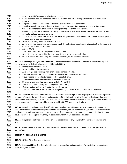| 2011 |                                                                                                                    | partner with NAGAAA and levels of partnerships.                                                                   |  |
|------|--------------------------------------------------------------------------------------------------------------------|-------------------------------------------------------------------------------------------------------------------|--|
| 2012 | c.                                                                                                                 | Coordinate requests for proposals (RFP's) for vendors and other third-party service providers when                |  |
| 2013 |                                                                                                                    | requested.                                                                                                        |  |
| 2014 | d.                                                                                                                 | Prepare contracts for corporate, in-kind and external vendor relationships.                                       |  |
| 2015 | e.                                                                                                                 | Provide oversight for partner brand activation, including materials, signage and advertising, onsite              |  |
| 2016 |                                                                                                                    | vendor placement and promotion, reporting results (ROI) to the brand teams.                                       |  |
| 2017 | f.                                                                                                                 | Conduct ongoing marketing and demographic surveys to elevate the "value" of NAGAAA to our current                 |  |
| 2018 |                                                                                                                    | and potential sponsors and partners.                                                                              |  |
| 2019 | g.                                                                                                                 | Act as an advisor to member associations on all things business development, including the development            |  |
| 2020 |                                                                                                                    | of leads for member associations.                                                                                 |  |
| 2021 | h.                                                                                                                 | Maintain the integrity of the NAGAAA brand.                                                                       |  |
| 2022 | i.                                                                                                                 | Act as an advisor to member associations on all things business development, including the development            |  |
| 2023 |                                                                                                                    | of leads for member associations.                                                                                 |  |
| 2024 | j.                                                                                                                 | Attend GSWS.                                                                                                      |  |
| 2025 | k.                                                                                                                 | Assist with the GSWS (as assigned by Athletic Director).                                                          |  |
| 2026 | I.                                                                                                                 | Other duties as prescribed by the governing documents of this organization.                                       |  |
| 2027 |                                                                                                                    | m. Other duties as determined by the Commissioner and/or the Board of Directors.                                  |  |
| 2028 |                                                                                                                    |                                                                                                                   |  |
| 2029 |                                                                                                                    | 110.63 Knowledge, Skills, and Abilities: The Director of Partnerships should demonstrate understanding and        |  |
| 2030 |                                                                                                                    | competence in the following knowledge, skills, and abilities:                                                     |  |
| 2031 | a.                                                                                                                 | Strong communications skills.                                                                                     |  |
| 2032 | b.                                                                                                                 | Design and branding experience.                                                                                   |  |
| 2033 | c.                                                                                                                 | Able to forge a relationship with print publications and media.                                                   |  |
| 2034 | d.                                                                                                                 | Experience with project management software (Trello, Huddle and/or Excel).                                        |  |
| 2035 | e.                                                                                                                 | Cloud storage knowledge (Dropbox and/or Google Drive).                                                            |  |
| 2036 | f.                                                                                                                 | Knowledge of social media channels, including Hootsuite.                                                          |  |
| 2037 | g.                                                                                                                 | Strong marketing and communications skills (Word/PPT).                                                            |  |
| 2038 | h.                                                                                                                 | Sales/development background and presentation (PPT).                                                              |  |
| 2039 | i.                                                                                                                 | Online meeting platforms (FreeConferenceCall.com).                                                                |  |
| 2040 | j.                                                                                                                 | Research and trend analysis (Internet, Google Analytics, Grant Station and/or Survey Monkey).                     |  |
| 2041 |                                                                                                                    |                                                                                                                   |  |
| 2042 |                                                                                                                    | 110.64 Time and Financial Commitment: The Director of Partnerships should be prepared to dedicate significant     |  |
| 2043 |                                                                                                                    | amounts of time to the administration and execution of the duties of the office, including significant time apart |  |
| 2044 | from family, relationships, and work. The Business Development officer must have the ability to travel. Attendance |                                                                                                                   |  |
| 2045 | at and work for this organization will consume roughly 400-800 hours per calendar year.                            |                                                                                                                   |  |
| 2046 |                                                                                                                    |                                                                                                                   |  |
| 2047 |                                                                                                                    | 110.65 Benefits: The benefits of this office include travel opportunities across North America, interaction and   |  |
| 2048 | leadership with an international organization and its members, the reward of assisting member associations with    |                                                                                                                   |  |
| 2049 | marketing, PR, and sponsorship ideas, development of sales, contract negotiation and communication skills, and     |                                                                                                                   |  |
| 2050 | development of life-long and rewarding relationships with LGBTQ+ leaders and athletes.                             |                                                                                                                   |  |
| 2051 |                                                                                                                    |                                                                                                                   |  |
| 2052 |                                                                                                                    | 110.66 Programs: The Director of Partnerships is not assigned to any program but assists as requested and         |  |
| 2053 | able.                                                                                                              |                                                                                                                   |  |
| 2054 |                                                                                                                    |                                                                                                                   |  |
| 2055 |                                                                                                                    | 110.67 Committees: The Director of Partnerships is the designated liaison of the Board to the Sponsorship         |  |
| 2056 | committee.                                                                                                         |                                                                                                                   |  |
| 2057 |                                                                                                                    |                                                                                                                   |  |
| 2058 |                                                                                                                    | <b>SECTION 7 - OPERATIONS DIRECTOR</b>                                                                            |  |
| 2059 |                                                                                                                    |                                                                                                                   |  |
| 2060 |                                                                                                                    | 110.70 Officer Title: Operations Director                                                                         |  |
| 2061 |                                                                                                                    |                                                                                                                   |  |
| 2062 |                                                                                                                    | 110.71 Responsibilities: The Operations Director is responsible and accountable for the following objectives,     |  |
| 2063 |                                                                                                                    | tasks, roles, and duties:                                                                                         |  |
|      |                                                                                                                    |                                                                                                                   |  |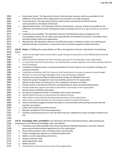| 2064 | а.       | Governance Duties: The Operations Director shall prioritize, execute, and be accountable for the                 |
|------|----------|------------------------------------------------------------------------------------------------------------------|
| 2065 |          | fulfillment of the duties of this organization to its members as a body corporate.                               |
| 2066 | b.       | Communications: The Operations Director shall maintain and execute all official internal                         |
| 2067 |          | communications to the Board of Directors.                                                                        |
| 2068 | c.       | Administrative Duties: The Operations Director shall prioritize, execute, and be accountable for the             |
| 2069 |          | fulfillment of all administrative and logistical duties including adherence to legal standards and ethical       |
| 2070 |          | norms.                                                                                                           |
| 2071 | d.       | Leadership Accountability: The Operations Director shall facilitate project management and                       |
| 2072 |          | accountability systems for the duties and responsibilities of the Board of Directors, Committee chairs,          |
| 2073 |          | and other leaders within this organization.                                                                      |
| 2074 | e.       | Membership: The Operations Director shall field and answer constituent matters from existing and                 |
| 2075 |          | potential member associations in conjunction with committee assigned membership duties.                          |
| 2076 |          |                                                                                                                  |
| 2077 |          | 110.72 Duties: In fulfilling the responsibilities of office, the Operations Director shall perform the following |
| 2078 | duties:  |                                                                                                                  |
| 2079 | a.       | Under the oversight of the Commissioner, guide the general operations of the NAGAAA Board and the                |
| 2080 |          | organization.                                                                                                    |
| 2081 |          | b. Attend all board meetings and other meetings necessary for the operation of the organization.                 |
| 2082 | c.       | In conjunction with the Commissioner, set meeting dates, prepare agendas, and review meeting materials           |
| 2083 |          | prior to meetings.                                                                                               |
| 2084 | d.       | Coordinate all logistical duties and planning details for Council, Board, and committee meetings and             |
| 2085 |          | corporate activities.                                                                                            |
| 2086 | e.       | Coordinate and partner with the Treasurer and Commissioner to create a proposed annual budget.                   |
| 2087 | f.       | Maintain an acute working knowledge of the issues pertaining to NAGAAA.                                          |
| 2088 | g.       | Facilitate any necessary filings of administrative changes for NAGAAA that occur.                                |
| 2089 | h.       | Implement project management and accountability systems for this organization.                                   |
| 2090 | i.       | Appoint project teams as necessary for the completion of projects and tasks.                                     |
| 2091 | j.       | Provide reports to the Board of Directors and leadership on status of projects/duties/tasks.                     |
| 2092 | k.       | Provide leadership support and advice to the officers and leaders of this organization.                          |
| 2093 | I.       | Receive board candidate nominations.                                                                             |
| 2094 |          | m. Arrange for background checks of candidates who accept nomination.                                            |
| 2095 | n.       | Attend GSWS and assist as requested by the Athletic Director.                                                    |
| 2096 | о.       | Other duties as prescribed by the governing documents of this organization.                                      |
| 2097 | p.       | Other duties as determined by the Commissioner and/or the Board of Directors.                                    |
| 2098 | q.       | Aid the committee assigned membership duties in communication with existing and potential new                    |
| 2099 |          | member associations.                                                                                             |
| 2100 |          | Collect and maintain executed contracts.                                                                         |
| 2101 | s.       | Maintain template of Partnership Agreement.                                                                      |
| 2102 | t.       | Facilitate systems/processes for how the Board executes collaborative duties including monthly to-do             |
| 2103 |          | lists.                                                                                                           |
| 2104 |          |                                                                                                                  |
| 2105 |          | 110.73 Knowledge, Skills, and Abilities: The Operations Director should demonstrate understanding and            |
| 2106 |          | competence in the following knowledge, skills, and abilities:                                                    |
| 2107 | а.       | Proficiency and understanding of the Governing Manual, NAGAAA operations, and other relevant                     |
| 2108 |          | governing and administrative applications for this organization.                                                 |
| 2109 | b.       | Good communications skills, including written and oral skills.                                                   |
| 2110 | c.       | Project management experience and demonstrable skills                                                            |
| 2111 | d.       | Ability to work cooperatively with others.                                                                       |
| 2112 | e.       | Dispute resolution skills.                                                                                       |
| 2113 | f.       | Good organization skills.                                                                                        |
| 2114 |          | Ability to travel.                                                                                               |
| 2115 | g.<br>h. | Commitment to the mission and vision of the organization.                                                        |
|      |          |                                                                                                                  |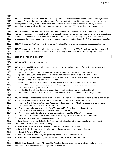**110.74 Time and Financial Commitment:** The Operations Director should be prepared to dedicate significant amounts of time to the planning and execution of the strategic vision for this organization, including significant time apart from family, relationships, and work. The Operations Director must have the ability to travel. Attendance at and work for this organization will consume roughly 2,000 – 2,500 hours per calendar year.

 **110.75 Benefits:** The benefits of this office include travel opportunities across North America, increased networking opportunities with other athletic organizations, commercial enterprises, and non-profit organizations, interaction and leadership with an international organization, refining and sharpening of management and organizational skills, and development of life-long and rewarding relationships with LGBTQ+ leaders and athletes. 

**110.76 Programs:** The Operations Director is not assigned to any program but assists as requested and able.

 **110.77 Committees:** The Operations Director serves *ex officio* in all NAGAAA Committees for the purposes of logistics and administrative board direction and is the designated liaison of the Membership committee.

- **SECTION 8 – ATHLETIC DIRECTOR**
- **110.80 Officer Title:** Athletic Director
- **110.81 Responsibilities:** The Athletics Director is responsible and accountable for the following objectives, tasks, roles, and duties:
- a. Athletics: The Athletic Director shall have responsibility for the planning, preparation, and operation of NAGAAA sanctioned tournaments with emphasis on the rules of the game, official tournament operations communications, tournament registration, tournament discipline, game equipment and other relevant issues of the game.
- b. Communication: The Athletic Director is responsible to ensure that communication pertaining to NAGAAA sanctioned tournaments accurately conveys requirements, deadlines and processes that facilitate member city participation.
- c. Leadership: The Athletic Director is responsible for maintaining a working relationship with the Commissioner and other officers and knowledge of the mission and vision of this organization.

**110.82 Duties:** In fulfilling the responsibilities of office, the Athletic Director shall perform the following duties:

- a. Manage the operations team for each NAGAAA sanctioned tournament including but not limited to the UIC, Assistant Athletic Directors, Athletics Committee Members, Board Members, Host City Committee Members and Host City Volunteers.
- b. Oversee successful operation of the NAGAAA Cup and GSWS including working with the Commissioner to certify bids for the NAGAAA Cup and GSWS.
- c. Prepare communications for the member associations related to NAGAAA event issues.
- d. Attend all board meetings and other meetings necessary for the operation of the organization.
- E. Serve as co-signer of NAGAAA checking account.
- 2157 f. Provide advice and knowledge to the Treasurer on the fiscal conditions and cash flow of sanctioned tournament for the preparation of the budget.
- 2159 g. Maintain an acute working knowledge of the issues pertaining to NAGAAA.
- 2160 h. Provide leadership support and advice to the officers and leaders of this organization.
- 2161 i. Attend GSWS and NAGAAA Cup.
- J. Other duties as prescribed by the governing documents of this organization.
- 2163 K. Other duties as determined by the Commissioner and/or the Board of Directors.

- **110.83 Knowledge, Skills, and Abilities:** The Athletics Director should demonstrate understanding and
- 2166 competence in the following knowledge, skills, and abilities: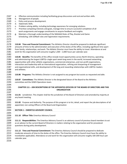| 2167         | Effective communication including facilitating group discussions and oral and written skills.<br>a.                  |
|--------------|----------------------------------------------------------------------------------------------------------------------|
| 2168         | Management of people.<br>b.                                                                                          |
| 2169         | Policy and process development.<br>c.                                                                                |
| 2170         | Diplomatic Skills.<br>d.                                                                                             |
| 2171         | Problem solving ability, including technology awareness for emerging solutions.<br>e.                                |
| 2172         | Prioritize competing interests and goals, manage time to ensure successful completion of all<br>f.                   |
| 2173         | work assignments and engage constituents to acquire feedback and insights.                                           |
| 2174         | Maintain a thorough understanding of the NAGAAA Rules of Play, Bracket and Game<br>g.                                |
| 2175         | Scheduling, USA Softball rules and registration requirements.                                                        |
| 2176         |                                                                                                                      |
| 2177         |                                                                                                                      |
| 2178         | 110.84 Time and Financial Commitment: The Athletics Director should be prepared to dedicate significant              |
| 2179         | amounts of time to the administration and execution of the duties of the office, including significant time apart    |
| 2180         | from family, relationships, and work. The Athletic Director must have the ability to travel. Attendance at and       |
| 2181         | work for this organization will consume roughly $1,500 - 2,000$ hours per calendar year.                             |
| 2182         |                                                                                                                      |
| 2183         | 110.85 Benefits: The benefits of this office include travel opportunities across North America, operating            |
| 2184         | and administering the largest LGBTQ+ single sport week-long event in the world, increased networking                 |
| 2185         | opportunities with other athletic organizations, commercial enterprises, and non-profit organizations,               |
| 2186         | interaction and leadership with an international organization, refining and sharpening of management                 |
| 2187         | and organizational skills, and development of life-long and rewarding relationships with LGBTQ+ leaders              |
| 2188         | and athletes.                                                                                                        |
| 2189         |                                                                                                                      |
| 2190         | 110.86 Programs: The Athletics Director is not assigned to any program but assists as requested and able.            |
| 2191         |                                                                                                                      |
| 2192         | 110.87 Committees: The Athletic Director is the designated liaison of the Board to the Athletics                     |
| 2193         | committee and the GSWS Operations team.                                                                              |
| 2194         |                                                                                                                      |
| 2195         | CHAPTER 111 - JOB DESCRIPTIONS OF THE APPOINTED OFFICERS OF THE BOARD OF DIRECTORS AND THIS                          |
| 2196         | <b>ORGANIZATION</b>                                                                                                  |
| 2197         |                                                                                                                      |
| 2198         | 111.01 Jurisdiction. This chapter shall be the jurisdiction of the Board of Directors and amended by majority at     |
| 2199         | any board meeting.                                                                                                   |
| 2200         |                                                                                                                      |
| 2201         | 111.02 Purpose and Authority. The purpose of this program is to list, detail, and report the job descriptions of all |
| 2202         | appointed, non-voting Officers of the Board and Organization                                                         |
| 2203         |                                                                                                                      |
| 2204         | <b>SECTION 1 - EMERITUS ADVISORY COUNCIL</b>                                                                         |
| 2205         |                                                                                                                      |
| 2206         | 111.10 Officer Title: Emeritus Advisory Council                                                                      |
| 2207         |                                                                                                                      |
| 2208         | 111.11 Responsibilities: The Emeritus Advisory Council is an advisory council of previous board members to act       |
| 2209         | as an advisor to the current Board of Directors in matters relating to the organization and for procedural           |
| 2210         | questions during policy development.                                                                                 |
| 2211         |                                                                                                                      |
| 2212         | 111.12 Time and Financial Commitment: The Emeritus Advisory Council should be prepared to dedicate                   |
| 2213         | moderate amounts of time to the duties of the office. The Emeritus Advisory Council must have the ability to         |
|              |                                                                                                                      |
|              |                                                                                                                      |
| 2214         | travel(when applicable). Attendance at and work for this organization will consume roughly 100-200 hours per         |
| 2215<br>2216 | calendar year.                                                                                                       |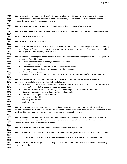2218 leadership with an international organization and its members, and development of life-long and rewarding 2219 relationships with LGBTQ+ leaders and athletes. **111.14 Programs:** The Emeritus Advisory Council is not assigned to any NAGAAA program. **111.15 Committees:** The Emeritus Advisory Council serves all committees at the request of the Commissioner. **SECTION 2 – PARLIAMENTARIAN 111.20 Officer Title:** Parliamentarian **111.21 Responsibilities:** The Parliamentarian is an advisor to the Commissioner during the conduct of meetings 2230 and to the Board of Directors and committees in matters relating to the governance of this organization and for<br>2231 procedural questions during policy development. procedural questions during policy development. **111.22 Duties:** In fulfilling the responsibilities of office, the Parliamentarian shall perform the following duties: a. Attend Council Meetings. b. Attend Board of Directors meetings and calls as required. c. Interpret enacted policy. d. Provide advice to the chair of the Council and committee chairs. e. Rule on matters of parliamentary law and procedural practice. f. Draft policy as required. g. Communicate with member associations on behalf of the Commissioner and/or Board of Directors. **111.23 Knowledge, Skills, and Abilities:** The Parliamentarian should demonstrate understanding and competence in the following knowledge, skills, and abilities: a. Mastered proficiency in parliamentary law, Robert's Rules of Order, Wisconsin Corporate Law, Internal Revenue Code, and other prevailing governance statutes. 2246 b. Excellent proficiency and understanding of the Governing Manual and NAGAAA operations. 2247 c. Good communications skills, including written and oral skills. d. Ability to work cooperatively with others. e. Dispute resolution skills. f. Good organization skills. g. Ability to travel. **111.24 Time and Financial Commitment:** The Parliamentarian should be prepared to dedicate moderate amounts of time to the duties of the office. The Parliamentarian must have the ability to travel. Attendance at and work for this organization will consume roughly 100-200 hours per calendar year. **111.25 Benefits:** The benefits of this office include travel opportunities across North America, interaction and leadership with an international organization and its members, and development of life-long and rewarding relationships with LGBTQ+ leaders and athletes. **111.26 Programs:** The Parliamentarian is not assigned to any NAGAAA program. **111.27 Committees:** The Parliamentarian serves all committees *ex officio* at the request of the Commissioner. **CHAPTER 115 – NOMINATION PROCESS FOR CANDIDATES FOR THE BOARD OF DIRECTORS 115.01 Jurisdiction:** This chapter shall be the jurisdiction of the Board of Directors and amended by majority at 2268 any board meeting. 

**111.13 Benefits:** The benefits of this office include travel opportunities across North America, interaction and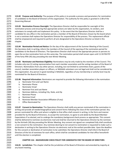**115.02 Purpose and Authority:** The purpose of this policy is to provide a process and parameters for nomination of candidates to the Board of Directors of this organization. The authority for this policy is granted in 2.08 of the Governing Manual.

 **115.03 Nomination Process Oversight:** The Operations Director shall be responsible for oversight of this nomination process and ensuring that appropriate actions are taken by this organization, its vendors, and 2276 volunteers to comply with and implement this policy. In the event that the Operations Director shall be a candidate for any office in the nomination period, a member of the Board of Directors chosen by the board whom 2278 is not a nominee shall replace the Operations Director for responsibility of the process. This replacement official shall be empowered and required to perform all acts designated to the Operations Director as listed in this chapter.

 **115.04 Nomination Period and Notice:** On the day of the adjournment of the Summer Meeting of the Council, 2283 the Secretary shall, in writing, inform the members of the Council of the opening of the nomination period for<br>2284 candidates to the Board of Directors. The Operations Director shall instruct the appropriate person o candidates to the Board of Directors. The Operations Director shall instruct the appropriate person or persons to open the on-line nomination form on this same day. The nomination period shall remain open until 11:59 PM PST 2286 of the forty-fifth (45) day preceding the next Winter Meeting. 

 **115.05 Nominator and Nominee Eligibility:** Nominations may be only made by the members of the Council. This 2289 includes only one (1) voting representative from each member association and the voting members of the Board of Directors. Nominations from any other person, including, but not limited to committee chairs, guests of the council, member association players or officers, or NAGAAA volunteers are not legal and shall not be considered by this organization. Any person in good standing in NAGAAA, regardless of any membership or activity level may be nominated for the Board of Directors. 

- **115.06 Required Information:** Nominators are required to provide the following information in the nomination:
- a. Nominator First and Last Name
- b. Nominator Phone
- c. Nominator Email
- d. Nominee First and Last Name
- e. Nominee Address, including City, State, and Zip
- f. Nominee Phone
- g. Nominee Email
- h. Nominee Member Association Affiliation (if any)
- i. Office Nominated For

 **115.07 Consent to Nomination:** The Operations Director shall notify any person nominated of the nomination in writing and provide all needed biographical and consent forms following the close of the nomination period. Any 2308 person nominated for office and whom is eligible to that office shall consent in writing, in the form and manner provided for by the Board of Directors, to accept the nomination, to agree to and abide by the Board Member Expectations if so elected, and to undergo the mandatory background check process as appropriate. This consent shall be delivered to nominee via electronic mail and shall be returned to the Operations Director by the nominee by the thirtieth (30) day preceding the Winter Meeting. Any consent not signed nor completed fully shall constitute a non-consent to the nomination. Any nominee desiring to not consent to nomination is requested to make such a declaration in writing to the Operations Director via electronic mail at the earliest possible date. Upon the deadline for this consent or declination of nomination to be submitted, the Operations Director shall inform the Board of Directors of the list of nominees for each office, which shall be considered candidates for that office henceforth 2317 until the election is completed. 

#### **CHAPTER 116 – BACKGROUND CHECK POLICY FOR CANDIDATES FOR THE BOARD OF DIRECTORS**

 **116.01 Jurisdiction:** This chapter shall be the jurisdiction of the Board of Directors and amended by majority at 2322 any board meeting.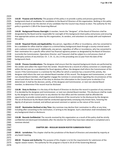**116.02 Purpose and Authority:** The purpose of this policy is to provide a policy and process governing the background check of candidates for candidates to the Board of Directors of this organization. Nothing in this policy 2326 shall be construed to bar the election of any candidate that the Council may choose to elect. The authority for this policy is granted in 2.08 of the Governing Manual.

 **116.03 Background Process Oversight:** A member, herein the "designee", of the Board of Directors shall be 2330 designated by the Board and be responsible for oversight of this background check policy and process and ensuring 2331 that appropriate actions are taken by this organization, its vendors, and volunteers to comply with and implement 2332 this policy. 

 **116.04 Required Checks and Applicability:** Any person, regardless of office or incumbency, who has consented to be a candidate for office shall be subject to a criminal felony background check through a county criminal search 2336 and a national criminal search. Additionally, any person, regardless of office or incumbency, who has consented to<br>2337 their nomination for a specific office which has financial signatory powers as designated by the their nomination for a specific office which has financial signatory powers as designated by the Board of Directors (currently the Commissioner, Operations Director, and Treasurer) shall be subject to a civil process check of bankruptcy actions of any kind (ex: Ch. 7, Ch. 11, etc.) in the preceding one (1) year from the date of the background check.

 **116.05 Process Considerations:** The designee shall ensure that the required background checks are performed by 2343 the vendor and collect the report from the vendor. Should there be a record of a felony conviction or a bankruptcy within the last year on a candidate(s) for fiscal signatory offices, the designee shall inform the Commissioner of this record. If the Commissioner is a nominee for the office for which a nominee has a record of this activity, the designee shall inform the next non-elected Board member of this record. The designee and Commissioner, or next non-elected Board member, shall together engage the nominee in conversation regarding the circumstances of the record and inform the nominee of the duty to disclose this information to the Council prior to election if so determined. It shall be the decision, jointly, of the designee and Commissioner, or next non-elected Board member, to determine if the record must be disclosed.

 **116.06 Duty to Disclose:** It is the duty of the Board of Directors to disclose the record in question of any nominee 2353 if so decided by the designee and Commissioner, or next non-elected Board member. This disclosure shall be made 2354 by the designee to the Council prior to any election for that office and the nominee shall be afforded the opportunity to provide context and/or personal disclosure of the record prior to the disclosure by the designee. 2356 The act of disclosure by the Board shall be conducted appropriately conveying only known facts, honoring the 2357 dignity of all persons involved, and without personal comment or opinion as the nature of the record. 

 **116.07 Nomination Declined at Any Time:** Any nominee may decline their nomination to office at any time, including after consenting to the nomination, in writing to the designee. Such a declination shall immediately halt any background check or disclosure.

 **116.08 Records Confidential:** The records received by this organization as a result of this policy shall be strictly confidential and destroyed immediately after the election for which they have been obtained is completed and a nominee elected.

**CHAPTER 200 – REGULAR SEASON ROSTER SUBMISSION POLICY**

 **200.01 Jurisdiction:** This chapter shall be the jurisdiction of the Board of Directors and amended by majority at any board meeting.

 **200.02 Purpose and Authority:** The purpose of this chapter is to list the requirements for submission of the regular season rosters. The authority for this program is found in 20.10 of the Governing Manual.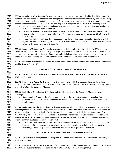**200.03 Submission of the Rosters:** Each member association shall submit, by the deadline listed in Chapter 70, the following information for each team and each player in the member association's qualifying season, excluding 2377 players who played in that association in a non-qualifying status. The Commissioner or highest elected leadership 2378 of each member association is responsible for ensuring that this expectation of NAGAAA membership is met. a. Teams: Each team of the regular qualifying season shall be reported by its known name and shall report 2380 its manager and their contact information.

- b. Rosters: Each player of a team shall be reported on the player's team roster and be identified by the player's preferred first name, legal last name as it appears on a government issued identification and their birthyear (yyyy)
- 2384 c. Ratings: Each player shall have the rating assigned by the member association submitted along with the regular season roster. No rating for any player may be changed in any way at any time by any association following the deadline listed in Chapter 70.

 **200.04 Manner of Submission:** The regular season rosters shall be submitted through the NAGAAA delegate toolkit. Member associations are encouraged to begin this process of submission well in advance of the deadline and seek the assistance of the Director of Competition for help in entering this data. Any entry made into the 2391 toolkit may be revised at any time without penalty before the deadline for submission of the rosters.

 **200.05 Sanctions:** All sanctions for errors, omissions, or failure to comply with the required submission of rosters shall be listed in Chapter 70.

#### **CHAPTER 250 – INELIGIBLE PLAYER ROSTER AND POLICY**

 **250.01 Jurisdiction:** This chapter shall be the jurisdiction of the Board of Directors and amended by majority at any board meeting.

 **250.02 Purpose and Authority:** The purpose of this chapter is to codify the responsibilities for the ineligible player list (formerly the banned player list) and create standard definitions for use. The authority for this program is found in 4.01 of the Governing Manual.

 **250.03 Definitions:** The following definitions apply to this chapter and the Governing Manual in their plain meaning:

 a. Good-Standing: A member is in "good-standing" when they are not suspended or expelled from participation in NAGAAA sanctioned events by action of the Council or for failure to meet all financial requirements.

 **250.04 Maintenance of the Ineligible List:** Following any action which would require any person to be placed on the ineligible list, the Director of Competition shall report the information listed in this section to the Webmaster who shall update the list accordingly. The Webmaster shall maintain the ineligible list in a secure area of the NAGAAA delegate toolkit with access controlled as authorized by the Director of Competition. The Webmaster shall cause the list to be updated when a player is removed from suspension or expulsion and keep archived all 2416 information from the list on the player so removed.

- a. Information to be collected: This information is needed for each person placed on the ineligible list; full legal name of the person, date of suspension or expulsion, member association of the person (as available), period of suspension or expulsion, and reason for suspension or expulsion.
- 

#### **CHAPTER 300 – GSWS TOURNAMENT ROSTER SUBMISSION POLICY**

 **300.01 Jurisdiction:** This chapter shall be the jurisdiction of the Board of Directors and amended by majority at 2424 any board meeting. 

 **300.02 Purpose and Authority:** The purpose of this chapter is to list the requirements for submission of rosters to NAGAAA. The authority for this program is found in 20.13 – 20.18 of the Governing Manual.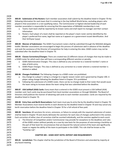**300.03 Submission of the Rosters:** Each member association shall submit by the deadline listed in Chapter 70 the 2430 following information for each team that it is entering in the Gay Softball World Series, excluding players who 2431 played in that association in a non-qualifying status. The Commissioner or highest elected leadership of each member association is responsible for ensuring that this expectation of NAGAAA membership is met. 2433 a. Teams: Each team shall be reported by its known name and shall report its manager and their contact information. b. Rosters: Each player of a team shall be reported on the player's team roster and be identified by the player's preferred first name, legal last name as it appears on a government issued identification. And their birthyear (yyyy) **300.04 Manner of Submission:** The GSWS Tournament rosters shall be submitted through the NAGAAA delegate 2440 toolkit. Member associations are encouraged to begin this process of submission well in advance of the deadline 2441 and seek the assistance of the Director of Competition for help in entering this data. GSWS rosters may not be submitted after the deadline listed in Chapter 70. **300.05 Classes Corrections/Changes:** There are created two (2) different classes of changes that may be made to 2445 a GSWS roster for which each class will have a corresponding different sanction or penalty. 2446 a. GSWS Administrative Changes: This class is defined as any correction to a rostered member's name or date of birth entry. b. GSWS Player Changes: This class is defined as any correction to a roster wherein a rostered member is deleted or added. **300.06 Changes Prohibited:** The following changes to a GSWS roster are prohibited: 2452 a. Any change to a player's rating is a change to a regular season roster and is governed by Chapter 200. A player rating change following the deadline listed in Chapter 70 is prohibited. b. Following the submission of a GSWS roster, there can be no change made to that roster that would cause the team rating to increase above the team rating that was submitted before the deadline. **300.07 USA Softball (ASA) Cards:** Every team that is entered in the GSWS must present a USA Softball (ASA) member card. Such cards may be purchased from local member associations or through NAGAAA. The Board of Directors shall publicize the manner of obtaining said cards to each member association. Cards are required by the deadline listed in Chapter 70. **300.08 Entry Fees and Berth Reservations:** Each team must pay its entry fee by the deadline listed in Chapter 70. Member Associations must reserve berths in each division by the deadline listed in Chapter 70 and may cancel any berth reservation before the deadline listed in Chapter 70 for a full refund of fees paid. **300.09 Sanctions:** All sanctions for errors, omissions, or failure to comply with the required submission of rosters 2467 shall be listed in Chapter 70 and clearly delineate the sanctions for each class of changes authorized in this section. Each correction of either class of correction shall be counted individually, and the sanction applied to each count. a. The Director of Competition and/or Commissioner may provide for exceptions to the deadlines and rules of the GSWS rosters without penalty on a case by case basis for the purposes of overcoming a hardship on the part of that team for circumstances that are beyond the natural control of the team and significantly impair or negate the ability of the team to participate in the GSWS. This rule shall be known as the "hardship rule". **CHAPTER 305 – GSWS HOST HOTEL DEPOSIT AND REQUIREMENTS 305.01 Jurisdiction:** This chapter shall be the jurisdiction of the Board of Directors and amended by majority at any board meeting.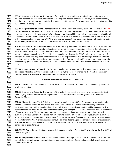**305.02 Purpose and Authority:** The purpose of this policy is to establish the required number of room nights 2481 reserved per team for the GSWS, the amount of the required deposit, the deadline for payment of that deposit, 2482 and the process for reimbursement of the deposit and conditions thereof. The authority for this policy is granted in 30.41 of the Governing Manual.

 **305.03 Requirements of Teams:** Each team of any member association entering the GSWS shall provide a **\$500** 2486 deposit payable to the Treasurer by July 15 to satisfy the host hotel requirement. Each team paying such a deposit must occupy a room at the tournament rate and provide evidence of 15 room nights of occupation at a host hotel of the GSWS as designated by NAGAAA. This requirement is not in effect on any team whose member association is the host association for that year's GSWS or any member association's team who primary metropolitan area is within ninety (90) miles of the metropolitan area of the GSWS host member association.

 **305.04 Evidence of Occupation of Rooms:** The Treasurer may determine that a member association has met the 2493 requirement of room nights by submission of receipts from the member association indicating that said rooms<br>2494 vere occupied. These receipts must be submitted to the Treasurer via email or postal mail after the GSWS were occupied. These receipts must be submitted to the Treasurer via email or postal mail after the GSWS but no 2495 later than 30 days preceding the Winter Meeting immediately following the GSWS. In lieu of the submission of 2496 receipts, the Treasurer may make a determination that the requirement is met by utilizing a master list from the host hotel indicating that occupation of rooms occurred. The Treasurer shall notify each member association, via 2498 the Secretary, prior to the GSWS if receipts will be needed or if the host hotel shall provide a master list of room occupants.

 **305.05 Reimbursement of Deposit:** The Treasurer shall return the appropriate deposit amount to each member association which has met the required number of room nights per team by check to the member association representative in attendance at the Winter Meeting following the GSWS. 

#### **CHAPTER 331– GSWS UMPIRE SELECTION POLICY**

 **331.01 Jurisdiction:** This chapter shall be the jurisdiction of the Board of Directors and amended by majority at any board meeting.

 **331.02 Purpose and Authority:** The purpose of this policy is to ensure the selection of umpires consistent with the rules, regulations, and acts of this organization. The authority for this policy is granted in 30.04 of the Governing Manual.

 **331.03 Umpire Reviews:** The UIC shall annually review umpires at the GSWS. Performance reviews of umpires shall be the domain of the UIC and shared with the NAGAAA Board of Directors as necessary by either party. Performance Reviews will be completed as follows: All first- and second-year umpires will be evaluated with a detailed evaluation form. All umpires with three (3) plus years of experience will be verbally counseled when areas of improvement exist. The verbal conversation will be documented and submitted with the final group of evaluations for that year's GSWS Report. Any umpire who receives an overall "needs improvement" evaluation, and/or is involved in an unprofessional encounter/incident with a player/manger will be automatically suspended for the following GSWS. A longer suspension may be assigned depending on the egregious nature of the incident. The final decision will be made jointly by the UIC staff and Athletic Director. Any umpire not so suspended is considered in good standing.

 **331.035 UIC Appointment:** The Commissioner shall appoint the UIC by November 1st of a calendar for the GSWS of the following year.

**2528 331.04 Umpire Nomination:** The UIC shall seek nominations of umpires for the GSWS by November 1<sup>st</sup> from the commissioners or authorized representatives of member associations. Such nominations shall be delivered by 2530 January  $1<sup>st</sup>$  to the UIC.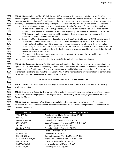**331.05 Umpire Selection:** The UIC shall, by May 31<sup>st</sup>, select and invite umpires to officiate the GSWS after considering the nominations of the members and the reviews of the umpire from previous years. Umpires will be awarded a position in that year's GSWS based on their order of response to an invitation (i.e. first to respond, first awarded). In order to assure consistency and experience with GSWS umpires, the UIC will issue two invitations.

- a. First, by February 15, umpires in good standing with five plus (5+) years of GSWS experience will be invited for the upcoming GSWS. Eighty percent (80%) of the allotted umpire slots will be filled from this umpire pool receiving the first invitation and those responding affirmatively to the invitation. After this 80% threshold has been met, a wait list will be started of those umpires whom responded to the invitation but were not awarded a position.
- b. Second, on March 1, umpires in good standing and with less than five (5) years of GSWS experience and all newly recommended umpires will be invited. The remaining twenty percent (20%) of the allotted umpire slots will be filled from this umpire pool receiving the second invitation and those responding affirmatively to the invitation. After the 20% threshold has been met, all names of those umpires from the second pool whom responded to the invitation but were not awarded a position will be added to the wait list started from first umpire pool.
- c. If on March 15, there are any open umpire slots and no wait list, then umpires from either pool may fill the slots at the discretion of the UIC.

Umpire selection shall represent the diversity of NAGAAA, including international membership.

 **331.06 Notification to Umpires:** The UIC shall inform all nominated umpires of the status of their nomination by 2552 April 1st. The UIC shall inform the Secretary of invited and selected umpires by May  $31^{st}$ . Selected umpires must 2553 provide the UIC staff with a copy of their current year USA Softball (ASA) or Softball Canada certification by July  $1^{st}$  in order to be eligible to umpire in the upcoming GSWS. It is the individual umpire's responsibility to confirm their certification has been received and accepted by the UIC staff.

#### **CHAPTER 341 – GSWS HOST CITY METROPOLITAN AREAS**

 **341.01 Jurisdiction:** This chapter shall be the jurisdiction of the Board of Directors and amended by majority at 2560 any board meeting.

 **341.02 Purpose and Authority:** The purpose of this policy is to establish the metropolitan areas of each member association solely for the purposes of hosting the GSWS. The authority for this policy is granted in 30.13 of the Governing Manual.

 **341.03 Metropolitan Areas of the Member Associations:** The current metropolitan areas of each member association are listed in the table below. Member associations are identified by the predominant city of each or their common name:

| <b>MEMBER CITY</b>      | <b>METROPOLITAN AREA</b>                     |
|-------------------------|----------------------------------------------|
| ATLANTA, GA             | Atlanta-Athens-Clarke-Sandy Springs, GA CSA  |
| AUSTIN, TX              | Austin-Round Rock, TX MSA                    |
| BIRMINGHAM, AL          | Birmingham-Hoover-Talladega, AL CSA          |
| BOSTON, MA              | Boston-Worcester-Providence, MA-RI-NH-CT CSA |
| CHICAGO, IL             | Chicago-Naperville, IL-IN-WI CSA             |
| COLUMBUS, OH            | Columbus-Marion-Zanesville, OH CSA           |
| DALLAS, TX              | Dallas-Fort Worth, TX-OK CSA                 |
| DENVER, CO              | Denver-Aurora, CO CSA                        |
| DES MOINES, IA          | Des Moines-Ames-West Des Moines, IA CSA      |
| FORT LAUDERDALE, FL     | Miami-Fort Lauderdale-Port St. Lucie, FL CSA |
| <b>HOUSTON, TX</b>      | Houston-The Woodlands, TX CSA                |
| <b>INDIANAPOLIS, IN</b> | Indianapolis-Carmel-Muncie, IN CSA           |
| <b>IOWA CITY, IA</b>    | Cedar Rapids-Iowa City, IA CSA               |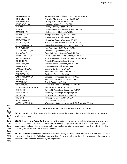| KANSAS CITY, MO      | Kansas City-Overland Park-Kansas City, MO-KS CSA   |
|----------------------|----------------------------------------------------|
| KNOXVILLE, TN        | Knoxville-Morristown-Sevierville, TN CSA           |
| LAS VEGAS, NV        | Las Vegas-Henderson, NV-AZ CSA                     |
| LONG BEACH, CA       | Los Angeles-Long Beach, CA CSA                     |
| LOS ANGELES, CA      | Los Angeles-Long Beach, CA CSA                     |
| LOUISVILLE, KY       | Louisville-Elizabethtown-Bardstown, KY CSA         |
| MADISON, WI          | Madison-Janesville-Beloit, WI CSA                  |
| MEMPHIS, TN          | Memphis-Forrest City, TN-MS-AR CSA                 |
| MID-ATLANTIC         | Virginia Beach-Norfolk, VA-NC CSA                  |
| MILWAUKEE, WI        | Milwaukee-Racine-Waukesha, WI CSA                  |
| NASHVILLE, TN        | Nashville-Davidson-Murfreesboro, TN CSA            |
| NEW ORLEANS, LA      | New Orleans-Metairie-Hammond, LA-MS CSA            |
| NEW YORK, NY         | New York-Newark, NY-NJ-CT-PA CSA                   |
| OKLAHOMA CITY, OK    | Oklahoma City-Shawnee, OK CSA                      |
| ORLANDO, FL          | Orlando-Deltona-Daytona Beach, FL CSA              |
| PALM SPRINGS, CA     | Riverside-San Bernardino-Ontario, CA MSA           |
| PHILADELPHIA, PA     | Philadelphia-Reading-Camden, PA-NJ-DE-MD CSA       |
| PHOENIX, AZ          | Phoenix-Mesa-Scottsdale, AZ MSA                    |
| PORTLAND, OR         | Portland-Vancouver-Salem, OR-WA CSA                |
| PROVIDENCE           | Providence-Warwick, RI-MA MSA                      |
| SACRAMENTO, CA       | Sacramento-Roseville, CA CSA                       |
| SAN ANTONIO, TX      | San Antonio-New Braunfels, TX MSA                  |
| SAN DIEGO, CA        | San Diego-Carlsbad, CA MSA                         |
| SAN FRANCISCO, CA    | San Jose-San Francisco-Oakland, CA CSA             |
| SAN JOSE, CA         | San Jose-San Francisco-Oakland, CA CSA             |
| SEATTLE, WA          | Seattle-Tacoma, WA CSA                             |
| ST. LOUIS, MO        | St. Louis-St. Charles-Farmington, MO-IL CSA        |
| SOUTHERN NEW ENGLAND | Hartford-West Hartford, CT CSA                     |
| TAMPA, FL            | Tampa-St. Petersburg-Clearwater, FL MSA            |
| TORONTO, ON          | Toronto (Mississauga, Brampton) CMA                |
| TULSA, OK            | Tulsa-Muskogee-Bartlesville, OK CSA                |
| <b>TWIN CITIES</b>   | Minneapolis-St. Paul, MN-WI CSA                    |
| VANCOUVER, BC        | Vancouver (Surrey) CMA                             |
| WASHINGTON, D.C.     | Washington-Baltimore-Arlington, DC-MD-VA-WV-PA CSA |

#### 2571 **CHAPTER 810 – PAYMENT TERMS OF SPONSORSHIP CONTRACTS**

2573 **810.01 Jurisdiction:** This chapter shall be the jurisdiction of the Board of Directors and amended by majority at 2574 any board meeting.

 **810.02 Purpose and Authority:** The purpose of this policy is to create enforceability of payments provisions in sponsorship contracts, ensure said provisions are included in sponsorship contracts, and assist with budget development and cash flow of the organization by creating certainty around receivables. The authority for this policy is granted in 4.01 of the Governing Manual.

2581 **810.03 Terms of Payment:** All sponsorship contracts or any contract with an amount due to NAGAAA shall have a 2582 payment due date for the full balance or a schedule of payments with due dates for each payment included in the 2583 contract before it may be executed by this organization.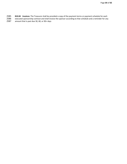- 2585 **810.04 Invoices:** The Treasurer shall be provided a copy of the payment terms or payment schedule for each
- 2586 executed sponsorship contract and shall invoice the sponsor according to that schedule and a reminder for any<br>2587 amount that is past due 30, 60, or 90+ days amount that is past due 30, 60, or 90+ days